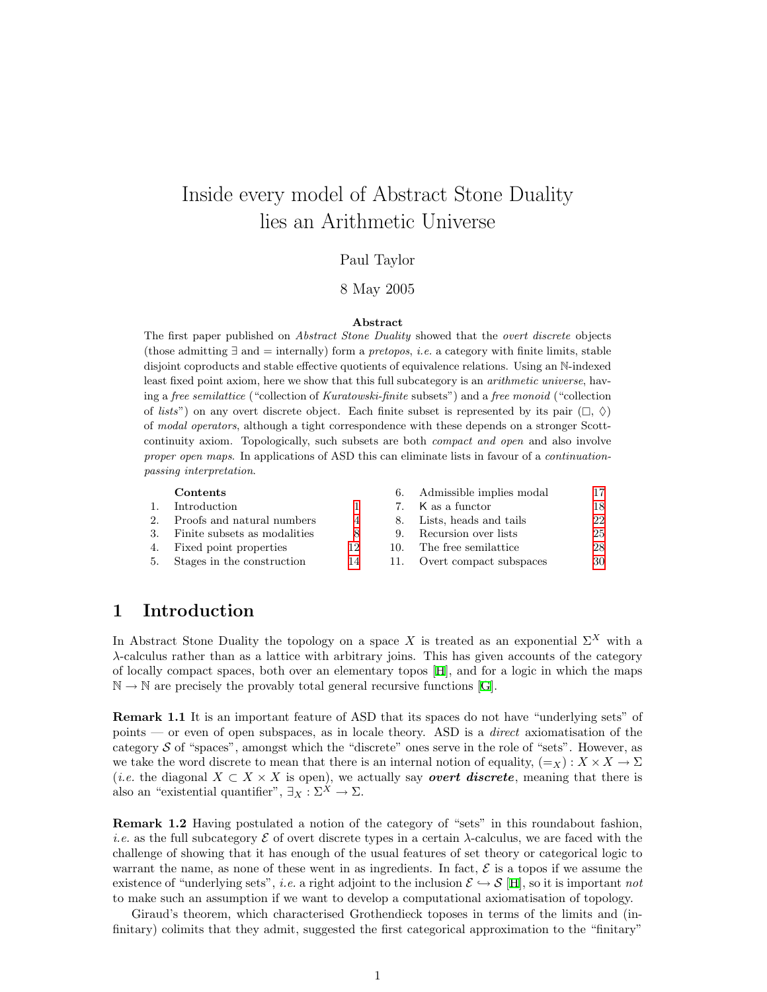# <span id="page-0-0"></span>Inside every model of Abstract Stone Duality lies an Arithmetic Universe

### Paul Taylor

### 8 May 2005

#### Abstract

The first paper published on Abstract Stone Duality showed that the overt discrete objects (those admitting  $\exists$  and  $=$  internally) form a *pretopos, i.e.* a category with finite limits, stable disjoint coproducts and stable effective quotients of equivalence relations. Using an N-indexed least fixed point axiom, here we show that this full subcategory is an arithmetic universe, having a free semilattice ("collection of Kuratowski-finite subsets") and a free monoid ("collection of *lists*") on any overt discrete object. Each finite subset is represented by its pair  $(\Box, \Diamond)$ of modal operators, although a tight correspondence with these depends on a stronger Scottcontinuity axiom. Topologically, such subsets are both compact and open and also involve proper open maps. In applications of ASD this can eliminate lists in favour of a *continuation*passing interpretation.

|                  | Contents                        |    |     | 6. Admissible implies modal | 17 |
|------------------|---------------------------------|----|-----|-----------------------------|----|
| $\overline{1}$ . | Introduction                    |    |     | 7. K as a functor           | 18 |
|                  | 2. Proofs and natural numbers   | 4  | 8.  | Lists, heads and tails      | 22 |
|                  | 3. Finite subsets as modalities | 8  |     | 9. Recursion over lists     | 25 |
|                  | 4. Fixed point properties       | 12 | 10. | The free semilattice        | 28 |
|                  | 5. Stages in the construction   | 14 | 11. | Overt compact subspaces     | 30 |

## 1 Introduction

In Abstract Stone Duality the topology on a space X is treated as an exponential  $\Sigma^X$  with a λ-calculus rather than as a lattice with arbitrary joins. This has given accounts of the category of locally compact spaces, both over an elementary topos [\[H\]](#page-33-0), and for a logic in which the maps  $\mathbb{N} \to \mathbb{N}$  $\mathbb{N} \to \mathbb{N}$  $\mathbb{N} \to \mathbb{N}$  are precisely the provably total general recursive functions [[G\]](#page-33-1).

Remark 1.1 It is an important feature of ASD that its spaces do not have "underlying sets" of points — or even of open subspaces, as in locale theory. ASD is a *direct* axiomatisation of the category  $S$  of "spaces", amongst which the "discrete" ones serve in the role of "sets". However, as we take the word discrete to mean that there is an internal notion of equality,  $(=_X) : X \times X \to \Sigma$ (*i.e.* the diagonal  $X \subset X \times X$  is open), we actually say *overt discrete*, meaning that there is also an "existential quantifier",  $\exists_X : \Sigma^X \to \Sigma$ .

Remark 1.2 Having postulated a notion of the category of "sets" in this roundabout fashion, *i.e.* as the full subcategory  $\mathcal E$  of overt discrete types in a certain  $\lambda$ -calculus, we are faced with the challenge of showing that it has enough of the usual features of set theory or categorical logic to warrant the name, as none of these went in as ingredients. In fact,  $\mathcal E$  is a topos if we assume the existence of "underlying sets", *i.e.* a right adjoint to the inclusion  $\mathcal{E} \hookrightarrow \mathcal{S}$  [[H](#page-33-0)], so it is important not to make such an assumption if we want to develop a computational axiomatisation of topology.

Giraud's theorem, which characterised Grothendieck toposes in terms of the limits and (infinitary) colimits that they admit, suggested the first categorical approximation to the "finitary"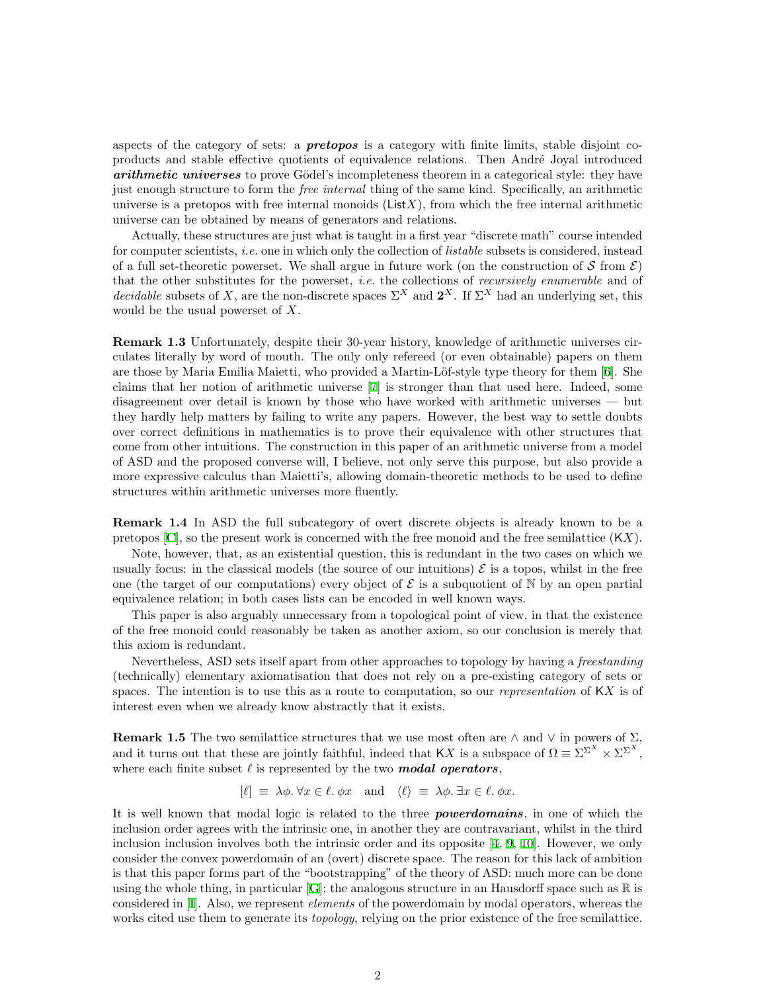aspects of the category of sets: a **pretopos** is a category with finite limits, stable disjoint coproducts and stable effective quotients of equivalence relations. Then André Joyal introduced arithmetic universes to prove Gödel's incompleteness theorem in a categorical style: they have just enough structure to form the *free internal* thing of the same kind. Specifically, an arithmetic universe is a pretopos with free internal monoids ( $List X$ ), from which the free internal arithmetic universe can be obtained by means of generators and relations.

Actually, these structures are just what is taught in a first year "discrete math" course intended for computer scientists, *i.e.* one in which only the collection of *listable* subsets is considered, instead of a full set-theoretic powerset. We shall argue in future work (on the construction of  $S$  from  $\mathcal{E}$ ) that the other substitutes for the powerset, *i.e.* the collections of *recursively enumerable* and of *decidable* subsets of X, are the non-discrete spaces  $\Sigma^X$  and  $2^X$ . If  $\Sigma^X$  had an underlying set, this would be the usual powerset of  $X$ .

<span id="page-1-0"></span>Remark 1.3 Unfortunately, despite their 30-year history, knowledge of arithmetic universes circulates literally by word of mouth. The only only refereed (or even obtainable) papers on them arethose by Maria Emilia Maietti, who provided a Martin-Löf-style type theory for them [[6\]](#page-33-2). She claims that her notion of arithmetic universe [\[7](#page-33-3)] is stronger than that used here. Indeed, some disagreement over detail is known by those who have worked with arithmetic universes — but they hardly help matters by failing to write any papers. However, the best way to settle doubts over correct definitions in mathematics is to prove their equivalence with other structures that come from other intuitions. The construction in this paper of an arithmetic universe from a model of ASD and the proposed converse will, I believe, not only serve this purpose, but also provide a more expressive calculus than Maietti's, allowing domain-theoretic methods to be used to define structures within arithmetic universes more fluently.

Remark 1.4 In ASD the full subcategory of overt discrete objects is already known to be a pretopos  $[C]$ , so the present work is concerned with the free monoid and the free semilattice  $(KX)$ .

Note, however, that, as an existential question, this is redundant in the two cases on which we usually focus: in the classical models (the source of our intuitions)  $\mathcal E$  is a topos, whilst in the free one (the target of our computations) every object of  $\mathcal E$  is a subquotient of N by an open partial equivalence relation; in both cases lists can be encoded in well known ways.

This paper is also arguably unnecessary from a topological point of view, in that the existence of the free monoid could reasonably be taken as another axiom, so our conclusion is merely that this axiom is redundant.

Nevertheless, ASD sets itself apart from other approaches to topology by having a freestanding (technically) elementary axiomatisation that does not rely on a pre-existing category of sets or spaces. The intention is to use this as a route to computation, so our *representation* of  $\overline{K}X$  is of interest even when we already know abstractly that it exists.

<span id="page-1-1"></span>**Remark 1.5** The two semilattice structures that we use most often are  $\land$  and  $\lor$  in powers of  $\Sigma$ , and it turns out that these are jointly faithful, indeed that KX is a subspace of  $\Omega = \Sigma^{\Sigma^{X}} \times \Sigma^{\Sigma^{X}}$ , where each finite subset  $\ell$  is represented by the two **modal operators**,

$$
[\ell] \equiv \lambda \phi. \forall x \in \ell. \phi x \text{ and } \langle \ell \rangle \equiv \lambda \phi. \exists x \in \ell. \phi x.
$$

It is well known that modal logic is related to the three **powerdomains**, in one of which the inclusion order agrees with the intrinsic one, in another they are contravariant, whilst in the third inclusion inclusion involves both the intrinsic order and its opposite [\[4](#page-33-5), [9,](#page-33-6) [10\]](#page-33-7). However, we only consider the convex powerdomain of an (overt) discrete space. The reason for this lack of ambition is that this paper forms part of the "bootstrapping" of the theory of ASD: much more can be done using the whole thing, in particular  $[G]$ ; the analogous structure in an Hausdorff space such as  $\mathbb R$  is considered in[[I](#page-33-8)]. Also, we represent elements of the powerdomain by modal operators, whereas the works cited use them to generate its *topology*, relying on the prior existence of the free semilattice.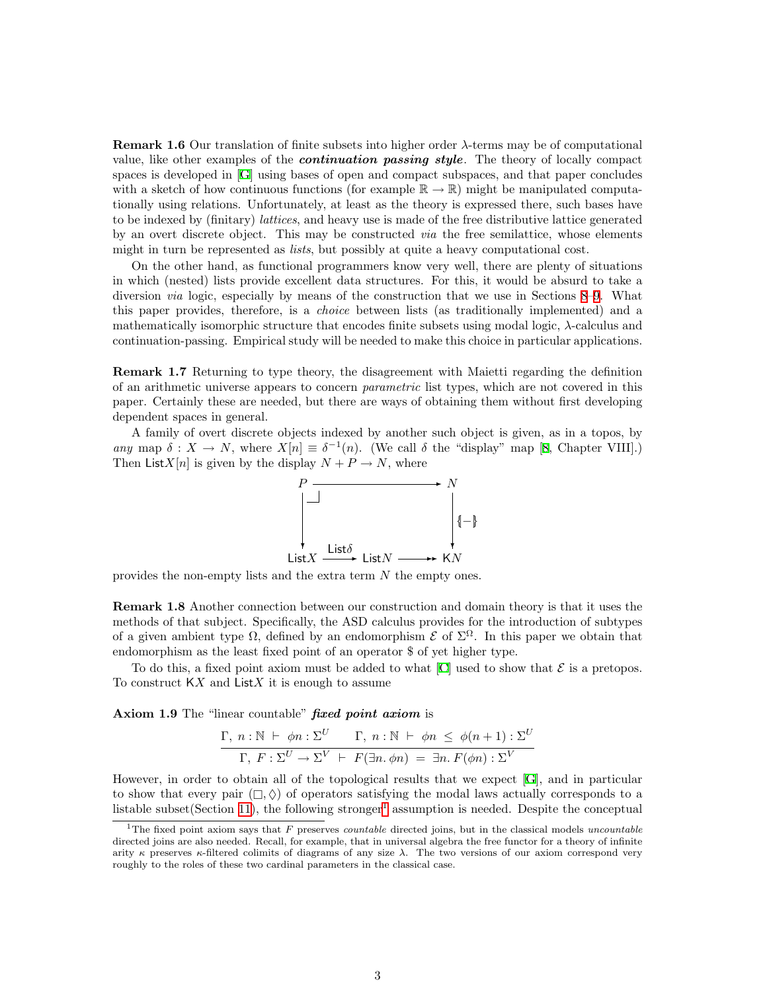**Remark 1.6** Our translation of finite subsets into higher order  $\lambda$ -terms may be of computational value, like other examples of the *continuation passing style*. The theory of locally compact spaces is developed in[[G\]](#page-33-1) using bases of open and compact subspaces, and that paper concludes with a sketch of how continuous functions (for example  $\mathbb{R} \to \mathbb{R}$ ) might be manipulated computationally using relations. Unfortunately, at least as the theory is expressed there, such bases have to be indexed by (finitary) lattices, and heavy use is made of the free distributive lattice generated by an overt discrete object. This may be constructed via the free semilattice, whose elements might in turn be represented as *lists*, but possibly at quite a heavy computational cost.

On the other hand, as functional programmers know very well, there are plenty of situations in which (nested) lists provide excellent data structures. For this, it would be absurd to take a diversion via logic, especially by means of the construction that we use in Sections [8](#page-21-1)[–9.](#page-24-1) What this paper provides, therefore, is a choice between lists (as traditionally implemented) and a mathematically isomorphic structure that encodes finite subsets using modal logic,  $\lambda$ -calculus and continuation-passing. Empirical study will be needed to make this choice in particular applications.

Remark 1.7 Returning to type theory, the disagreement with Maietti regarding the definition of an arithmetic universe appears to concern parametric list types, which are not covered in this paper. Certainly these are needed, but there are ways of obtaining them without first developing dependent spaces in general.

A family of overt discrete objects indexed by another such object is given, as in a topos, by any map  $\delta: X \to N$ , where  $X[n] \equiv \delta^{-1}(n)$ . (We call  $\delta$  the "display" map [\[8](#page-33-9), Chapter VIII].) Then List X[n] is given by the display  $N + P \rightarrow N$ , where



provides the non-empty lists and the extra term N the empty ones.

Remark 1.8 Another connection between our construction and domain theory is that it uses the methods of that subject. Specifically, the ASD calculus provides for the introduction of subtypes of a given ambient type  $\Omega$ , defined by an endomorphism  $\mathcal{E}$  of  $\Sigma^{\Omega}$ . In this paper we obtain that endomorphism as the least fixed point of an operator \$ of yet higher type.

Todo this, a fixed point axiom must be added to what  $[C]$  $[C]$  used to show that  $\mathcal E$  is a pretopos. To construct  $KX$  and  $List X$  it is enough to assume

<span id="page-2-1"></span>Axiom 1.9 The "linear countable" fixed point axiom is

$$
\frac{\Gamma, n : \mathbb{N} \vdash \phi n : \Sigma^U \qquad \Gamma, n : \mathbb{N} \vdash \phi n \leq \phi(n+1) : \Sigma^U}{\Gamma, F : \Sigma^U \to \Sigma^V \vdash F(\exists n. \phi n) = \exists n. F(\phi n) : \Sigma^V}
$$

However, in order to obtain all of the topological results that we expect[[G\]](#page-33-1), and in particular to show that every pair  $(\Box, \Diamond)$  of operators satisfying the modal laws actually corresponds to a listable subset (Section [11](#page-29-1)), the following stronger<sup>[1](#page-2-0)</sup> assumption is needed. Despite the conceptual

<span id="page-2-0"></span><sup>&</sup>lt;sup>1</sup>The fixed point axiom says that F preserves *countable* directed joins, but in the classical models uncountable directed joins are also needed. Recall, for example, that in universal algebra the free functor for a theory of infinite arity  $\kappa$  preserves  $\kappa$ -filtered colimits of diagrams of any size  $\lambda$ . The two versions of our axiom correspond very roughly to the roles of these two cardinal parameters in the classical case.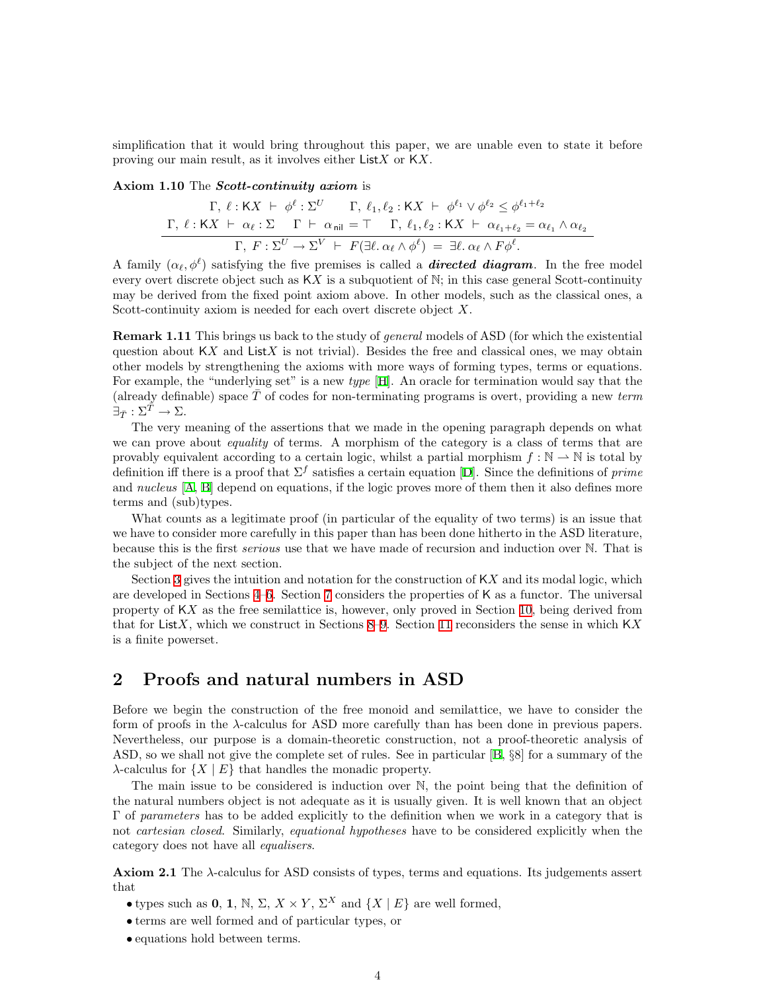<span id="page-3-0"></span>simplification that it would bring throughout this paper, we are unable even to state it before proving our main result, as it involves either  $List X$  or  $K X$ .

#### <span id="page-3-1"></span>Axiom 1.10 The Scott-continuity axiom is

$$
\Gamma, \ell: \mathsf{K}X \ \vdash \ \phi^{\ell}: \Sigma^{U} \qquad \Gamma, \ \ell_1, \ell_2: \mathsf{K}X \ \vdash \ \phi^{\ell_1} \lor \phi^{\ell_2} \leq \phi^{\ell_1 + \ell_2}
$$
\n
$$
\Gamma, \ \ell: \mathsf{K}X \ \vdash \ \alpha_{\ell}: \Sigma \qquad \Gamma \ \vdash \ \alpha_{\mathsf{nil}} = \top \qquad \Gamma, \ \ell_1, \ell_2: \mathsf{K}X \ \vdash \ \alpha_{\ell_1 + \ell_2} = \alpha_{\ell_1} \land \alpha_{\ell_2}
$$
\n
$$
\Gamma, \ F: \Sigma^{U} \to \Sigma^{V} \ \vdash \ F(\exists \ell. \ \alpha_{\ell} \land \phi^{\ell}) = \ \exists \ell. \ \alpha_{\ell} \land \ F\phi^{\ell}.
$$

A family  $(\alpha_{\ell}, \phi^{\ell})$  satisfying the five premises is called a **directed diagram**. In the free model every overt discrete object such as  $KX$  is a subquotient of  $\mathbb{N}$ ; in this case general Scott-continuity may be derived from the fixed point axiom above. In other models, such as the classical ones, a Scott-continuity axiom is needed for each overt discrete object X.

**Remark 1.11** This brings us back to the study of *general* models of ASD (for which the existential question about  $KX$  and ListX is not trivial). Besides the free and classical ones, we may obtain other models by strengthening the axioms with more ways of forming types, terms or equations. For example, the "underlying set" is a new *type* [[H](#page-33-0)]. An oracle for termination would say that the (already definable) space  $\overline{T}$  of codes for non-terminating programs is overt, providing a new term  $\exists_{\bar{T}} : \Sigma^{\bar{T}} \to \Sigma.$ 

The very meaning of the assertions that we made in the opening paragraph depends on what we can prove about *equality* of terms. A morphism of the category is a class of terms that are provably equivalent according to a certain logic, whilst a partial morphism  $f : \mathbb{N} \to \mathbb{N}$  is total by definitioniff there is a proof that  $\Sigma^f$  satisfies a certain equation [[D](#page-33-10)]. Since the definitions of prime and *nucleus* [[A](#page-33-11), [B\]](#page-33-12) depend on equations, if the logic proves more of them then it also defines more terms and (sub)types.

What counts as a legitimate proof (in particular of the equality of two terms) is an issue that we have to consider more carefully in this paper than has been done hitherto in the ASD literature, because this is the first *serious* use that we have made of recursion and induction over N. That is the subject of the next section.

Section [3](#page-7-1) gives the intuition and notation for the construction of  $\mathsf{K}X$  and its modal logic, which are developed in Sections [4–](#page-11-1)[6.](#page-16-1) Section [7](#page-17-1) considers the properties of K as a functor. The universal property of KX as the free semilattice is, however, only proved in Section [10,](#page-27-1) being derived from that for ListX, which we construct in Sections [8–](#page-21-1)[9.](#page-24-1) Section [11](#page-29-1) reconsiders the sense in which  $\mathsf{K}X$ is a finite powerset.

## 2 Proofs and natural numbers in ASD

Before we begin the construction of the free monoid and semilattice, we have to consider the form of proofs in the  $\lambda$ -calculus for ASD more carefully than has been done in previous papers. Nevertheless, our purpose is a domain-theoretic construction, not a proof-theoretic analysis of ASD, so we shall not give the complete set of rules. See in particular[[B,](#page-33-12) §8] for a summary of the  $\lambda$ -calculus for  $\{X \mid E\}$  that handles the monadic property.

The main issue to be considered is induction over N, the point being that the definition of the natural numbers object is not adequate as it is usually given. It is well known that an object Γ of parameters has to be added explicitly to the definition when we work in a category that is not *cartesian closed*. Similarly, *equational hypotheses* have to be considered explicitly when the category does not have all equalisers.

**Axiom 2.1** The  $\lambda$ -calculus for ASD consists of types, terms and equations. Its judgements assert that

- types such as 0, 1, N,  $\Sigma$ ,  $X \times Y$ ,  $\Sigma^X$  and  $\{X \mid E\}$  are well formed,
- terms are well formed and of particular types, or
- equations hold between terms.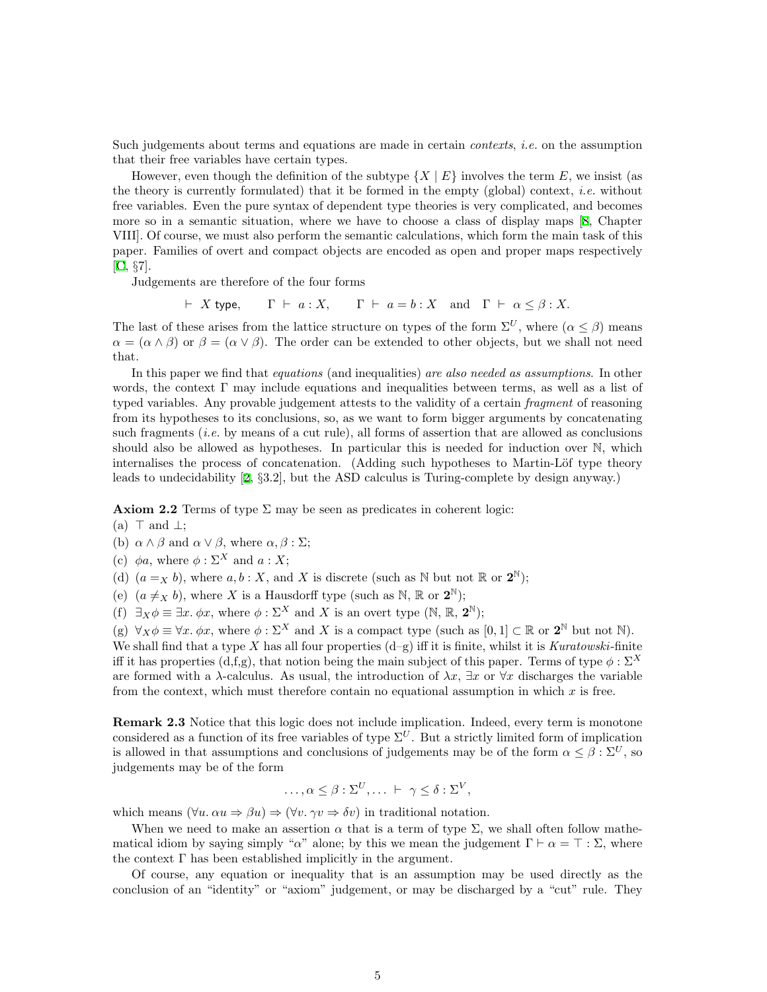Such judgements about terms and equations are made in certain *contexts*, *i.e.* on the assumption that their free variables have certain types.

However, even though the definition of the subtype  $\{X \mid E\}$  involves the term E, we insist (as the theory is currently formulated) that it be formed in the empty (global) context, *i.e.* without free variables. Even the pure syntax of dependent type theories is very complicated, and becomes more so in a semantic situation, where we have to choose a class of display maps [\[8](#page-33-9), Chapter VIII]. Of course, we must also perform the semantic calculations, which form the main task of this paper. Families of overt and compact objects are encoded as open and proper maps respectively [[C,](#page-33-4) §7].

Judgements are therefore of the four forms

 $\vdash X$  type,  $\Gamma \vdash a : X$ ,  $\Gamma \vdash a = b : X$  and  $\Gamma \vdash \alpha \leq \beta : X$ .

The last of these arises from the lattice structure on types of the form  $\Sigma^U$ , where  $(\alpha \leq \beta)$  means  $\alpha = (\alpha \wedge \beta)$  or  $\beta = (\alpha \vee \beta)$ . The order can be extended to other objects, but we shall not need that.

In this paper we find that *equations* (and inequalities) are also needed as assumptions. In other words, the context Γ may include equations and inequalities between terms, as well as a list of typed variables. Any provable judgement attests to the validity of a certain *fragment* of reasoning from its hypotheses to its conclusions, so, as we want to form bigger arguments by concatenating such fragments (*i.e.* by means of a cut rule), all forms of assertion that are allowed as conclusions should also be allowed as hypotheses. In particular this is needed for induction over N, which internalises the process of concatenation. (Adding such hypotheses to Martin-Löf type theory leads to undecidability[[2,](#page-33-13) §3.2], but the ASD calculus is Turing-complete by design anyway.)

**Axiom 2.2** Terms of type  $\Sigma$  may be seen as predicates in coherent logic:

(a)  $\top$  and  $\bot$ ;

(b)  $\alpha \wedge \beta$  and  $\alpha \vee \beta$ , where  $\alpha, \beta : \Sigma$ ;

(c)  $\phi a$ , where  $\phi : \Sigma^X$  and  $a : X$ :

(d)  $(a =_X b)$ , where  $a, b : X$ , and X is discrete (such as N but not R or  $2^N$ );

(e)  $(a \neq_X b)$ , where X is a Hausdorff type (such as N, R or  $2^N$ );

(f)  $\exists_X \phi \equiv \exists x. \phi x$ , where  $\phi : \Sigma^X$  and X is an overt type  $(\mathbb{N}, \mathbb{R}, \mathbf{2}^{\mathbb{N}})$ ;

(g)  $\forall_X \phi \equiv \forall x. \phi x$ , where  $\phi : \Sigma^X$  and X is a compact type (such as  $[0,1] \subset \mathbb{R}$  or  $\mathbf{2}^{\mathbb{N}}$  but not  $\mathbb{N}$ ). We shall find that a type X has all four properties  $(d-g)$  iff it is finite, whilst it is Kuratowski-finite iff it has properties (d,f,g), that notion being the main subject of this paper. Terms of type  $\phi : \Sigma^X$ are formed with a  $\lambda$ -calculus. As usual, the introduction of  $\lambda x$ ,  $\exists x$  or  $\forall x$  discharges the variable from the context, which must therefore contain no equational assumption in which  $x$  is free.

Remark 2.3 Notice that this logic does not include implication. Indeed, every term is monotone considered as a function of its free variables of type  $\Sigma^U$ . But a strictly limited form of implication is allowed in that assumptions and conclusions of judgements may be of the form  $\alpha \leq \beta : \Sigma^U$ , so judgements may be of the form

$$
\ldots, \alpha \leq \beta : \Sigma^U, \ldots \vdash \gamma \leq \delta : \Sigma^V,
$$

which means  $(\forall u. \alpha u \Rightarrow \beta u) \Rightarrow (\forall v. \gamma v \Rightarrow \delta v)$  in traditional notation.

When we need to make an assertion  $\alpha$  that is a term of type  $\Sigma$ , we shall often follow mathematical idiom by saying simply " $\alpha$ " alone; by this we mean the judgement  $\Gamma \vdash \alpha = \top : \Sigma$ , where the context  $\Gamma$  has been established implicitly in the argument.

Of course, any equation or inequality that is an assumption may be used directly as the conclusion of an "identity" or "axiom" judgement, or may be discharged by a "cut" rule. They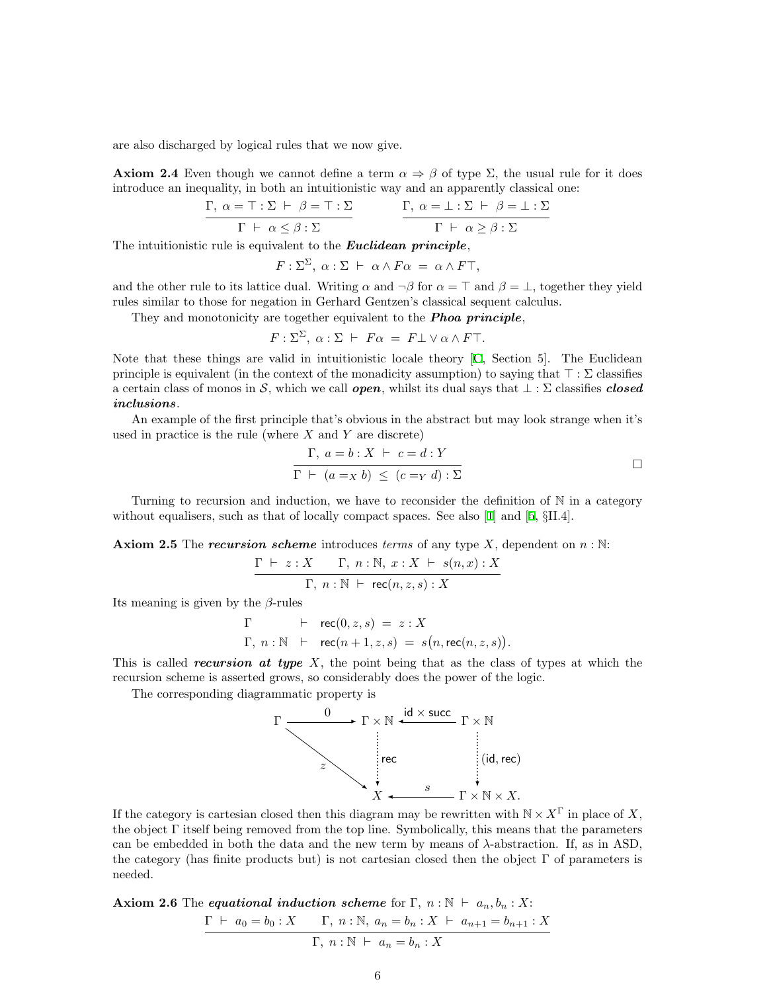<span id="page-5-2"></span>are also discharged by logical rules that we now give.

**Axiom 2.4** Even though we cannot define a term  $\alpha \Rightarrow \beta$  of type  $\Sigma$ , the usual rule for it does introduce an inequality, in both an intuitionistic way and an apparently classical one:

$$
\cfrac{\Gamma,\ \alpha=\top:\Sigma\ \vdash\ \beta=\top:\Sigma}{\Gamma\ \vdash\ \alpha\leq\beta:\Sigma} \qquad \qquad \cfrac{\Gamma,\ \alpha=\bot:\Sigma\ \vdash\ \beta=\bot:\Sigma}{\Gamma\ \vdash\ \alpha\geq\beta:\Sigma}
$$

The intuitionistic rule is equivalent to the **Euclidean principle**,

$$
F: \Sigma^{\Sigma}, \alpha: \Sigma \vdash \alpha \wedge F\alpha = \alpha \wedge F\top,
$$

and the other rule to its lattice dual. Writing  $\alpha$  and  $\neg \beta$  for  $\alpha = \top$  and  $\beta = \bot$ , together they yield rules similar to those for negation in Gerhard Gentzen's classical sequent calculus.

They and monotonicity are together equivalent to the **Phoa principle**,

$$
F: \Sigma^{\Sigma}, \ \alpha: \Sigma \vdash F\alpha = F \bot \lor \alpha \land F \top.
$$

Note that these things are valid in intuitionistic locale theory[[C](#page-33-4), Section 5]. The Euclidean principle is equivalent (in the context of the monadicity assumption) to saying that  $\top : \Sigma$  classifies a certain class of monos in S, which we call **open**, whilst its dual says that  $\bot : \Sigma$  classifies **closed** inclusions.

An example of the first principle that's obvious in the abstract but may look strange when it's used in practice is the rule (where  $X$  and  $Y$  are discrete)

$$
\frac{\Gamma, a = b : X \vdash c = d : Y}{\Gamma \vdash (a = x b) \le (c = y d) : \Sigma}
$$

Turning to recursion and induction, we have to reconsider the definition of  $\mathbb N$  in a category without equalisers, such as that of locally compact spaces. See also [\[1](#page-33-14)] and [\[5](#page-33-15), §II.4].

<span id="page-5-0"></span>**Axiom 2.5** The *recursion scheme* introduces *terms* of any type X, dependent on  $n : \mathbb{N}$ :

$$
\frac{\Gamma \vdash z : X \quad \Gamma, n : \mathbb{N}, x : X \vdash s(n, x) : X}{\Gamma, n : \mathbb{N} \vdash \mathsf{rec}(n, z, s) : X}
$$

Its meaning is given by the  $\beta$ -rules

$$
\Gamma \qquad \vdash \quad \text{rec}(0, z, s) = z : X
$$
  
 
$$
\Gamma, n : \mathbb{N} \quad \vdash \quad \text{rec}(n+1, z, s) = s(n, \text{rec}(n, z, s)).
$$

This is called *recursion at type X*, the point being that as the class of types at which the recursion scheme is asserted grows, so considerably does the power of the logic.

The corresponding diagrammatic property is



If the category is cartesian closed then this diagram may be rewritten with  $N \times X^{\Gamma}$  in place of X. the object Γ itself being removed from the top line. Symbolically, this means that the parameters can be embedded in both the data and the new term by means of λ-abstraction. If, as in ASD, the category (has finite products but) is not cartesian closed then the object  $\Gamma$  of parameters is needed.

<span id="page-5-1"></span>**Axiom 2.6** The *equational induction scheme* for  $\Gamma$ ,  $n : \mathbb{N} \vdash a_n, b_n : X:$  $\Gamma \vdash a_0 = b_0 : X \qquad \Gamma, n : \mathbb{N}, a_n = b_n : X \vdash a_{n+1} = b_{n+1} : X$  $\Gamma, n : \mathbb{N} \vdash a_n = b_n : X$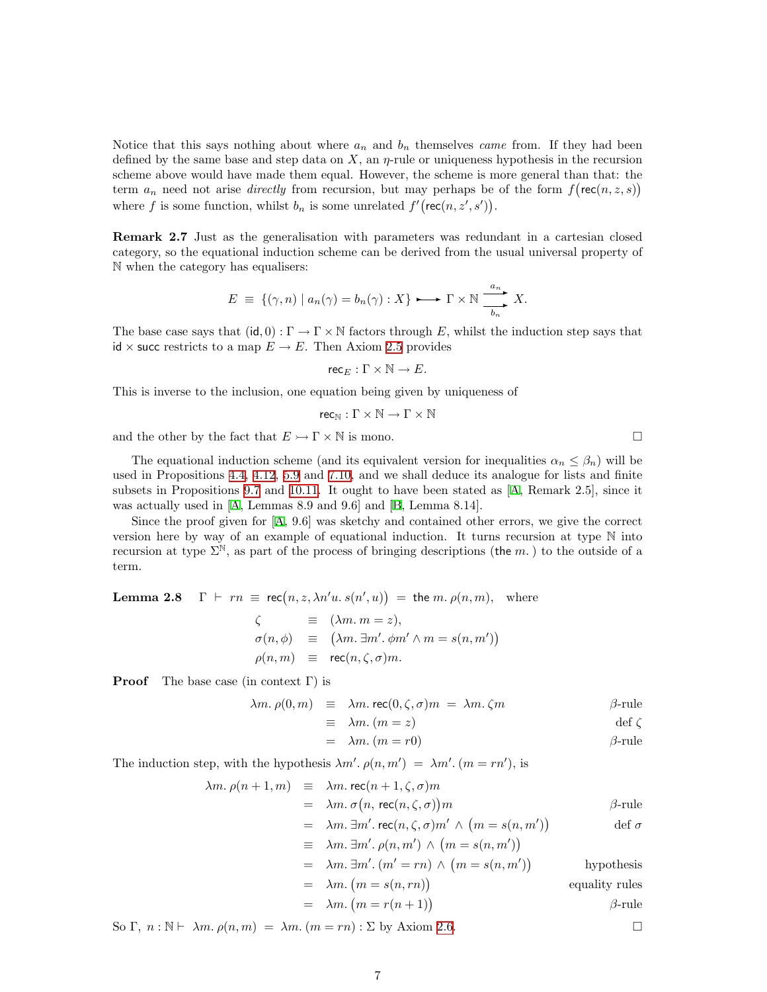Notice that this says nothing about where  $a_n$  and  $b_n$  themselves *came* from. If they had been defined by the same base and step data on X, an  $\eta$ -rule or uniqueness hypothesis in the recursion scheme above would have made them equal. However, the scheme is more general than that: the term  $a_n$  need not arise *directly* from recursion, but may perhaps be of the form  $f(\mathsf{rec}(n, z, s))$ where f is some function, whilst  $b_n$  is some unrelated  $f'(\text{rec}(n, z', s'))$ .

Remark 2.7 Just as the generalisation with parameters was redundant in a cartesian closed category, so the equational induction scheme can be derived from the usual universal property of N when the category has equalisers:

$$
E = \{(\gamma, n) \mid a_n(\gamma) = b_n(\gamma) : X\} \longrightarrow \Gamma \times \mathbb{N} \xrightarrow{\ a_n \ } X.
$$

The base case says that  $(id, 0) : \Gamma \to \Gamma \times \mathbb{N}$  factors through E, whilst the induction step says that id  $\times$  succ restricts to a map  $E \to E$ . Then Axiom [2.5](#page-5-0) provides

 $rec_E : \Gamma \times \mathbb{N} \to E$ .

This is inverse to the inclusion, one equation being given by uniqueness of

$$
\mathsf{rec}_{\mathbb{N}}:\Gamma\times\mathbb{N}\to\Gamma\times\mathbb{N}
$$

and the other by the fact that  $E \rightarrow \Gamma \times \mathbb{N}$  is mono.

The equational induction scheme (and its equivalent version for inequalities  $\alpha_n \leq \beta_n$ ) will be used in Propositions [4.4,](#page-12-0) [4.12,](#page-13-1) [5.9](#page-15-0) and [7.10](#page-19-0), and we shall deduce its analogue for lists and finite subsets in Propositions [9.7](#page-25-0) and [10.11.](#page-29-2) It ought to have been stated as [\[A,](#page-33-11) Remark 2.5], since it was actually used in [\[A,](#page-33-11) Lemmas 8.9 and 9.6] and[[B,](#page-33-12) Lemma 8.14].

Since the proof given for [\[A,](#page-33-11) 9.6] was sketchy and contained other errors, we give the correct version here by way of an example of equational induction. It turns recursion at type N into recursion at type  $\Sigma^{\mathbb{N}}$ , as part of the process of bringing descriptions (the m.) to the outside of a term.

**Lemma 2.8**  $\Gamma \vdash rn \equiv \text{rec}(n, z, \lambda n' u. s(n', u)) = \text{the } m. \rho(n, m), \text{ where}$ 

$$
\begin{array}{rcl}\n\zeta & \equiv & (\lambda m.\ m = z), \\
\sigma(n,\phi) & \equiv & (\lambda m.\ \exists m'. \ \phi m' \land m = s(n,m')) \\
\rho(n,m) & \equiv & \mathsf{rec}(n,\zeta,\sigma)m.\n\end{array}
$$

**Proof** The base case (in context  $\Gamma$ ) is

$$
\lambda m. \rho(0, m) \equiv \lambda m. \text{ rec}(0, \zeta, \sigma) m = \lambda m. \zeta m
$$
  $\beta$ -rule

$$
\equiv \lambda m. \ (m = z) \qquad \qquad \text{def } \zeta
$$

$$
= \lambda m. (m = r0) \qquad \beta\text{-rule}
$$

The induction step, with the hypothesis  $\lambda m'. \rho(n, m') = \lambda m'. (m = rn'),$  is

$$
\lambda m. \rho(n+1,m) \equiv \lambda m. \text{ rec}(n+1,\zeta,\sigma)m
$$
  
\n
$$
= \lambda m. \sigma (n, \text{ rec}(n,\zeta,\sigma))m
$$
  
\n
$$
= \lambda m. \exists m'. \text{ rec}(n,\zeta,\sigma)m' \land (m = s(n,m'))
$$
  
\n
$$
\equiv \lambda m. \exists m'. \rho(n,m') \land (m = s(n,m'))
$$
  
\n
$$
= \lambda m. \exists m'. (m' = rn) \land (m = s(n,m'))
$$
hypothesis  
\n
$$
= \lambda m. (m = s(n, rn))
$$
equality rules

$$
= \lambda m. (m = r(n + 1))
$$
 *β*-rule

So  $\Gamma$ ,  $n : \mathbb{N} \vdash \lambda m$ .  $\rho(n,m) = \lambda m$ .  $(m = rn) : \Sigma$  by Axiom [2.6.](#page-5-1)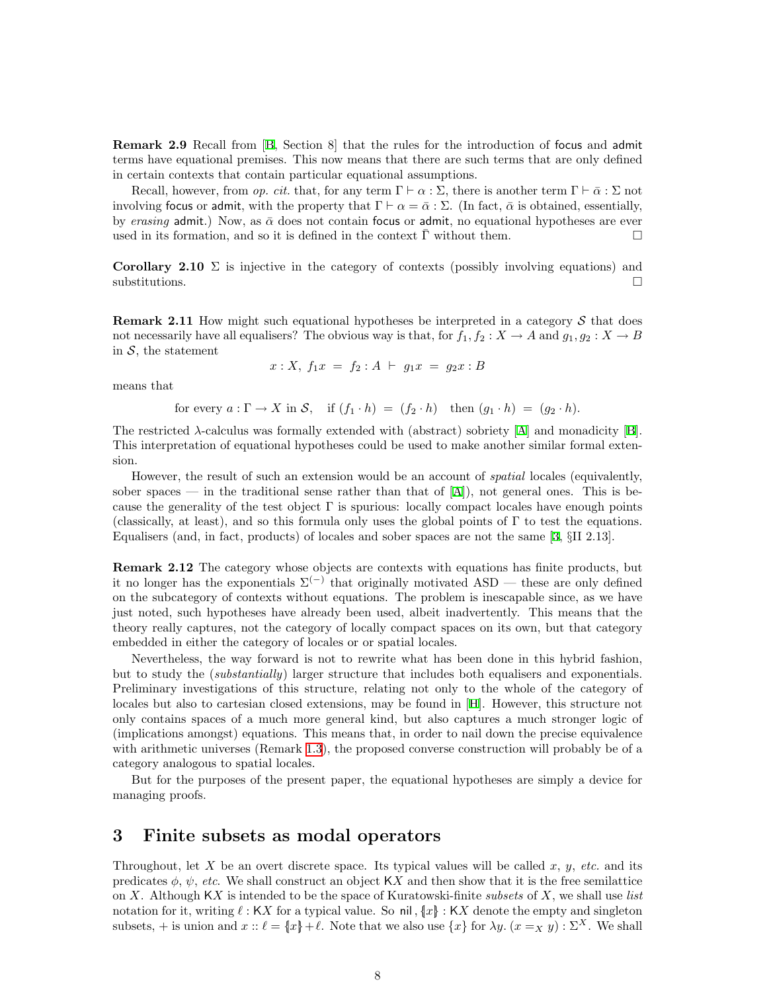<span id="page-7-0"></span>Remark 2.9 Recall from[[B](#page-33-12), Section 8] that the rules for the introduction of focus and admit terms have equational premises. This now means that there are such terms that are only defined in certain contexts that contain particular equational assumptions.

Recall, however, from *op. cit.* that, for any term  $\Gamma \vdash \alpha : \Sigma$ , there is another term  $\Gamma \vdash \bar{\alpha} : \Sigma$  not involving focus or admit, with the property that  $\Gamma \vdash \alpha = \bar{\alpha} : \Sigma$ . (In fact,  $\bar{\alpha}$  is obtained, essentially, by erasing admit.) Now, as  $\bar{\alpha}$  does not contain focus or admit, no equational hypotheses are ever used in its formation, and so it is defined in the context  $\bar{\Gamma}$  without them.  $\Box$ 

Corollary 2.10  $\Sigma$  is injective in the category of contexts (possibly involving equations) and  $\Box$ substitutions.

**Remark 2.11** How might such equational hypotheses be interpreted in a category  $S$  that does not necessarily have all equalisers? The obvious way is that, for  $f_1, f_2 : X \to A$  and  $g_1, g_2 : X \to B$ in  $S$ , the statement

$$
x: X, f_1x = f_2: A \vdash g_1x = g_2x : B
$$

means that

for every 
$$
a: \Gamma \to X
$$
 in  $S$ , if  $(f_1 \cdot h) = (f_2 \cdot h)$  then  $(g_1 \cdot h) = (g_2 \cdot h)$ .

Therestricted  $\lambda$ -calculus was formally extended with (abstract) sobriety [[A](#page-33-11)] and monadicity [\[B](#page-33-12)]. This interpretation of equational hypotheses could be used to make another similar formal extension.

However, the result of such an extension would be an account of spatial locales (equivalently, soberspaces — in the traditional sense rather than that of  $|A|$  $|A|$  $|A|$ ), not general ones. This is because the generality of the test object  $\Gamma$  is spurious: locally compact locales have enough points (classically, at least), and so this formula only uses the global points of Γ to test the equations. Equalisers (and, in fact, products) of locales and sober spaces are not the same[[3,](#page-33-16) §II 2.13].

Remark 2.12 The category whose objects are contexts with equations has finite products, but it no longer has the exponentials  $\Sigma^{(-)}$  that originally motivated ASD — these are only defined on the subcategory of contexts without equations. The problem is inescapable since, as we have just noted, such hypotheses have already been used, albeit inadvertently. This means that the theory really captures, not the category of locally compact spaces on its own, but that category embedded in either the category of locales or or spatial locales.

Nevertheless, the way forward is not to rewrite what has been done in this hybrid fashion, but to study the *(substantially)* larger structure that includes both equalisers and exponentials. Preliminary investigations of this structure, relating not only to the whole of the category of locales but also to cartesian closed extensions, may be found in[[H](#page-33-0)]. However, this structure not only contains spaces of a much more general kind, but also captures a much stronger logic of (implications amongst) equations. This means that, in order to nail down the precise equivalence with arithmetic universes (Remark [1.3](#page-1-0)), the proposed converse construction will probably be of a category analogous to spatial locales.

But for the purposes of the present paper, the equational hypotheses are simply a device for managing proofs.

## <span id="page-7-1"></span>3 Finite subsets as modal operators

Throughout, let X be an overt discrete space. Its typical values will be called x, y, etc. and its predicates  $\phi$ ,  $\psi$ , etc. We shall construct an object KX and then show that it is the free semilattice on X. Although  $\mathsf{K}X$  is intended to be the space of Kuratowski-finite subsets of X, we shall use list notation for it, writing  $\ell : K X$  for a typical value. So nil,  $\{x\} : K X$  denote the empty and singleton subsets, + is union and  $x :: \ell = \{x\} + \ell$ . Note that we also use  $\{x\}$  for  $\lambda y.$   $(x =_X y) : \Sigma^X$ . We shall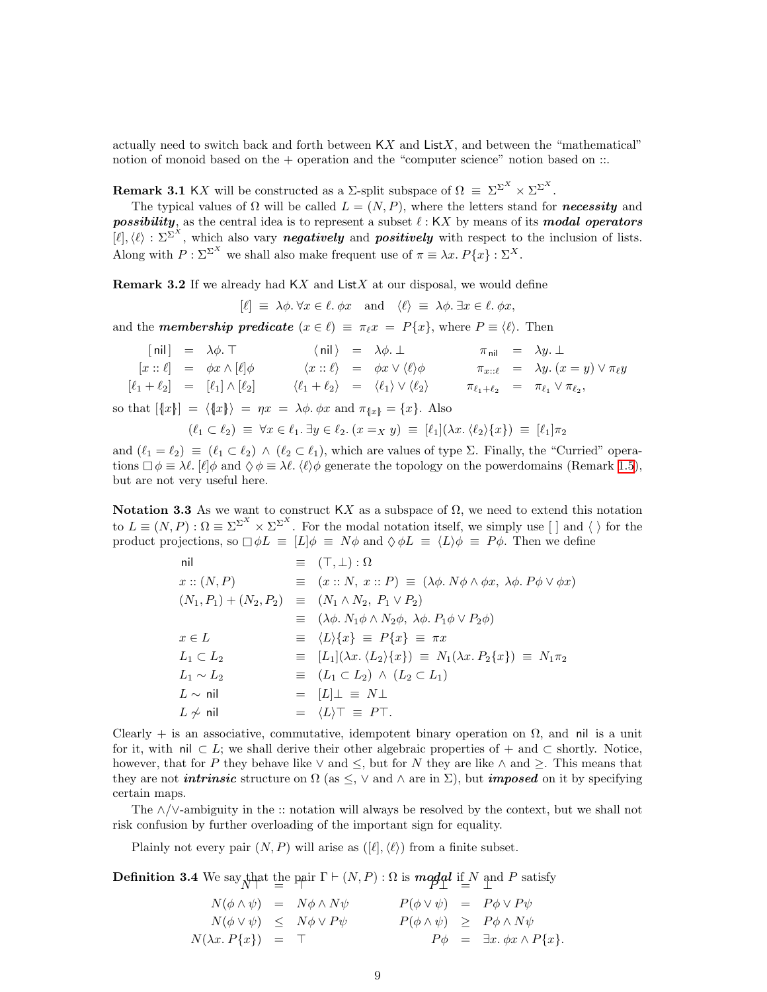actually need to switch back and forth between  $\mathsf{K}X$  and  $\mathsf{List}X$ , and between the "mathematical" notion of monoid based on the  $+$  operation and the "computer science" notion based on  $\ldots$ 

**Remark 3.1** KX will be constructed as a  $\Sigma$ -split subspace of  $\Omega = \Sigma^{\Sigma^X} \times \Sigma^{\Sigma^X}$ .

The typical values of  $\Omega$  will be called  $L = (N, P)$ , where the letters stand for **necessity** and possibility, as the central idea is to represent a subset  $\ell : KX$  by means of its modal operators  $[\ell], \langle \ell \rangle : \Sigma^{\Sigma^{X}}$ , which also vary **negatively** and **positively** with respect to the inclusion of lists. Along with  $P : \Sigma^{\Sigma^{X}}$  we shall also make frequent use of  $\pi \equiv \lambda x. P\{x\} : \Sigma^{X}$ .

<span id="page-8-0"></span>**Remark 3.2** If we already had  $KX$  and  $ListX$  at our disposal, we would define

$$
[\ell] \equiv \lambda \phi. \forall x \in \ell. \phi x \text{ and } \langle \ell \rangle \equiv \lambda \phi. \exists x \in \ell. \phi x,
$$

and the **membership predicate**  $(x \in \ell) \equiv \pi_{\ell} x = P\{x\}$ , where  $P \equiv \langle \ell \rangle$ . Then

|  | $[nil] = \lambda \phi$ . T                                                                                                                                    |  | $\langle \text{nil} \rangle = \lambda \phi. \perp$                                                                                                                                     |  | $\pi_{\text{nil}} = \lambda y. \perp$                   |
|--|---------------------------------------------------------------------------------------------------------------------------------------------------------------|--|----------------------------------------------------------------------------------------------------------------------------------------------------------------------------------------|--|---------------------------------------------------------|
|  | $[x:: \ell] = \phi x \wedge [\ell] \phi$                                                                                                                      |  | $\langle x : \ell \rangle = \phi x \vee \langle \ell \rangle \phi$                                                                                                                     |  | $\pi_{x::\ell} = \lambda y. (x = y) \vee \pi_{\ell}y$   |
|  | $[\ell_1 + \ell_2] = [\ell_1] \wedge [\ell_2]$                                                                                                                |  | $\langle \ell_1 + \ell_2 \rangle = \langle \ell_1 \rangle \vee \langle \ell_2 \rangle$                                                                                                 |  | $\pi_{\ell_1+\ell_2} = \pi_{\ell_1} \vee \pi_{\ell_2},$ |
|  | so that $[\lbrace x \rbrace] = \langle \lbrace x \rbrace \rangle = \eta x = \lambda \phi$ . $\phi x$ and $\pi_{\lbrace x \rbrace} = \lbrace x \rbrace$ . Also |  |                                                                                                                                                                                        |  |                                                         |
|  |                                                                                                                                                               |  | $(\ell_1 \subset \ell_2) \equiv \forall x \in \ell_1 \ldotp \exists y \in \ell_2 \ldotp (x =_X y) \equiv [\ell_1](\lambda x \ldotp \langle \ell_2 \rangle \{x\}) \equiv [\ell_1]\pi_2$ |  |                                                         |

and  $(\ell_1 = \ell_2) \equiv (\ell_1 \subset \ell_2) \land (\ell_2 \subset \ell_1)$ , which are values of type Σ. Finally, the "Curried" operations  $\Box \phi \equiv \lambda \ell$ . [ $\ell$ ] $\phi$  and  $\Diamond \phi \equiv \lambda \ell$ .  $\langle \ell \rangle \phi$  generate the topology on the powerdomains (Remark [1.5](#page-1-1)), but are not very useful here.

<span id="page-8-1"></span>Notation 3.3 As we want to construct KX as a subspace of  $\Omega$ , we need to extend this notation to  $L \equiv (N, P) : \Omega \equiv \Sigma^{\Sigma^{X}} \times \Sigma^{\Sigma^{X}}$ . For the modal notation itself, we simply use  $[ \ ]$  and  $\langle \ \rangle$  for the product projections, so  $\Box \phi L \equiv [L] \phi \equiv N \phi$  and  $\Diamond \phi L \equiv \langle L \rangle \phi \equiv P \phi$ . Then we define

| nil                                                             | $\equiv$ $(\top, \bot) : \Omega$                                                                       |
|-----------------------------------------------------------------|--------------------------------------------------------------------------------------------------------|
| x::(N,P)                                                        | $\equiv$ $(x:: N, x:: P) \equiv (\lambda \phi. N\phi \wedge \phi x, \lambda \phi. P\phi \vee \phi x)$  |
| $(N_1, P_1) + (N_2, P_2) \equiv (N_1 \wedge N_2, P_1 \vee P_2)$ |                                                                                                        |
|                                                                 | $\equiv (\lambda \phi. N_1 \phi \wedge N_2 \phi, \lambda \phi. P_1 \phi \vee P_2 \phi)$                |
| $x \in L$                                                       | $\equiv \langle L \rangle \{x\} \equiv P\{x\} \equiv \pi x$                                            |
| $L_1 \subset L_2$                                               | $\equiv [L_1](\lambda x. \langle L_2 \rangle \{x\}) \equiv N_1(\lambda x. P_2 \{x\}) \equiv N_1 \pi_2$ |
| $L_1 \sim L_2$                                                  | $\equiv (L_1 \subset L_2) \wedge (L_2 \subset L_1)$                                                    |
| $L \sim \text{nil}$                                             | $=  L  \perp \equiv N \perp$                                                                           |
| $L\not\sim$ nil                                                 | $= \langle L \rangle \top \equiv P \top.$                                                              |

Clearly + is an associative, commutative, idempotent binary operation on  $\Omega$ , and nil is a unit for it, with nil  $\subset L$ ; we shall derive their other algebraic properties of + and  $\subset$  shortly. Notice, however, that for P they behave like  $\vee$  and  $\leq$ , but for N they are like  $\wedge$  and  $\geq$ . This means that they are not *intrinsic* structure on  $\Omega$  (as  $\leq$ ,  $\vee$  and  $\wedge$  are in  $\Sigma$ ), but *imposed* on it by specifying certain maps.

The ∧/∨-ambiguity in the :: notation will always be resolved by the context, but we shall not risk confusion by further overloading of the important sign for equality.

Plainly not every pair  $(N, P)$  will arise as  $([\ell], \langle \ell \rangle)$  from a finite subset.

<span id="page-8-2"></span>**Definition 3.4** We say that the pair  $\Gamma \vdash (N, P) : \Omega$  is **modal** if N and P satisfy

 $N(\phi \wedge \psi) = N\phi \wedge N\psi$   $P(\phi \vee \psi) = P\phi \vee P\psi$  $N(\phi \vee \psi) \leq N\phi \vee P\psi$   $P(\phi \wedge \psi) \geq P\phi \wedge N\psi$  $N(\lambda x.\, P\{x\}) = \top$   $P\phi = \exists x.\, \phi x \wedge P\{x\}.$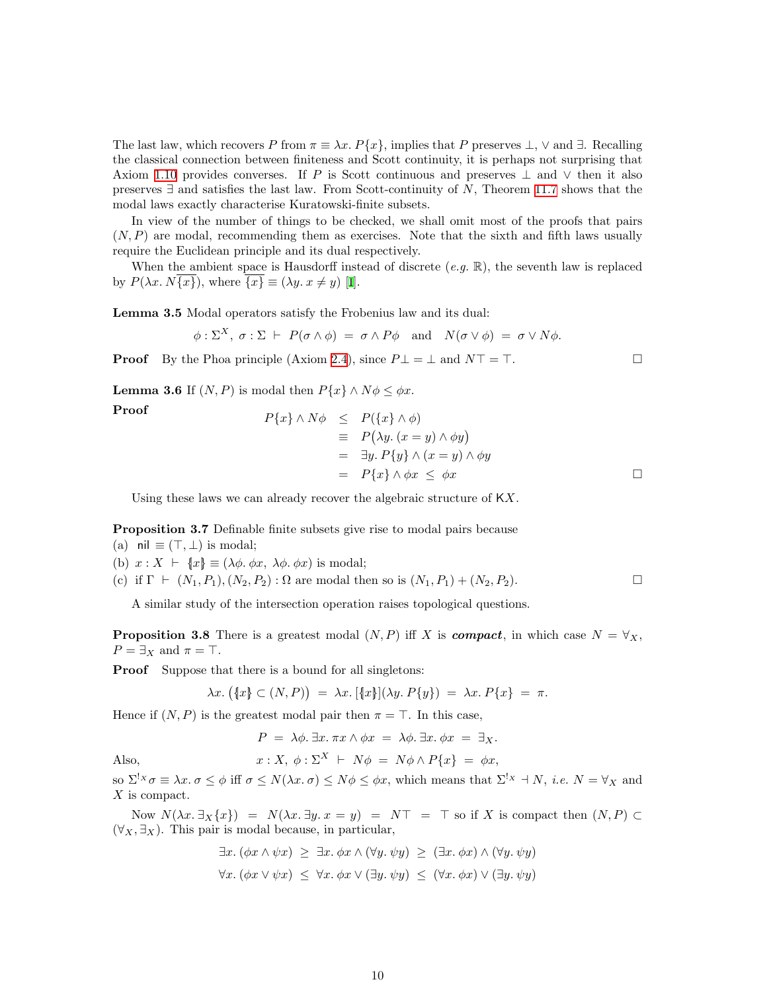The last law, which recovers P from  $\pi \equiv \lambda x. P\{x\}$ , implies that P preserves  $\perp$ ,  $\vee$  and  $\exists$ . Recalling the classical connection between finiteness and Scott continuity, it is perhaps not surprising that Axiom [1.10](#page-3-1) provides converses. If P is Scott continuous and preserves  $\perp$  and  $\vee$  then it also preserves  $\exists$  and satisfies the last law. From Scott-continuity of N, Theorem [11.7](#page-31-0) shows that the modal laws exactly characterise Kuratowski-finite subsets.

In view of the number of things to be checked, we shall omit most of the proofs that pairs  $(N, P)$  are modal, recommending them as exercises. Note that the sixth and fifth laws usually require the Euclidean principle and its dual respectively.

When the ambient space is Hausdorff instead of discrete  $(e.g. \mathbb{R})$ , the seventh law is replaced by $P(\lambda x. N\{x\})$ , where  $\{x\} \equiv (\lambda y. x \neq y)$  [[I](#page-33-8)].

Lemma 3.5 Modal operators satisfy the Frobenius law and its dual:

$$
\phi: \Sigma^X, \sigma: \Sigma \vdash P(\sigma \wedge \phi) = \sigma \wedge P\phi \quad \text{and} \quad N(\sigma \vee \phi) = \sigma \vee N\phi.
$$

<span id="page-9-0"></span>**Proof** By the Phoa principle (Axiom [2.4](#page-5-2)), since  $P \perp = \perp$  and  $N \perp = \perp$ .

**Lemma 3.6** If  $(N, P)$  is modal then  $P\{x\} \wedge N\phi \leq \phi x$ .

Proof  
\n
$$
P\{x\} \land N\phi \leq P(\{x\} \land \phi)
$$
\n
$$
\equiv P(\lambda y. (x = y) \land \phi y)
$$
\n
$$
= \exists y. P\{y\} \land (x = y) \land \phi y
$$
\n
$$
= P\{x\} \land \phi x \leq \phi x
$$

Using these laws we can already recover the algebraic structure of KX.

Proposition 3.7 Definable finite subsets give rise to modal pairs because

- (a) nil  $\equiv (\top, \perp)$  is modal;
- (b)  $x : X \vdash \{x\} \equiv (\lambda \phi, \phi x, \lambda \phi, \phi x)$  is modal;

(c) if 
$$
\Gamma \vdash (N_1, P_1), (N_2, P_2) : \Omega
$$
 are modal then so is  $(N_1, P_1) + (N_2, P_2)$ .

A similar study of the intersection operation raises topological questions.

<span id="page-9-1"></span>**Proposition 3.8** There is a greatest modal  $(N, P)$  iff X is **compact**, in which case  $N = \forall_X$ ,  $P = \exists x$  and  $\pi = \top$ .

**Proof** Suppose that there is a bound for all singletons:

$$
\lambda x. ([x] \subset (N, P)) = \lambda x. [\{x\}](\lambda y. P\{y\}) = \lambda x. P\{x\} = \pi.
$$

Hence if  $(N, P)$  is the greatest modal pair then  $\pi = \top$ . In this case,

 $P = \lambda \phi$ .  $\exists x. \pi x \wedge \phi x = \lambda \phi$ .  $\exists x. \phi x = \exists x$ .

Also,  
\n
$$
x: X, \ \phi: \Sigma^{X} \vdash N\phi = N\phi \land P\{x\} = \phi x,
$$
\nso  $\Sigma^{!x} \sigma \equiv \lambda x. \ \sigma \leq \phi$  iff  $\sigma \leq N(\lambda x. \ \sigma) \leq N\phi \leq \phi x$ , which means that  $\Sigma^{!x} \dashv N$ , *i.e.*  $N = \forall x$  and

X is compact.

Now  $N(\lambda x. \exists x \{x\}) = N(\lambda x. \exists y. x = y) = NT = T$  so if X is compact then  $(N, P) \subset$ (∀X, ∃X). This pair is modal because, in particular,

$$
\exists x. (\phi x \land \psi x) \geq \exists x. \phi x \land (\forall y. \psi y) \geq (\exists x. \phi x) \land (\forall y. \psi y)
$$
  

$$
\forall x. (\phi x \lor \psi x) \leq \forall x. \phi x \lor (\exists y. \psi y) \leq (\forall x. \phi x) \lor (\exists y. \psi y)
$$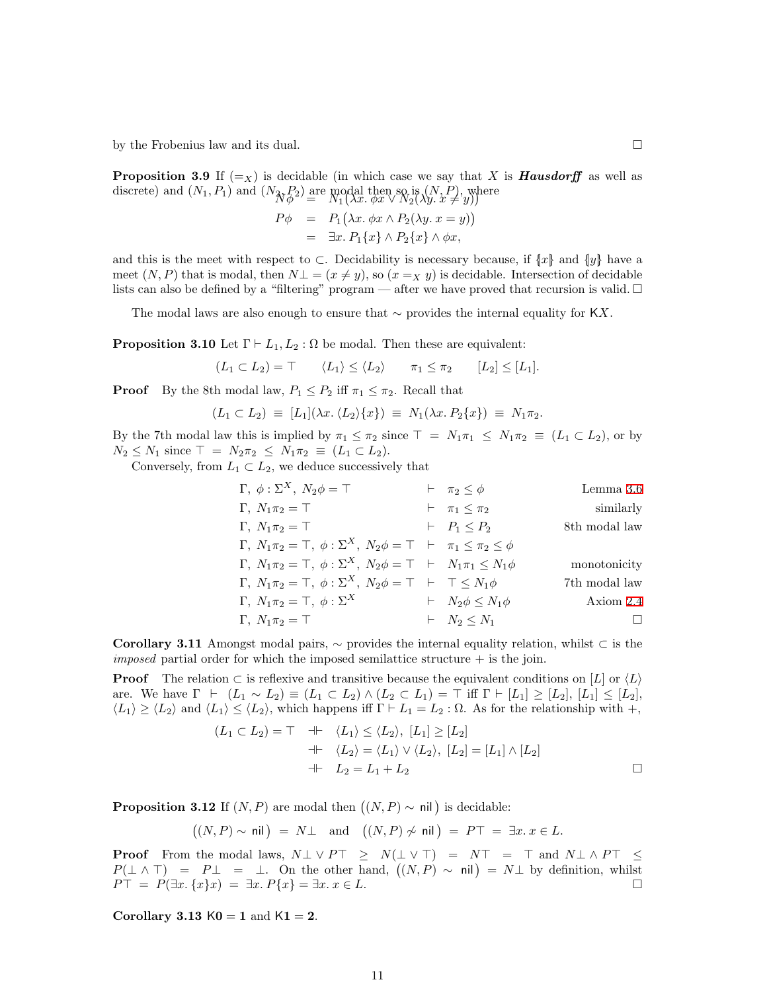<span id="page-10-3"></span>by the Frobenius law and its dual.  $\Box$ 

**Proposition 3.9** If  $(=_X)$  is decidable (in which case we say that X is **Hausdorff** as well as discrete) and  $(N_1, P_1)$  and  $(N_{\mathcal{N}} P_2)$  are modal then so is  $(N, P),$  where  $N_1(\lambda x.\ \varphi x \vee N_2(\lambda y.x \neq y))$ 

$$
P\phi = P_1(\lambda x. \phi x \wedge P_2(\lambda y. x = y))
$$
  
=  $\exists x. P_1\{x\} \wedge P_2\{x\} \wedge \phi x,$ 

and this is the meet with respect to ⊂. Decidability is necessary because, if  $\{x\}$  and  $\{y\}$  have a meet  $(N, P)$  that is modal, then  $N\perp = (x \neq y)$ , so  $(x =_X y)$  is decidable. Intersection of decidable lists can also be defined by a "filtering" program — after we have proved that recursion is valid.  $\Box$ 

The modal laws are also enough to ensure that  $\sim$  provides the internal equality for KX.

<span id="page-10-0"></span>**Proposition 3.10** Let  $\Gamma \vdash L_1, L_2 : \Omega$  be modal. Then these are equivalent:

 $(L_1 \subset L_2) = \top$   $\langle L_1 \rangle \leq \langle L_2 \rangle$   $\pi_1 \leq \pi_2$   $[L_2] \leq [L_1].$ 

**Proof** By the 8th modal law,  $P_1 \leq P_2$  iff  $\pi_1 \leq \pi_2$ . Recall that

$$
(L_1 \subset L_2) \equiv [L_1](\lambda x.\langle L_2 \rangle \{x\}) \equiv N_1(\lambda x.\, P_2\{x\}) \equiv N_1 \pi_2.
$$

By the 7th modal law this is implied by  $\pi_1 \leq \pi_2$  since  $\top = N_1 \pi_1 \leq N_1 \pi_2 \equiv (L_1 \subset L_2)$ , or by  $N_2 \leq N_1$  since  $\top = N_2 \pi_2 \leq N_1 \pi_2 \equiv (L_1 \subset L_2).$ 

Conversely, from  $L_1 \subset L_2$ , we deduce successively that

| $\Gamma, \phi: \Sigma^X, N_2\phi = \top$                                                    | $\vdash \pi_2 \leq \phi$      | Lemma 3.6     |
|---------------------------------------------------------------------------------------------|-------------------------------|---------------|
| $\Gamma, N_1\pi_2 = \top$                                                                   | $\vdash \pi_1 \leq \pi_2$     | similary      |
| $\Gamma, N_1\pi_2 = \top$                                                                   | $\vdash P_1 \leq P_2$         | 8th modal law |
| $\Gamma, N_1\pi_2 = \top, \phi: \Sigma^X, N_2\phi = \top \vdash \pi_1 \leq \pi_2 \leq \phi$ |                               |               |
| $\Gamma, N_1\pi_2 = \top, \phi: \Sigma^X, N_2\phi = \top \vdash N_1\pi_1 \leq N_1\phi$      | monotonicity                  |               |
| $\Gamma, N_1\pi_2 = \top, \phi: \Sigma^X, N_2\phi = \top \vdash \top \leq N_1\phi$          | 7th modal law                 |               |
| $\Gamma, N_1\pi_2 = \top, \phi: \Sigma^X$                                                   | $\vdash N_2\phi \leq N_1\phi$ | 7th modal law |
| $\Gamma, N_1\pi_2 = \top, \phi: \Sigma^X$                                                   | $\vdash N_2\phi \leq N_1\phi$ | Axiom 2.4     |
| $\Gamma, N_1\pi_2 = \top$                                                                   | $\vdash N_2 \leq N_1$         | □             |

<span id="page-10-4"></span>Corollary 3.11 Amongst modal pairs,  $\sim$  provides the internal equality relation, whilst ⊂ is the *imposed* partial order for which the imposed semilattice structure  $+$  is the join.

**Proof** The relation  $\subset$  is reflexive and transitive because the equivalent conditions on [L] or  $\langle L \rangle$ are. We have  $\Gamma \vdash (L_1 \sim L_2) \equiv (L_1 \subset L_2) \land (L_2 \subset L_1) = \top$  iff  $\Gamma \vdash [L_1] \geq [L_2], [L_1] \leq [L_2],$  $\langle L_1 \rangle \ge \langle L_2 \rangle$  and  $\langle L_1 \rangle \le \langle L_2 \rangle$ , which happens iff  $\Gamma \vdash L_1 = L_2 : \Omega$ . As for the relationship with  $+$ ,

$$
(L_1 \subset L_2) = \top \quad \dashv \vdash \quad \langle L_1 \rangle \le \langle L_2 \rangle, \ [L_1] \ge [L_2]
$$
\n
$$
\qquad \qquad \dashv \vdash \quad \langle L_2 \rangle = \langle L_1 \rangle \lor \langle L_2 \rangle, \ [L_2] = [L_1] \land [L_2]
$$
\n
$$
\qquad \qquad \vdash \quad L_2 = L_1 + L_2 \qquad \qquad \Box
$$

<span id="page-10-2"></span>**Proposition 3.12** If  $(N, P)$  are modal then  $((N, P) \sim \text{nil})$  is decidable:

 $((N, P) \sim \text{nil}) = N \perp \text{ and } ((N, P) \not\sim \text{nil}) = P \top = \exists x. x \in L.$ 

**Proof** From the modal laws,  $N \perp \vee P\top \geq N(\perp \vee \top) = N\top = \top$  and  $N \perp \wedge P\top \leq$  $P(\perp \wedge \perp) = P\perp = \perp$ . On the other hand,  $((N, P) \sim \text{nil}) = N\perp$  by definition, whilst  $P\top = P(\exists x, \{x\}x) = \exists x. P\{x\} = \exists x. x \in L.$ 

<span id="page-10-1"></span>Corollary 3.13  $K0 = 1$  and  $K1 = 2$ .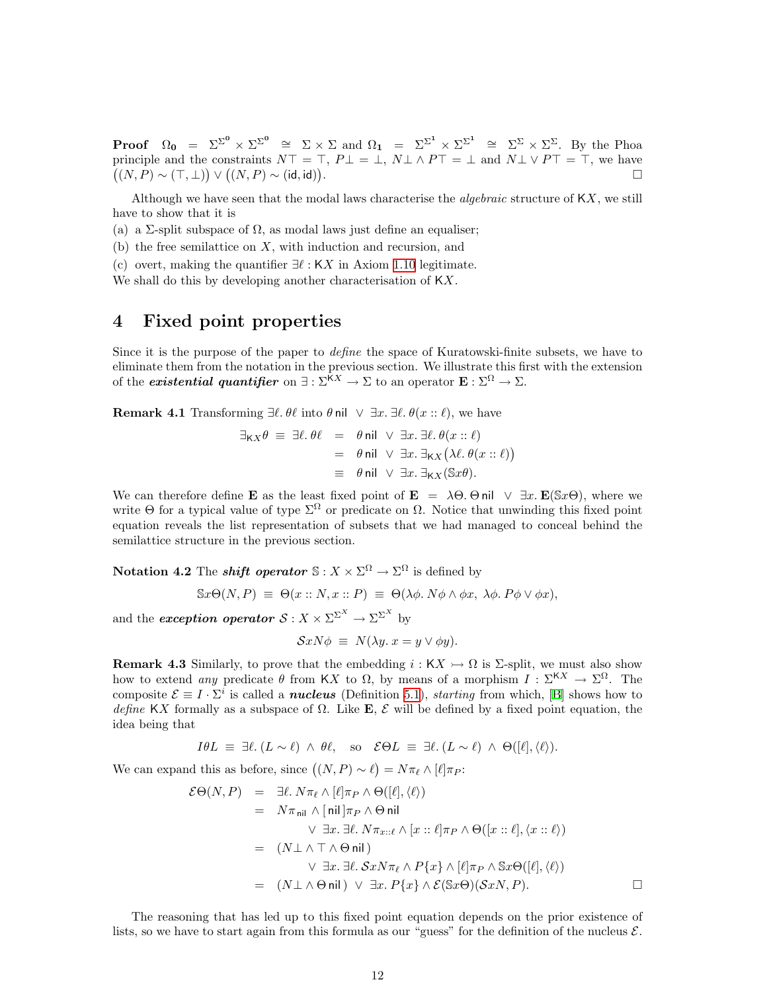<span id="page-11-0"></span>**Proof**  $\Omega_0 = \Sigma^{\Sigma^0} \times \Sigma^{\Sigma^0} \cong \Sigma \times \Sigma$  and  $\Omega_1 = \Sigma^{\Sigma^1} \times \Sigma^{\Sigma^1} \cong \Sigma^{\Sigma} \times \Sigma^{\Sigma}$ . By the Phoa principle and the constraints  $N\top = \top$ ,  $P\bot = \bot$ ,  $N\bot \wedge P\top = \bot$  and  $N\bot \vee P\top = \top$ , we have  $((N, P) \sim (\top, \bot)) \vee ((N, P) \sim (id, id))$ . В последните последните последните последните последните последните последните последните последните последн<br>В последните последните последните последните последните последните последните последните последните последнит

Although we have seen that the modal laws characterise the *algebraic* structure of  $KX$ , we still have to show that it is

(a) a Σ-split subspace of  $\Omega$ , as modal laws just define an equaliser;

 $(b)$  the free semilattice on X, with induction and recursion, and

(c) overt, making the quantifier  $\exists \ell : K X$  in Axiom [1.10](#page-3-1) legitimate.

We shall do this by developing another characterisation of  $\mathsf{K} X$ .

## <span id="page-11-1"></span>4 Fixed point properties

Since it is the purpose of the paper to define the space of Kuratowski-finite subsets, we have to eliminate them from the notation in the previous section. We illustrate this first with the extension of the *existential quantifier* on  $\exists : \Sigma^{\tilde{K}X} \to \Sigma$  to an operator  $\mathbf{E} : \Sigma^{\Omega} \to \Sigma$ .

**Remark 4.1** Transforming  $\exists \ell$ .  $\theta \ell$  into  $\theta$  nil  $\vee \exists x. \exists \ell$ .  $\theta(x :: \ell)$ , we have

$$
\exists_{\mathsf{K}X}\theta \equiv \exists \ell. \theta\ell = \theta \text{ nil } \vee \exists x. \exists \ell. \theta(x::\ell)
$$
  
=  $\theta \text{ nil } \vee \exists x. \exists_{\mathsf{K}X} (\lambda \ell. \theta(x::\ell))$   

$$
\equiv \theta \text{ nil } \vee \exists x. \exists_{\mathsf{K}X} (\mathbb{S}x\theta).
$$

We can therefore define **E** as the least fixed point of **E** =  $\lambda \Theta$ .  $\Theta$  nil  $\vee \exists x$ . **E**(Sx $\Theta$ ), where we write Θ for a typical value of type  $\Sigma^{\Omega}$  or predicate on  $\Omega$ . Notice that unwinding this fixed point equation reveals the list representation of subsets that we had managed to conceal behind the semilattice structure in the previous section.

Notation 4.2 The *shift operator*  $\mathbb{S}: X \times \Sigma^{\Omega} \to \Sigma^{\Omega}$  is defined by

 $\mathbb{S}x\Theta(N,P) \equiv \Theta(x:: N, x:: P) \equiv \Theta(\lambda \phi \cdot N\phi \wedge \phi x, \lambda \phi \cdot P\phi \vee \phi x),$ 

and the *exception operator*  $S: X \times \Sigma^{\Sigma^X} \to \Sigma^{\Sigma^X}$  by

$$
\mathcal{S}xN\phi \equiv N(\lambda y. x = y \vee \phi y).
$$

<span id="page-11-2"></span>**Remark 4.3** Similarly, to prove that the embedding  $i : K X \rightarrow \Omega$  is  $\Sigma$ -split, we must also show how to extend any predicate  $\theta$  from KX to  $\Omega$ , by means of a morphism  $I : \Sigma^{KX} \to \Sigma^{\Omega}$ . The composite  $\mathcal{E} \equiv I \cdot \Sigma^i$  is called a **nucleus** (Definition [5.1](#page-13-2)), *starting* from which, [\[B](#page-33-12)] shows how to define KX formally as a subspace of  $\Omega$ . Like **E**,  $\mathcal{E}$  will be defined by a fixed point equation, the idea being that

$$
I\theta L \equiv \exists \ell. (L \sim \ell) \land \theta \ell, \text{ so } \mathcal{E}\Theta L \equiv \exists \ell. (L \sim \ell) \land \Theta([\ell], \langle \ell \rangle).
$$

We can expand this as before, since  $((N, P) \sim \ell) = N \pi_{\ell} \wedge [\ell] \pi_{P}$ :

$$
\mathcal{E}\Theta(N, P) = \exists \ell. N\pi_{\ell} \wedge [\ell]\pi_{P} \wedge \Theta([\ell], \langle \ell \rangle)
$$
  
\n
$$
= N\pi_{\text{nil}} \wedge [\text{nil}]\pi_{P} \wedge \Theta \text{nil}
$$
  
\n
$$
\vee \exists x. \exists \ell. N\pi_{x::\ell} \wedge [x :: \ell]\pi_{P} \wedge \Theta([x :: \ell], \langle x :: \ell \rangle)
$$
  
\n
$$
= (N \bot \wedge \top \wedge \Theta \text{nil})
$$
  
\n
$$
\vee \exists x. \exists \ell. Sx N\pi_{\ell} \wedge P\{x\} \wedge [\ell]\pi_{P} \wedge \text{Sx}\Theta([\ell], \langle \ell \rangle)
$$
  
\n
$$
= (N \bot \wedge \Theta \text{nil}) \vee \exists x. P\{x\} \wedge \mathcal{E}(\text{Sx}\Theta)(SxN, P).
$$

The reasoning that has led up to this fixed point equation depends on the prior existence of lists, so we have to start again from this formula as our "guess" for the definition of the nucleus  $\mathcal{E}$ .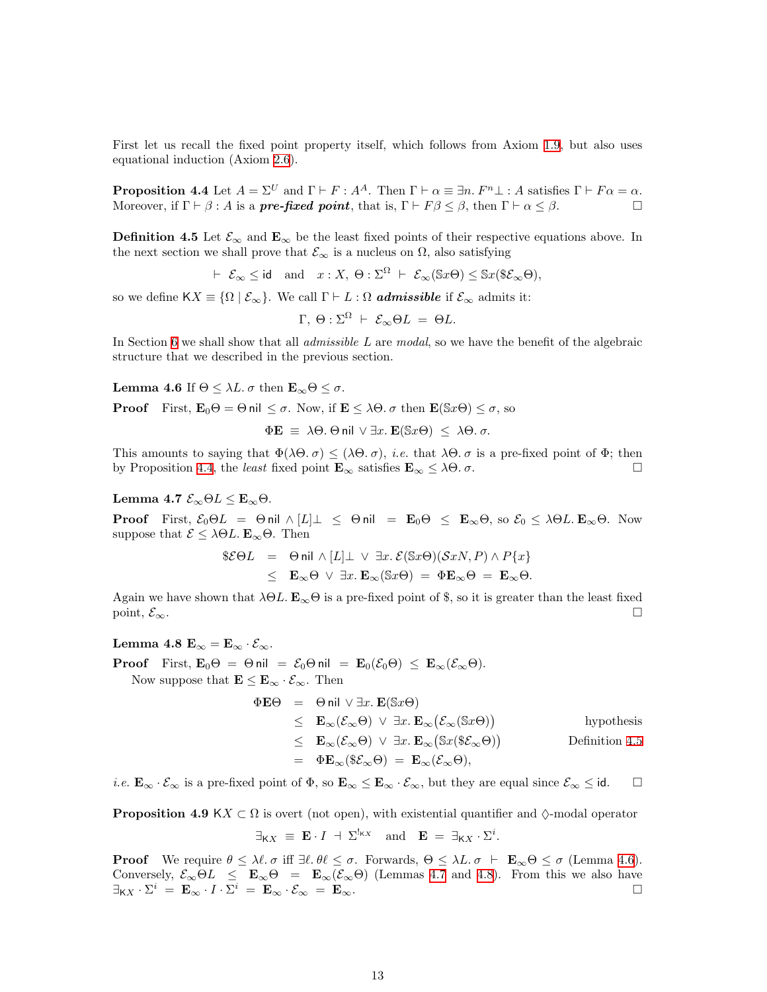First let us recall the fixed point property itself, which follows from Axiom [1.9](#page-2-1), but also uses equational induction (Axiom [2.6](#page-5-1)).

<span id="page-12-0"></span>**Proposition 4.4** Let  $A = \Sigma^U$  and  $\Gamma \vdash F : A^A$ . Then  $\Gamma \vdash \alpha \equiv \exists n. F^n \bot : A$  satisfies  $\Gamma \vdash F\alpha = \alpha$ . Moreover, if  $\Gamma \vdash \beta : A$  is a **pre-fixed point**, that is,  $\Gamma \vdash F\beta \leq \beta$ , then  $\Gamma \vdash \alpha \leq \beta$ .

<span id="page-12-1"></span>**Definition 4.5** Let  $\mathcal{E}_{\infty}$  and  $\mathbf{E}_{\infty}$  be the least fixed points of their respective equations above. In the next section we shall prove that  $\mathcal{E}_{\infty}$  is a nucleus on  $\Omega$ , also satisfying

 $\vdash \mathcal{E}_{\infty} \leq \text{id} \text{ and } x : X, \Theta : \Sigma^{\Omega} \vdash \mathcal{E}_{\infty}(\mathbb{S}x\Theta) \leq \mathbb{S}x(\mathbb{S}\mathcal{E}_{\infty}\Theta),$ 

so we define  $\mathsf{K} X \equiv \{ \Omega \mid \mathcal{E}_{\infty} \}.$  We call  $\Gamma \vdash L : \Omega$  **admissible** if  $\mathcal{E}_{\infty}$  admits it:

$$
\Gamma, \Theta: \Sigma^{\Omega} \vdash \mathcal{E}_{\infty} \Theta L = \Theta L.
$$

In Section [6](#page-16-1) we shall show that all *admissible L* are *modal*, so we have the benefit of the algebraic structure that we described in the previous section.

<span id="page-12-2"></span>Lemma 4.6 If  $\Theta \leq \lambda L$ .  $\sigma$  then  $\mathbf{E}_{\infty} \Theta \leq \sigma$ .

**Proof** First,  $\mathbf{E}_0 \Theta = \Theta$  nil  $\leq \sigma$ . Now, if  $\mathbf{E} \leq \lambda \Theta$ .  $\sigma$  then  $\mathbf{E}(\mathbb{S} \mathcal{X} \Theta) \leq \sigma$ , so

 $\Phi \mathbf{E} \equiv \lambda \Theta$ .  $\Theta$  nil  $\vee \exists x$ .  $\mathbf{E}(\mathbb{S}x \Theta) \leq \lambda \Theta$ .  $\sigma$ .

This amounts to saying that  $\Phi(\lambda \Theta, \sigma) \leq (\lambda \Theta, \sigma)$ , *i.e.* that  $\lambda \Theta, \sigma$  is a pre-fixed point of  $\Phi$ ; then by Proposition [4.4](#page-12-0), the least fixed point  $\mathbf{E}_{\infty}$  satisfies  $\mathbf{E}_{\infty} \leq \lambda \Theta$ .  $\sigma$ .

<span id="page-12-3"></span>Lemma 4.7  $\mathcal{E}_{\infty} \Theta L \leq \mathbf{E}_{\infty} \Theta$ .

**Proof** First,  $\mathcal{E}_0 \Theta L = \Theta \text{ nil } \wedge [L] \perp \leq \Theta \text{ nil } = \mathbf{E}_0 \Theta \leq \mathbf{E}_{\infty} \Theta$ , so  $\mathcal{E}_0 \leq \lambda \Theta L$ . E<sub>∞</sub> $\Theta$ . Now suppose that  $\mathcal{E} \leq \lambda \Theta L$ .  $\mathbf{E}_{\infty} \Theta$ . Then

$$
$\mathcal{E}\Theta L = \Theta \text{ nil } \wedge [L] \perp \vee \exists x. \mathcal{E}(\mathbb{S}x\Theta)(\mathcal{S}xN, P) \wedge P\{x\} \leq \mathbf{E}_{\infty}\Theta \vee \exists x. \mathbf{E}_{\infty}(\mathbb{S}x\Theta) = \Phi \mathbf{E}_{\infty}\Theta = \mathbf{E}_{\infty}\Theta.
$$

Again we have shown that  $\lambda \Theta L$ .  $\mathbf{E}_{\infty} \Theta$  is a pre-fixed point of \$, so it is greater than the least fixed point,  $\mathcal{E}_{\infty}$ .

<span id="page-12-4"></span>Lemma 4.8  $\mathbf{E}_{\infty} = \mathbf{E}_{\infty} \cdot \mathcal{E}_{\infty}$ . **Proof** First,  $\mathbf{E}_0 \Theta = \Theta$  nil =  $\mathcal{E}_0 \Theta$  nil =  $\mathbf{E}_0(\mathcal{E}_0 \Theta) \leq \mathbf{E}_{\infty}(\mathcal{E}_{\infty} \Theta)$ .

Now suppose that  $\mathbf{E} \leq \mathbf{E}_{\infty} \cdot \mathcal{E}_{\infty}$ . Then

$$
\Phi \mathbf{E} \Theta = \Theta \text{ nil } \vee \exists x. \mathbf{E}(\mathbb{S}x \Theta)
$$
  
\n
$$
\leq \mathbf{E}_{\infty}(\mathcal{E}_{\infty} \Theta) \vee \exists x. \mathbf{E}_{\infty}(\mathcal{E}_{\infty}(\mathbb{S}x \Theta)) \qquad \text{hypothesis}
$$
  
\n
$$
\leq \mathbf{E}_{\infty}(\mathcal{E}_{\infty} \Theta) \vee \exists x. \mathbf{E}_{\infty}(\mathbb{S}x(\mathbb{S}\mathcal{E}_{\infty} \Theta)) \qquad \text{Definition 4.5}
$$
  
\n
$$
= \Phi \mathbf{E}_{\infty}(\mathbb{S}\mathcal{E}_{\infty} \Theta) = \mathbf{E}_{\infty}(\mathcal{E}_{\infty} \Theta),
$$

<span id="page-12-5"></span>*i.e.*  $\mathbf{E}_{\infty} \cdot \mathcal{E}_{\infty}$  is a pre-fixed point of  $\Phi$ , so  $\mathbf{E}_{\infty} \leq \mathbf{E}_{\infty} \cdot \mathcal{E}_{\infty}$ , but they are equal since  $\mathcal{E}_{\infty} \leq id$ .  $\square$ 

**Proposition 4.9** KX  $\subset \Omega$  is overt (not open), with existential quantifier and  $\Diamond$ -modal operator

$$
\exists_{\mathsf{K}X} \equiv \mathbf{E} \cdot I + \Sigma^{!_{\mathsf{K}X}}
$$
 and  $\mathbf{E} = \exists_{\mathsf{K}X} \cdot \Sigma^{i}$ .

**Proof** We require  $\theta \leq \lambda \ell$ . σ iff  $\exists \ell$ .  $\theta \ell \leq \sigma$ . Forwards,  $\Theta \leq \lambda L$ .  $\sigma \vdash \mathbf{E}_{\infty} \Theta \leq \sigma$  (Lemma [4.6](#page-12-2)). Conversely,  $\mathcal{E}_{\infty}\Theta L \leq \mathbf{E}_{\infty}\Theta = \mathbf{E}_{\infty}(\mathcal{E}_{\infty}\Theta)$  (Lemmas [4.7](#page-12-3) and [4.8\)](#page-12-4). From this we also have  $\exists_{\mathsf{K} X} \cdot \Sigma^i = \mathbf{E}_{\infty} \cdot I \cdot \Sigma^i = \mathbf{E}_{\infty} \cdot \mathcal{E}_{\infty} = \mathbf{E}_{\infty}.$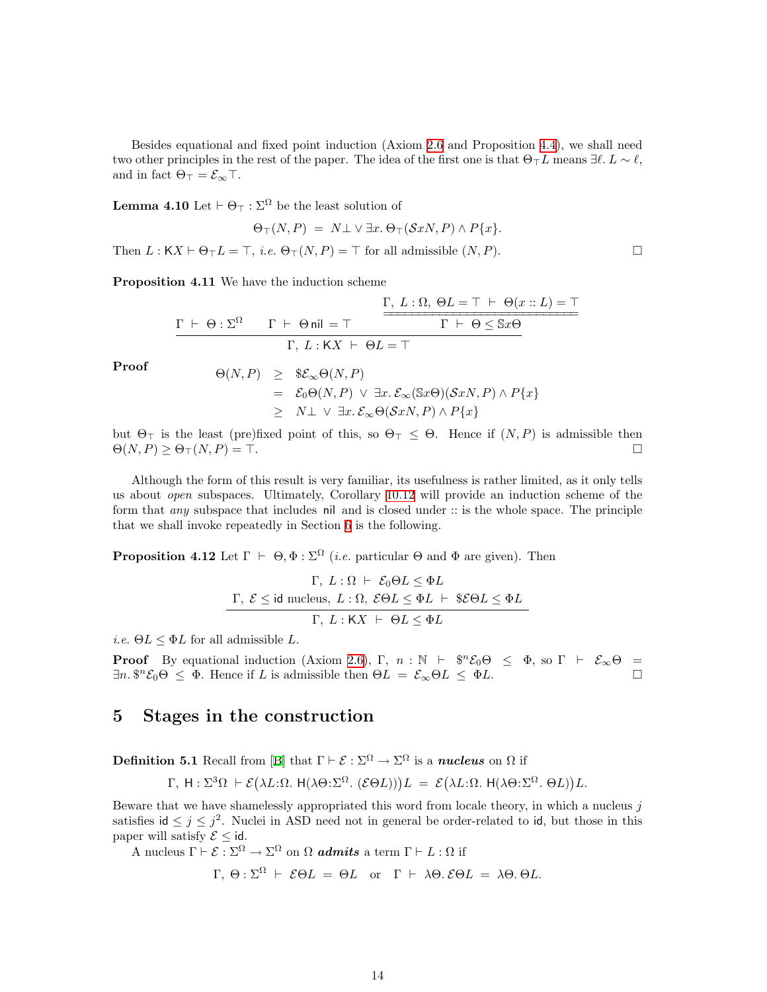<span id="page-13-0"></span>Besides equational and fixed point induction (Axiom [2.6](#page-5-1) and Proposition [4.4\)](#page-12-0), we shall need two other principles in the rest of the paper. The idea of the first one is that  $\Theta_{\top}L$  means  $\exists \ell, L \sim \ell$ , and in fact  $\Theta_{\top} = \mathcal{E}_{\infty}$ .

**Lemma 4.10** Let  $\vdash \Theta_{\top} : \Sigma^{\Omega}$  be the least solution of

$$
\Theta_{\top}(N,P) = N \bot \vee \exists x. \Theta_{\top}(\mathcal{S}xN,P) \wedge P\{x\}.
$$

<span id="page-13-3"></span>Then  $L : K X \vdash \Theta_{\top} L = \top$ , *i.e.*  $\Theta_{\top} (N, P) = \top$  for all admissible  $(N, P)$ .

Proposition 4.11 We have the induction scheme

$$
\cfrac{\Gamma, L: \Omega, \Theta L = \top \vdash \Theta(x::L) = \top}{\Gamma \vdash \Theta : \Sigma^{\Omega} \qquad \Gamma \vdash \Theta \text{nil} = \top} \qquad \cfrac{\Gamma, L: \Omega, \Theta L = \top \vdash \Theta(x::L) = \top}{\Gamma \vdash \Theta \leq \$\text{if } \Theta \leq \top} \qquad \cfrac{\Gamma, L: \Omega, \Theta L = \top}{\Gamma \vdash \Theta \leq \$\text{if } \Theta \leq \top} \qquad \cfrac{\Gamma, L: \Omega \vdash \Theta \leq \top}{\Gamma \vdash \Theta \leq \$\text{if } \Theta \leq \top} \qquad \cfrac{\Gamma, L: \Omega \vdash \Theta \leq \top}{\Gamma \vdash \Theta \leq \$\text{if } \Theta \leq \top} \qquad \cfrac{\Gamma, L: \Omega \vdash \Theta \leq \top}{\Gamma \vdash \Theta \leq \$\text{if } \Theta \leq \top} \qquad \cfrac{\Gamma, L: \Omega \vdash \Theta \leq \top}{\Gamma \vdash \Theta \leq \$\text{if } \Theta \leq \top} \qquad \cfrac{\Gamma, L: \Omega \vdash \Theta \leq \top}{\Gamma \vdash \Theta \leq \$\text{if } \Theta \leq \top} \qquad \cfrac{\Gamma, L: \Omega \vdash \Theta \leq \top}{\Gamma \vdash \Theta \leq \$\text{if } \Theta \leq \top} \qquad \cfrac{\Gamma, L: \Omega \vdash \Theta \leq \top}{\Gamma \vdash \Theta \leq \$\text{if } \Theta \leq \top} \qquad \cfrac{\Gamma, L: \Omega \vdash \Theta \leq \top}{\Gamma \vdash \Theta \leq \$\text{if } \Theta \leq \top} \qquad \cfrac{\Gamma, L: \Omega \vdash \Theta \leq \top}{\Gamma \vdash \Theta \leq \$\text{if } \Theta \leq \$\text{if } \Theta \leq \$\text{if } \Theta \leq \$\text{if } \Theta \leq \$\text{if } \Theta \leq \$\text{if } \Theta \leq \$\text{if } \Theta \leq \$\text{if } \Theta \leq \$\text{if } \Theta \leq \$\text{if } \Theta \leq \$\text{if } \Theta \leq \$\text{if } \Theta \leq \$\text{if } \Theta \leq \$\text{if } \Theta \leq \$\text{if } \Theta \leq \$\text{if } \Theta \leq \
$$

$$
\begin{array}{rcl}\n\Theta(N,P) & \geq & \$\mathcal{E}_{\infty}\Theta(N,P) \\
& = & \mathcal{E}_{0}\Theta(N,P) \ \lor \ \exists x.\ \mathcal{E}_{\infty}(\mathbb{S}x\Theta)(\mathcal{S}xN,P) \land P\{x\} \\
& \geq & N\bot \ \lor \ \exists x.\ \mathcal{E}_{\infty}\Theta(\mathcal{S}xN,P) \land P\{x\}\n\end{array}
$$

but  $\Theta_{\top}$  is the least (pre)fixed point of this, so  $\Theta_{\top} \leq \Theta$ . Hence if  $(N, P)$  is admissible then  $\Theta(N, P) \geq \Theta_{\sf T}(N, P) = \top.$ 

Although the form of this result is very familiar, its usefulness is rather limited, as it only tells us about open subspaces. Ultimately, Corollary [10.12](#page-29-3) will provide an induction scheme of the form that *any* subspace that includes nil and is closed under :: is the whole space. The principle that we shall invoke repeatedly in Section [6](#page-16-1) is the following.

<span id="page-13-1"></span>**Proposition 4.12** Let  $\Gamma \vdash \Theta, \Phi : \Sigma^{\Omega}$  (*i.e.* particular  $\Theta$  and  $\Phi$  are given). Then

$$
\Gamma, L: \Omega \vdash \mathcal{E}_0 \Theta L \leq \Phi L
$$
  

$$
\Gamma, \mathcal{E} \leq \text{id nucleus}, L: \Omega, \mathcal{E} \Theta L \leq \Phi L \vdash \$ \mathcal{E} \Theta L \leq \Phi L
$$
  

$$
\Gamma, L: \mathsf{K} X \vdash \Theta L \leq \Phi L
$$

*i.e.*  $\Theta L \leq \Phi L$  for all admissible L.

**Proof** By equational induction (Axiom [2.6](#page-5-1)), Γ,  $n : \mathbb{N} \vdash \mathbb{S}^n \mathcal{E}_0 \Theta \leq \Phi$ , so  $\Gamma \vdash \mathcal{E}_{\infty} \Theta =$  $\exists n. \, \$^n \mathcal{E}_0 \Theta \leq \Phi$ . Hence if L is admissible then  $\Theta L = \mathcal{E}_{\infty} \Theta L \leq \Phi L$ .

## 5 Stages in the construction

<span id="page-13-2"></span>**Definition 5.1** Recall from [\[B](#page-33-12)] that  $\Gamma \vdash \mathcal{E} : \Sigma^{\Omega} \to \Sigma^{\Omega}$  is a *nucleus* on  $\Omega$  if

$$
\Gamma, H: \Sigma^3 \Omega \vdash \mathcal{E}(\lambda L: \Omega, H(\lambda \Theta: \Sigma^{\Omega}. (\mathcal{E} \Theta L))) L = \mathcal{E}(\lambda L: \Omega, H(\lambda \Theta: \Sigma^{\Omega}. \Theta L)) L.
$$

Beware that we have shamelessly appropriated this word from locale theory, in which a nucleus  $j$ satisfies  $id \leq j \leq j^2$ . Nuclei in ASD need not in general be order-related to id, but those in this paper will satisfy  $\mathcal{E}$  < id.

A nucleus  $\Gamma \vdash \mathcal{E} : \Sigma^{\Omega} \to \Sigma^{\Omega}$  on  $\Omega$  **admits** a term  $\Gamma \vdash L : \Omega$  if

$$
\Gamma
$$
,  $\Theta$ :  $\Sigma^{\Omega}$   $\vdash$   $\mathcal{E}\Theta L = \Theta L$  or  $\Gamma \vdash \lambda\Theta$ .  $\mathcal{E}\Theta L = \lambda\Theta$ .  $\Theta L$ .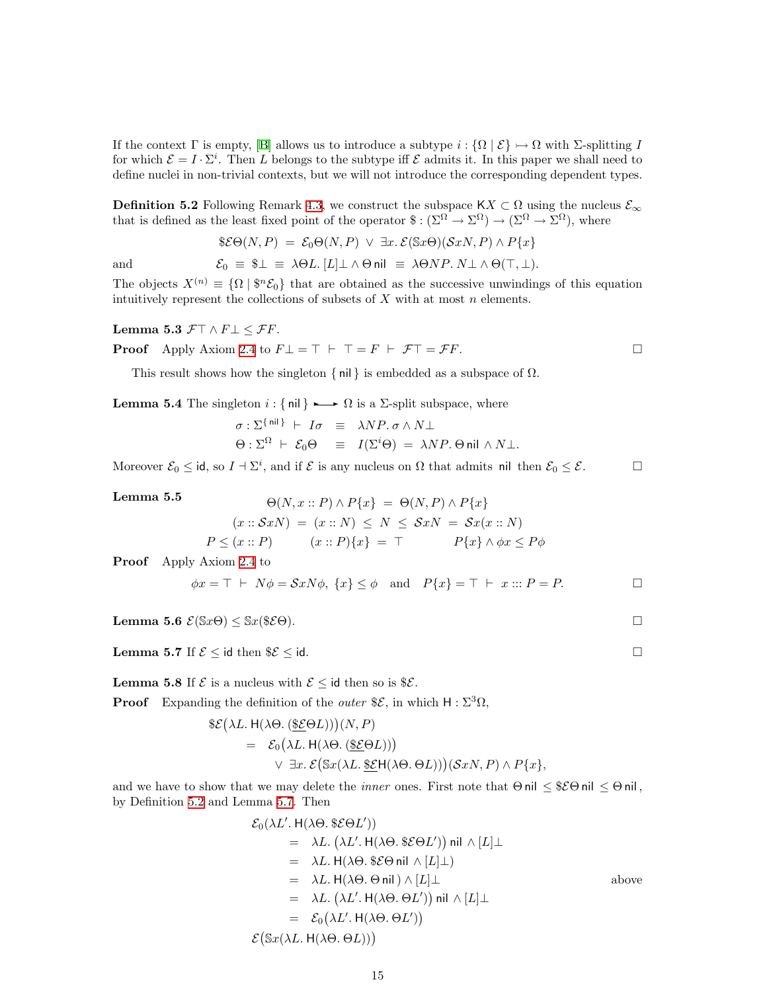If the context  $\Gamma$  is empty, [\[B](#page-33-12)] allows us to introduce a subtype  $i : {\Omega \mid \mathcal{E}} \rightarrow \Omega$  with  $\Sigma$ -splitting I for which  $\mathcal{E} = I \cdot \Sigma^i$ . Then L belongs to the subtype iff  $\mathcal{E}$  admits it. In this paper we shall need to define nuclei in non-trivial contexts, but we will not introduce the corresponding dependent types.

<span id="page-14-0"></span>**Definition 5.2** Following Remark [4.3](#page-11-2), we construct the subspace  $\mathsf{K} \mathsf{X} \subset \Omega$  using the nucleus  $\mathcal{E}_{\infty}$ that is defined as the least fixed point of the operator  $\hat{\mathcal{E}} : (\Sigma^{\Omega} \to \Sigma^{\Omega}) \to (\Sigma^{\Omega} \to \Sigma^{\Omega})$ , where

$$
\mathscr{E}\Theta(N,P) = \mathcal{E}_0\Theta(N,P) \ \lor \ \exists x.\ \mathcal{E}(\mathbb{S}x\Theta)(\mathcal{S}xN,P) \land P\{x\}
$$

and 
$$
\mathcal{E}_0 \equiv \$\perp \equiv \lambda \Theta L. [L] \perp \wedge \Theta \text{ nil } \equiv \lambda \Theta NP. N \perp \wedge \Theta(\top, \perp).
$$

The objects  $X^{(n)} \equiv {\Omega \mid \mathcal{F}^n \mathcal{E}_0}$  that are obtained as the successive unwindings of this equation intuitively represent the collections of subsets of  $X$  with at most  $n$  elements.

Lemma 5.3  $\mathcal{F}\top \wedge F \bot \leq \mathcal{F}F$ .

**Proof** Apply Axiom 2.4 to 
$$
F \bot = \top \vdash \top = F \vdash \mathcal{F} \top = \mathcal{F} F
$$
.

This result shows how the singleton  $\{ \text{nil} \}$  is embedded as a subspace of  $\Omega$ .

<span id="page-14-3"></span>**Lemma 5.4** The singleton  $i : \{ \text{nil} \} \longrightarrow \Omega$  is a  $\Sigma$ -split subspace, where

$$
\sigma : \Sigma^{\{ \text{nil} \}} \vdash I\sigma \equiv \lambda NP. \sigma \wedge N\bot
$$
  

$$
\Theta : \Sigma^{\Omega} \vdash \mathcal{E}_0 \Theta \equiv I(\Sigma^i \Theta) = \lambda NP. \Theta \text{nil} \wedge N\bot.
$$

<span id="page-14-5"></span>Moreover  $\mathcal{E}_0 \leq id$ , so  $I + \Sigma^i$ , and if  $\mathcal{E}$  is any nucleus on  $\Omega$  that admits nil then  $\mathcal{E}_0 \leq \mathcal{E}$ .

Lemma 5.5  $\Theta(N, r \cdot P) \wedge P(r) = \Theta(N, P) \wedge P(r)$ 

$$
(x::SxN) = (x::N) \le N \le SxN = Sx(x::N)
$$
  

$$
P \le (x::P) \qquad (x::P)\{x\} = \top \qquad P\{x\} \wedge \phi x \le P\phi
$$

Proof Apply Axiom [2.4](#page-5-2) to

$$
\phi x = \top \vdash N\phi = SxN\phi, \ \{x\} \le \phi \quad \text{and} \quad P\{x\} = \top \vdash x :: P = P.
$$

<span id="page-14-2"></span><span id="page-14-1"></span>Lemma 5.6  $\mathcal{E}(\mathbb{S}x\Theta) \leq \mathbb{S}x(\$ \mathcal{E}\Theta).$ 

<span id="page-14-4"></span>**Lemma 5.7** If  $\mathcal{E} \leq \mathsf{id}$  then  $\Re \mathcal{E} \leq \mathsf{id}$ .

**Lemma 5.8** If  $\mathcal{E}$  is a nucleus with  $\mathcal{E} \leq$  id then so is  $\mathcal{E}$ .

**Proof** Expanding the definition of the *outer*  $\mathscr{E}$ , in which  $H : \Sigma^3 \Omega$ ,

$$
\mathcal{E}(\lambda L. H(\lambda \Theta. (\underline{\mathcal{E}} \Theta L)))(N, P)
$$
  
=  $\mathcal{E}_0(\lambda L. H(\lambda \Theta. (\underline{\mathcal{E}} \Theta L)))$   
 $\vee \exists x. \mathcal{E}(\mathcal{S}x(\lambda L. \underline{\mathcal{E}} \Theta L)))(\mathcal{S}xN, P) \wedge P\{x\},$ 

and we have to show that we may delete the *inner* ones. First note that  $\Theta$  nil  $\leq$   $\mathcal{E}\Theta$  nil  $\leq$   $\Theta$  nil, by Definition [5.2](#page-14-0) and Lemma [5.7.](#page-14-1) Then

$$
\mathcal{E}_0(\lambda L'. H(\lambda \Theta. \$ \mathcal{E} \Theta L'))
$$
\n
$$
= \lambda L. (\lambda L'. H(\lambda \Theta. \$ \mathcal{E} \Theta L')) \text{ nil } \wedge [L] \perp
$$
\n
$$
= \lambda L. H(\lambda \Theta. \$ \mathcal{E} \Theta \text{ nil } \wedge [L] \perp)
$$
\n
$$
= \lambda L. H(\lambda \Theta. \Theta \text{ nil }) \wedge [L] \perp
$$
\n
$$
= \lambda L. (\lambda L'. H(\lambda \Theta. \Theta L')) \text{ nil } \wedge [L] \perp
$$
\n
$$
= \mathcal{E}_0(\lambda L'. H(\lambda \Theta. \Theta L'))
$$
\n
$$
\mathcal{E}(\$x(\lambda L. H(\lambda \Theta. \Theta L)))
$$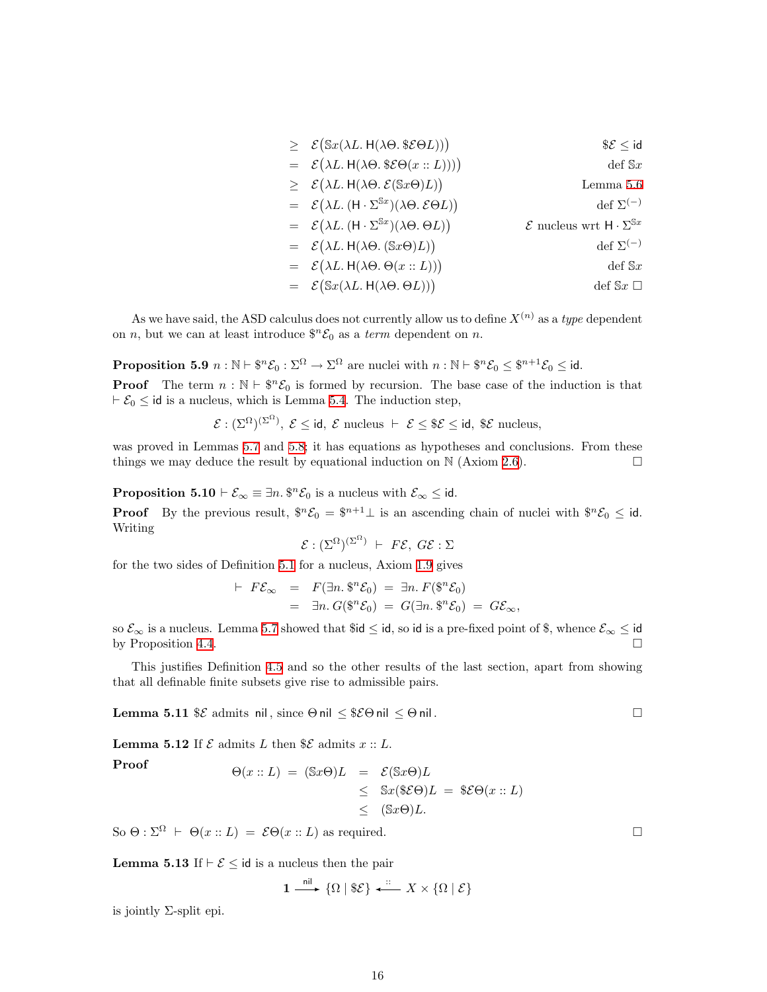$$
\geq \mathcal{E}(\mathbb{S}x(\lambda L. H(\lambda \Theta. \mathcal{E} \Theta L))) \qquad \mathcal{E} \leq id
$$
  
\n
$$
= \mathcal{E}(\lambda L. H(\lambda \Theta. \mathcal{E} \Theta(x :: L)))) \qquad def \mathcal{E} \leq id
$$
  
\n
$$
\geq \mathcal{E}(\lambda L. H(\lambda \Theta. \mathcal{E}(\mathbb{S}x \Theta)L)) \qquad \text{Lemma 5.6}
$$
  
\n
$$
= \mathcal{E}(\lambda L. (H \cdot \Sigma^{\mathbb{S}x})(\lambda \Theta. \mathcal{E} \Theta L)) \qquad def \Sigma^{(-)}
$$
  
\n
$$
= \mathcal{E}(\lambda L. H(\lambda \Theta. (\mathbb{S}x \Theta)L)) \qquad \mathcal{E} \text{ nucleus wrt } H \cdot \Sigma^{\mathbb{S}x}
$$
  
\n
$$
= \mathcal{E}(\lambda L. H(\lambda \Theta. (\mathbb{S}x \Theta)L)) \qquad \text{def } \Sigma^{(-)}
$$
  
\n
$$
= \mathcal{E}(\lambda L. H(\lambda \Theta. \Theta(x :: L))) \qquad \text{def } \mathbb{S}x \square
$$
  
\n
$$
= \mathcal{E}(\mathbb{S}x(\lambda L. H(\lambda \Theta. \Theta L))) \qquad \text{def } \mathbb{S}x \square
$$

As we have said, the ASD calculus does not currently allow us to define  $X^{(n)}$  as a type dependent on *n*, but we can at least introduce  $\mathcal{F}^n \mathcal{E}_0$  as a *term* dependent on *n*.

<span id="page-15-0"></span>Proposition 5.9  $n : \mathbb{N} \vdash \$n \mathcal{E}_0 : \Sigma^{\Omega} \to \Sigma^{\Omega}$  are nuclei with  $n : \mathbb{N} \vdash \$n \mathcal{E}_0 \leq \$n+1 \mathcal{E}_0 \leq \text{id}$ .

**Proof** The term  $n : \mathbb{N} \to \mathbb{S}^n \mathcal{E}_0$  is formed by recursion. The base case of the induction is that  $\vdash \mathcal{E}_0 \leq \mathsf{id}$  is a nucleus, which is Lemma [5.4.](#page-14-3) The induction step,

$$
\mathcal{E}: (\Sigma^{\Omega})^{(\Sigma^{\Omega})}, \ \mathcal{E} \leq \text{id}, \ \mathcal{E} \text{ nucleus } \vdash \ \mathcal{E} \leq \$\mathcal{E} \leq \text{id}, \ \$\mathcal{E} \text{ nucleus},
$$

was proved in Lemmas [5.7](#page-14-1) and [5.8](#page-14-4); it has equations as hypotheses and conclusions. From these things we may deduce the result by equational induction on  $\mathbb N$  (Axiom [2.6\)](#page-5-1).

**Proposition 5.10**  $\vdash \mathcal{E}_{\infty} \equiv \exists n. \, \$^n \mathcal{E}_0$  is a nucleus with  $\mathcal{E}_{\infty} \leq \mathsf{id}$ .

**Proof** By the previous result,  $\mathbb{S}^n \mathcal{E}_0 = \mathbb{S}^{n+1} \perp$  is an ascending chain of nuclei with  $\mathbb{S}^n \mathcal{E}_0 \leq \mathbb{S}$ . Writing

$$
\mathcal{E} : (\Sigma^{\Omega})^{(\Sigma^{\Omega})} + F\mathcal{E}, G\mathcal{E} : \Sigma
$$

for the two sides of Definition [5.1](#page-13-2) for a nucleus, Axiom [1.9](#page-2-1) gives

$$
\begin{array}{rcl}\n\vdash & F\mathcal{E}_{\infty} & = & F(\exists n. \, \$^n \mathcal{E}_0) = \exists n. \, F(\$^n \mathcal{E}_0) \\
& = & \exists n. \, G(\$^n \mathcal{E}_0) = G(\exists n. \, \$^n \mathcal{E}_0) = G\mathcal{E}_{\infty},\n\end{array}
$$

so  $\mathcal{E}_{\infty}$  is a nucleus. Lemma [5.7](#page-14-1) showed that \$id  $\leq$  id, so id is a pre-fixed point of \$, whence  $\mathcal{E}_{\infty} \leq$  id by Proposition [4.4](#page-12-0).  $\Box$ 

This justifies Definition [4.5](#page-12-1) and so the other results of the last section, apart from showing that all definable finite subsets give rise to admissible pairs.

<span id="page-15-2"></span><span id="page-15-1"></span>**Lemma 5.11**  $\&$  admits nil, since  $\Theta$  nil  $\leq$   $\&$   $\Theta$  nil .  $\Box$ 

**Lemma 5.12** If  $\mathcal E$  admits L then  $\mathcal E$  admits  $x :: L$ .

Proof  
\n
$$
\Theta(x::L) = (\mathbb{S}x\Theta)L = \mathcal{E}(\mathbb{S}x\Theta)L
$$
\n
$$
\leq \mathbb{S}x(\mathbb{S}\mathcal{E}\Theta)L = \mathbb{S}\mathcal{E}\Theta(x::L)
$$
\n
$$
\leq (\mathbb{S}x\Theta)L.
$$

So  $\Theta$  :  $\Sigma^{\Omega}$   $\vdash$   $\Theta(x::L) = \mathcal{E}\Theta(x::L)$  as required.

**Lemma 5.13** If  $\vdash \mathcal{E} \leq$  id is a nucleus then the pair

$$
1 \xrightarrow{\text{nil}} \{\Omega \mid \$\mathcal{E}\} \xleftarrow{\colon} X \times \{\Omega \mid \mathcal{E}\}
$$

is jointly  $\Sigma$ -split epi.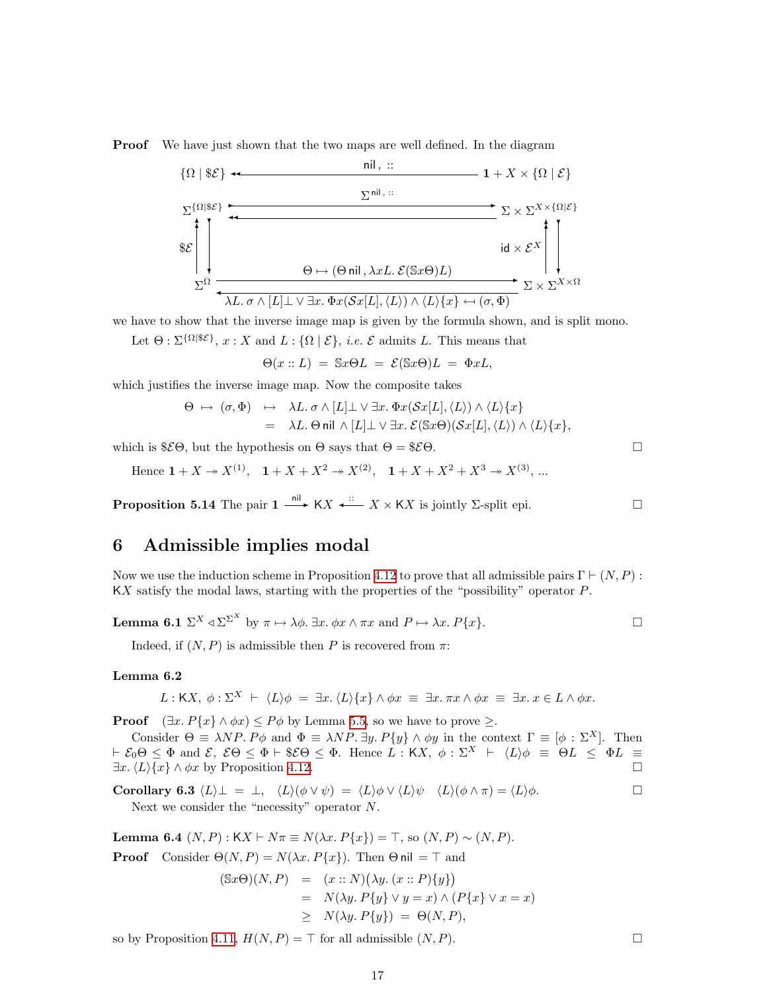<span id="page-16-0"></span>Proof We have just shown that the two maps are well defined. In the diagram



we have to show that the inverse image map is given by the formula shown, and is split mono.

Let  $\Theta$ :  $\Sigma^{\{\Omega | \mathcal{E}\}}$ ,  $x: X$  and  $L: \{\Omega | \mathcal{E}\}$ , *i.e.*  $\mathcal{E}$  admits L. This means that

 $\Theta(x:: L) = \mathbb{S}x\Theta L = \mathcal{E}(\mathbb{S}x\Theta)L = \Phi xL,$ 

which justifies the inverse image map. Now the composite takes

$$
\Theta \mapsto (\sigma, \Phi) \quad \mapsto \quad \lambda L. \sigma \wedge [L] \bot \vee \exists x. \Phi x(\mathcal{S}x[L], \langle L \rangle) \wedge \langle L \rangle \{x\}
$$
\n
$$
= \quad \lambda L. \Theta \text{ nil } \wedge [L] \bot \vee \exists x. \mathcal{E}(\mathbb{S}x\Theta)(\mathcal{S}x[L], \langle L \rangle) \wedge \langle L \rangle \{x\},
$$

which is  $$E\Theta$ , but the hypothesis on  $\Theta$  says that  $\Theta = $E\Theta$ .

Hence  $1 + X \to X^{(1)}$ ,  $1 + X + X^2 \to X^{(2)}$ ,  $1 + X + X^2 + X^3 \to X^{(3)}$ , ...

<span id="page-16-4"></span>**Proposition 5.14** The pair  $1 \xrightarrow{\text{nil}} K X \xleftarrow{\text{::}} X \times K X$  is jointly  $\Sigma$ -split epi.

## <span id="page-16-1"></span>6 Admissible implies modal

Now we use the induction scheme in Proposition [4.12](#page-13-1) to prove that all admissible pairs  $\Gamma \vdash (N, P)$ : KX satisfy the modal laws, starting with the properties of the "possibility" operator P.

**Lemma 6.1** 
$$
\Sigma^X \triangleleft \Sigma^{\Sigma^X}
$$
 by  $\pi \mapsto \lambda \phi$ .  $\exists x. \phi x \wedge \pi x$  and  $P \mapsto \lambda x. P\{x\}$ .

Indeed, if  $(N, P)$  is admissible then P is recovered from  $\pi$ :

### <span id="page-16-5"></span>Lemma 6.2

 $L : \mathsf{K}X, \phi : \Sigma^{X} \vdash \langle L \rangle \phi = \exists x. \langle L \rangle \{x\} \wedge \phi x \equiv \exists x. \pi x \wedge \phi x \equiv \exists x. x \in L \wedge \phi x.$ 

**Proof**  $(\exists x. P\{x\} \land \phi x) \leq P\phi$  by Lemma [5.5,](#page-14-5) so we have to prove  $\geq$ .

Consider  $\Theta = \lambda NP$ .  $P\phi$  and  $\Phi = \lambda NP$ .  $\exists y$ ,  $P\{y\} \wedge \phi y$  in the context  $\Gamma = [\phi : \Sigma^X]$ . Then  $\vdash \mathcal{E}_0 \Theta \leq \Phi$  and  $\mathcal{E}, \ \mathcal{E}\Theta \leq \Phi \vdash \$ \mathcal{E}\Theta \leq \Phi$ . Hence  $L : \mathsf{K}X, \ \phi : \Sigma^X \vdash \langle L \rangle \phi \equiv \Theta L \leq \Phi L \equiv$  $\exists x. \langle L \rangle \{x\} \wedge \phi x$  by Proposition [4.12.](#page-13-1)

<span id="page-16-3"></span>**Corollary 6.3** 
$$
\langle L \rangle \bot = \bot
$$
,  $\langle L \rangle (\phi \lor \psi) = \langle L \rangle \phi \lor \langle L \rangle \psi$   $\langle L \rangle (\phi \land \pi) = \langle L \rangle \phi$ .   
Next we consider the "necessity" operator N.

<span id="page-16-2"></span>Lemma 6.4 (*N*, *P*) : K*X*  $\vdash$  *N*π ≡ *N*(*λx*. *P*{*x*}) = ⊤, so (*N*, *P*) ~ (*N*, *P*).

**Proof** Consider  $\Theta(N, P) = N(\lambda x. P\{x\})$ . Then  $\Theta$  nil =  $\top$  and

$$
\begin{array}{rcl}\n(\mathbb{S}x \Theta)(N, P) & = & (x :: N)\big(\lambda y. \ (x :: P)\{y\}\big) \\
& = & N(\lambda y. \ P\{y\} \lor y = x) \land (\ P\{x\} \lor x = x) \\
& \geq & N(\lambda y. \ P\{y\}) = \Theta(N, P),\n\end{array}
$$

so by Proposition [4.11](#page-13-3),  $H(N, P) = \top$  for all admissible  $(N, P)$ .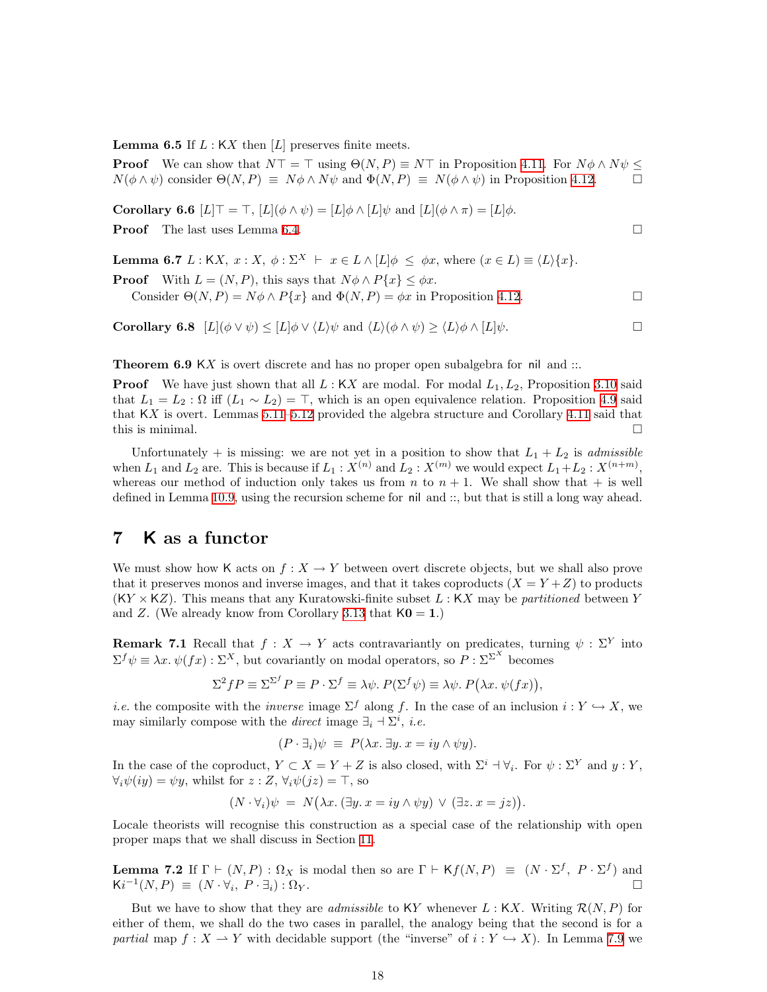<span id="page-17-0"></span>**Lemma 6.5** If  $L:$  KX then  $[L]$  preserves finite meets.

**Proof** We can show that  $N\top = \top$  using  $\Theta(N, P) \equiv N\top$  in Proposition [4.11.](#page-13-3) For  $N\phi \wedge N\psi \leq$  $N(\phi \land \psi)$  consider  $\Theta(N, P) \equiv N\phi \land N\psi$  and  $\Phi(N, P) \equiv N(\phi \land \psi)$  in Proposition [4.12](#page-13-1).

<span id="page-17-3"></span>**Corollary 6.6**  $[L]$   $\top = \top$ ,  $[L](\phi \wedge \psi) = [L] \phi \wedge [L] \psi$  and  $[L](\phi \wedge \pi) = [L] \phi$ .

**Proof** The last uses Lemma [6.4](#page-16-2).

**Lemma 6.7** L : KX,  $x : X$ ,  $\phi : \Sigma^{X} \vdash x \in L \wedge [L] \phi \leq \phi x$ , where  $(x \in L) \equiv \langle L \rangle \{x\}$ .

**Proof** With  $L = (N, P)$ , this says that  $N\phi \wedge P\{x\} \leq \phi x$ . Consider  $\Theta(N, P) = N\phi \wedge P\{x\}$  and  $\Phi(N, P) = \phi x$  in Proposition [4.12](#page-13-1).

<span id="page-17-4"></span>**Corollary 6.8**  $[L](\phi \lor \psi) \leq [L]\phi \lor \langle L \rangle \psi$  and  $\langle L \rangle(\phi \land \psi) \geq \langle L \rangle \phi \land [L]\psi$ .

**Theorem 6.9** KX is overt discrete and has no proper open subalgebra for nil and  $\ldots$ 

**Proof** We have just shown that all  $L : K X$  are modal. For modal  $L_1, L_2$ , Proposition [3.10](#page-10-0) said that  $L_1 = L_2$ :  $\Omega$  iff  $(L_1 \sim L_2) = \top$ , which is an open equivalence relation. Proposition [4.9](#page-12-5) said that KX is overt. Lemmas [5.11](#page-15-1)[–5.12](#page-15-2) provided the algebra structure and Corollary [4.11](#page-13-3) said that this is minimal.  $\Box$ 

Unfortunately + is missing: we are not yet in a position to show that  $L_1 + L_2$  is *admissible* when  $L_1$  and  $L_2$  are. This is because if  $L_1: X^{(n)}$  and  $L_2: X^{(m)}$  we would expect  $L_1+L_2: X^{(n+m)}$ , whereas our method of induction only takes us from  $n$  to  $n + 1$ . We shall show that  $+$  is well defined in Lemma [10.9](#page-29-4), using the recursion scheme for nil and ::, but that is still a long way ahead.

## <span id="page-17-1"></span>7 K as a functor

We must show how K acts on  $f : X \to Y$  between overt discrete objects, but we shall also prove that it preserves monos and inverse images, and that it takes coproducts  $(X = Y + Z)$  to products  $(KY \times KZ)$ . This means that any Kuratowski-finite subset L : KX may be partitioned between Y and Z. (We already know from Corollary [3.13](#page-10-1) that  $K0 = 1$ .)

<span id="page-17-2"></span>**Remark 7.1** Recall that  $f: X \to Y$  acts contravariantly on predicates, turning  $\psi: \Sigma^Y$  into  $\Sigma^f \psi \equiv \lambda x. \psi(fx) : \Sigma^X$ , but covariantly on modal operators, so  $P : \Sigma^{\Sigma^X}$  becomes

$$
\Sigma^2 f P \equiv \Sigma^{\Sigma^f} P \equiv P \cdot \Sigma^f \equiv \lambda \psi. \ P(\Sigma^f \psi) \equiv \lambda \psi. \ P(\lambda x. \ \psi(fx)),
$$

*i.e.* the composite with the *inverse* image  $\Sigma^f$  along f. In the case of an inclusion  $i: Y \hookrightarrow X$ , we may similarly compose with the *direct* image  $\exists_i \dashv \Sigma^i$ , *i.e.* 

$$
(P \cdot \exists_i)\psi \equiv P(\lambda x. \exists y. x = iy \land \psi y).
$$

In the case of the coproduct,  $Y \subset X = Y + Z$  is also closed, with  $\Sigma^i \dashv \forall_i$ . For  $\psi : \Sigma^Y$  and  $y : Y$ ,  $\forall_i \psi(iy) = \psi y$ , whilst for  $z : Z$ ,  $\forall_i \psi(iz) = \top$ , so

$$
(N \cdot \forall_i)\psi = N(\lambda x. (\exists y. x = iy \land \psi y) \lor (\exists z. x = jz)).
$$

Locale theorists will recognise this construction as a special case of the relationship with open proper maps that we shall discuss in Section [11](#page-29-1).

**Lemma 7.2** If  $\Gamma \vdash (N, P) : \Omega_X$  is modal then so are  $\Gamma \vdash Kf(N, P) \equiv (N \cdot \Sigma^f, P \cdot \Sigma^f)$  and  $\mathsf{K} i^{-1}(N,P) \; \equiv \; (N \cdot \forall_i$  $, P \cdot \exists_i) : \Omega_Y.$ 

But we have to show that they are *admissible* to KY whenever  $L : KX$ . Writing  $\mathcal{R}(N, P)$  for either of them, we shall do the two cases in parallel, the analogy being that the second is for a partial map  $f: X \to Y$  with decidable support (the "inverse" of  $i: Y \hookrightarrow X$ ). In Lemma [7.9](#page-19-1) we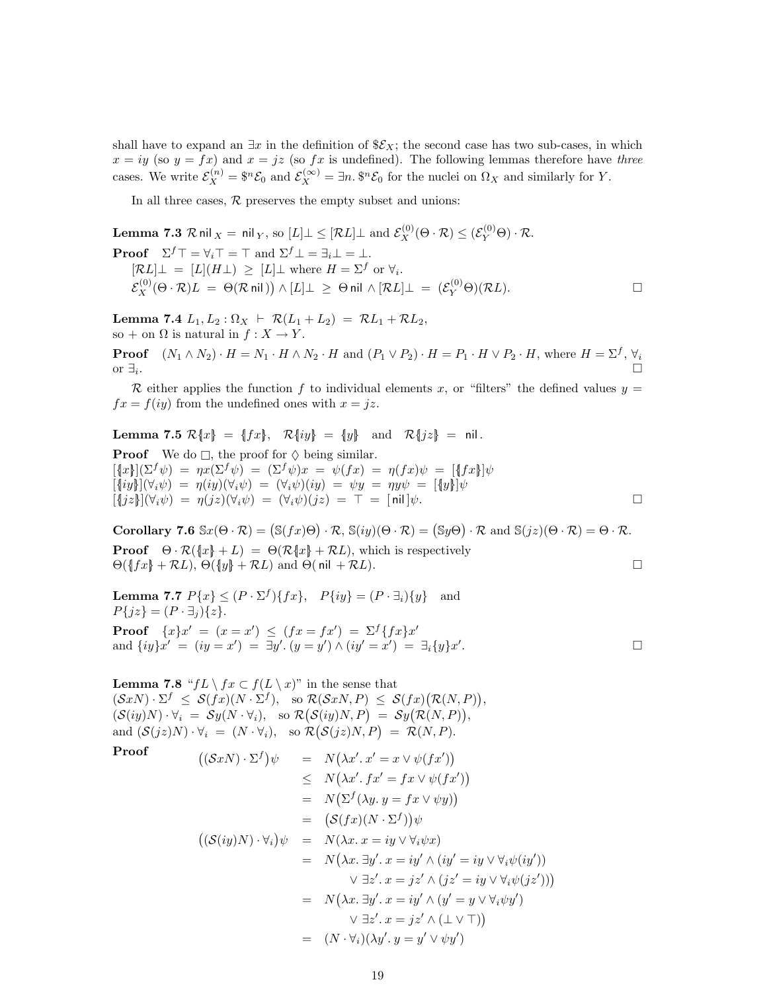shall have to expand an  $\exists x$  in the definition of  $\mathcal{E}_X$ ; the second case has two sub-cases, in which  $x = iy$  (so  $y = fx$ ) and  $x = jz$  (so  $fx$  is undefined). The following lemmas therefore have three cases. We write  $\mathcal{E}_X^{(n)} = \$^n \mathcal{E}_0$  and  $\mathcal{E}_X^{(\infty)} = \exists n. \$^n \mathcal{E}_0$  for the nuclei on  $\Omega_X$  and similarly for Y.

<span id="page-18-0"></span>In all three cases,  $R$  preserves the empty subset and unions:

Lemma 7.3  $\mathcal R$  nil  $_X=$  nil  $_Y,$  so  $[L]\bot\leq [\mathcal R L]\bot$  and  $\mathcal E^{(0)}_X(\Theta\cdot\mathcal R)\leq (\mathcal E^{(0)}_Y\Theta)\cdot\mathcal R.$ **Proof**  $\Sigma^f \top = \forall_i \top = \top$  and  $\Sigma^f \bot = \exists_i \bot = \bot$ .  $[\mathcal{R}L] \perp = [L](H \perp) \geq [L] \perp$  where  $H = \Sigma^f$  or  $\forall_i$ .  $\mathcal{E}_X^{(0)}(\Theta \cdot \mathcal{R}) L \ = \ \Theta(\mathcal{R} \ \textsf{nil} \ ) \big) \wedge [L] \bot \ \geq \ \Theta \ \textsf{nil} \ \wedge [\mathcal{R} L] \bot \ = \ (\mathcal{E}_Y^{(0)} \Theta)(\mathcal{R} L). \qquad \qquad \Box$ 

<span id="page-18-4"></span>Lemma 7.4  $L_1, L_2 : \Omega_X \vdash \mathcal{R}(L_1 + L_2) = \mathcal{R}L_1 + \mathcal{R}L_2$ , so + on  $\Omega$  is natural in  $f: X \to Y$ .

**Proof**  $(N_1 \wedge N_2) \cdot H = N_1 \cdot H \wedge N_2 \cdot H$  and  $(P_1 \vee P_2) \cdot H = P_1 \cdot H \vee P_2 \cdot H$ , where  $H = \Sigma^f$ ,  $\forall_i$ or  $\exists_i$ . . The contract of the contract of the contract of the contract of the contract of  $\Box$ 

R either applies the function f to individual elements x, or "filters" the defined values  $y =$  $fx = f(iy)$  from the undefined ones with  $x = iz$ .

Lemma 7.5  $\mathcal{R}\{x\} = \{fx\}, \quad \mathcal{R}\{iy\} = \{y\} \quad \text{and} \quad \mathcal{R}\{jz\} = \text{nil}.$ **Proof** We do  $\Box$ , the proof for  $\diamondsuit$  being similar.  $[\{x\}](\Sigma^f \psi) = \eta x (\Sigma^f \psi) = (\Sigma^f \psi) x = \psi(fx) = \eta(fx)\psi = [\{fx\}]\psi$  $[\exists iy][(\forall_i\psi) = \eta(iy)(\forall_i\psi) = (\forall_i\psi)(iy) = \psi y = \eta y\psi = [\exists y]\psi$  $[\exists jz\]](\forall_i\psi) = \eta(jz)(\forall_i\psi) = (\forall_i\psi)(jz) = \top = [\text{nil}]\psi.$ 

<span id="page-18-1"></span>Corollary 7.6  $\mathbb{S}x(\Theta \cdot \mathcal{R}) = (\mathbb{S}(fx)\Theta) \cdot \mathcal{R}, \mathbb{S}(iy)(\Theta \cdot \mathcal{R}) = (\mathbb{S}y\Theta) \cdot \mathcal{R}$  and  $\mathbb{S}(jz)(\Theta \cdot \mathcal{R}) = \Theta \cdot \mathcal{R}$ . **Proof**  $\Theta \cdot \mathcal{R}(\lbrace x \rbrace + L) = \Theta(\mathcal{R}(\lbrace x \rbrace + \mathcal{R}L))$ , which is respectively  $\Theta({f_x} + \mathcal{R}L), \Theta({y} + \mathcal{R}L)$  and  $\Theta({\text{nil}} + \mathcal{R}L).$ 

<span id="page-18-2"></span>**Lemma 7.7**  $P\{x\} \leq (P \cdot \Sigma^f)\{fx\}, P\{iy\} = (P \cdot \exists_i)\{y\}$  and  $P{jz} = (P \cdot \exists_i){z}.$ **Proof**  $\{x\}x' = (x = x') \leq (fx = fx') = \sum^{f} \{fx\}x'$ and  $\{iy\}x' = (iy = x') = \exists y'. (y = y') \land (iy' = x') = \exists_i \{y\}x'$ . — Первый профессиональный профессиональный профессиональный профессиональный профессиональный профессиональн<br>В собстановки профессиональный профессиональный профессиональный профессиональный профессиональный профессиона

<span id="page-18-3"></span>**Lemma 7.8** " $fL \setminus fx \subset f(L \setminus x)$ " in the sense that  $(\mathcal{S}xN) \cdot \Sigma^f \leq \mathcal{S}(fx)(N \cdot \Sigma^f), \text{ so } \mathcal{R}(\mathcal{S}xN, P) \leq \mathcal{S}(fx)(\mathcal{R}(N, P)),$  $(\mathcal{S}(iy)N) \cdot \forall_i = \mathcal{S}y(N \cdot \forall_i), \text{ so } \mathcal{R}(\mathcal{S}(iy)N, P) = \mathcal{S}y(\mathcal{R}(N, P)),$ and  $(\mathcal{S}(jz)N) \cdot \forall_i = (N \cdot \forall_i), \text{ so } \mathcal{R}(\mathcal{S}(jz)N, P) = \mathcal{R}(N, P).$ 

Proof

$$
((\mathcal{S}xN) \cdot \Sigma^f)\psi = N(\lambda x'. x' = x \vee \psi(fx'))
$$
  
\n
$$
\leq N(\lambda x'. fx' = fx \vee \psi(fx'))
$$
  
\n
$$
= N(\Sigma^f(\lambda y. y = fx \vee \psi y))
$$
  
\n
$$
= (S(fx)(N \cdot \Sigma^f))\psi
$$
  
\n
$$
((S(iy)N) \cdot \forall_i)\psi = N(\lambda x. x = iy \vee \forall_i \psi x)
$$
  
\n
$$
= N(\lambda x. \exists y'. x = iy' \wedge (iy' = iy \vee \forall_i \psi(iy'))
$$
  
\n
$$
\vee \exists z'. x = jz' \wedge (jz' = iy \vee \forall_i \psi(jz')))
$$
  
\n
$$
= N(\lambda x. \exists y'. x = iy' \wedge (y' = y \vee \forall_i \psi y')
$$
  
\n
$$
\vee \exists z'. x = jz' \wedge (\bot \vee \top))
$$
  
\n
$$
= (N \cdot \forall_i)(\lambda y'. y = y' \vee \psi y')
$$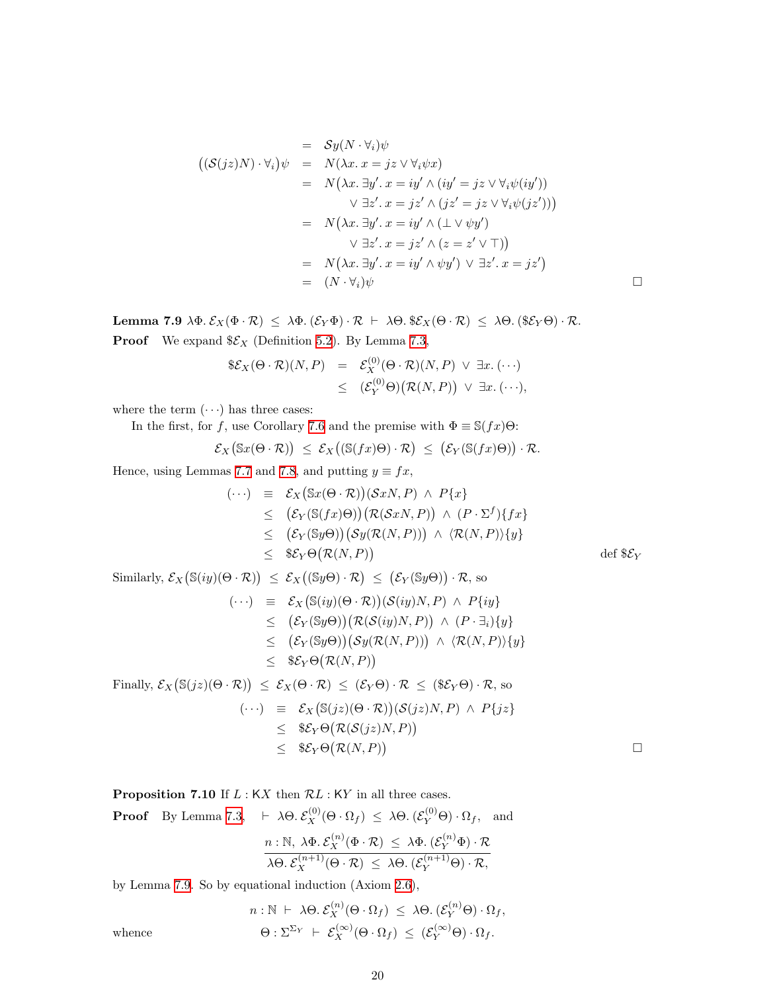$$
= Sy(N \cdot \forall_i)\psi
$$
  
\n
$$
= N(\lambda x. x = jz \vee \forall_i \psi x)
$$
  
\n
$$
= N(\lambda x. \exists y'. x = iy' \wedge (iy' = jz \vee \forall_i \psi(iy'))
$$
  
\n
$$
\vee \exists z'. x = jz' \wedge (jz' = jz \vee \forall_i \psi(jz')))
$$
  
\n
$$
= N(\lambda x. \exists y'. x = iy' \wedge (\bot \vee \psi y')
$$
  
\n
$$
\vee \exists z'. x = jz' \wedge (z = z' \vee \top))
$$
  
\n
$$
= N(\lambda x. \exists y'. x = iy' \wedge \psi y') \vee \exists z'. x = jz')
$$
  
\n
$$
= (N \cdot \forall_i)\psi
$$

<span id="page-19-1"></span>Lemma 7.9  $\lambda \Phi$ .  $\mathcal{E}_X(\Phi \cdot \mathcal{R}) \leq \lambda \Phi$ .  $(\mathcal{E}_Y \Phi) \cdot \mathcal{R} \vdash \lambda \Theta$ .  $\$\mathcal{E}_X(\Theta \cdot \mathcal{R}) \leq \lambda \Theta$ .  $(\$\mathcal{E}_Y \Theta) \cdot \mathcal{R}$ . **Proof** We expand  $\mathscr{E}_X$  (Definition [5.2](#page-14-0)). By Lemma [7.3](#page-18-0),

$$
\begin{array}{rcl}\n\$\mathcal{E}_X(\Theta \cdot \mathcal{R})(N,P) & = & \mathcal{E}_X^{(0)}(\Theta \cdot \mathcal{R})(N,P) \vee \exists x. \ (\cdots) \\
& \leq & (\mathcal{E}_Y^{(0)}\Theta) \big( \mathcal{R}(N,P) \big) \vee \exists x. \ (\cdots),\n\end{array}
$$

where the term  $(\cdots)$  has three cases:

In the first, for f, use Corollary [7.6](#page-18-1) and the premise with  $\Phi \equiv \mathbb{S}(fx)\Theta$ :

$$
\mathcal{E}_X(\mathbb{S}x(\Theta \cdot \mathcal{R})) \leq \mathcal{E}_X((\mathbb{S}(fx)\Theta) \cdot \mathcal{R}) \leq (\mathcal{E}_Y(\mathbb{S}(fx)\Theta)) \cdot \mathcal{R}.
$$

Hence, using Lemmas [7.7](#page-18-2) and [7.8](#page-18-3), and putting  $y \equiv fx$ ,

$$
(\cdots) \equiv \mathcal{E}_X(\mathbb{S}x(\Theta \cdot \mathcal{R}))(\mathcal{S}xN, P) \wedge P\{x\}
$$
  
\n
$$
\leq (\mathcal{E}_Y(\mathbb{S}(fx)\Theta))(\mathcal{R}(\mathcal{S}xN, P)) \wedge (P \cdot \Sigma^f)\{fx\}
$$
  
\n
$$
\leq (\mathcal{E}_Y(\mathbb{S}y\Theta))(\mathcal{S}y(\mathcal{R}(N, P))) \wedge \langle \mathcal{R}(N, P)\rangle\{y\}
$$
  
\n
$$
\leq \$\mathcal{E}_Y\Theta(\mathcal{R}(N, P))
$$
  
\n
$$
\leq \$\mathcal{E}_Y\Theta(\mathcal{R}(N, P)) \qquad \text{def} \$\mathcal{E}_Y
$$
  
\nSimilarly,  $\mathcal{E}_X(\mathbb{S}(iy)(\Theta \cdot \mathcal{R})) \leq \mathcal{E}_X((\mathbb{S}y\Theta) \cdot \mathcal{R}) \leq (\mathcal{E}_Y(\mathbb{S}y\Theta)) \cdot \mathcal{R}$ , so  
\n
$$
(\cdots) \equiv \mathcal{E}_X(\mathbb{S}(iy)(\Theta \cdot \mathcal{R}))(\mathcal{S}(iy)N, P) \wedge P\{iy\}
$$

$$
\leq (\mathcal{E}_Y(\mathbb{S}y\Theta))(\mathcal{R}(\mathcal{S}(iy)N,P)) \wedge (P \cdot \exists_i)\{y\} \leq (\mathcal{E}_Y(\mathbb{S}y\Theta))(\mathcal{S}y(\mathcal{R}(N,P))) \wedge \langle \mathcal{R}(N,P) \rangle \{y\} \leq \$\mathcal{E}_Y\Theta(\mathcal{R}(N,P))
$$

Finally,  $\mathcal{E}_X(\mathbb{S}(jz)(\Theta \cdot \mathcal{R})) \leq \mathcal{E}_X(\Theta \cdot \mathcal{R}) \leq (\mathcal{E}_Y \Theta) \cdot \mathcal{R} \leq (\mathbb{S}\mathcal{E}_Y \Theta) \cdot \mathcal{R}$ , so

$$
\begin{array}{rcl}\n(\cdots) & \equiv & \mathcal{E}_X(\mathbb{S}(jz)(\Theta \cdot \mathcal{R}))(\mathcal{S}(jz)N, P) \ \wedge \ P\{jz\} \\
& \leq & \$\mathcal{E}_Y\Theta\big(\mathcal{R}(\mathcal{S}(jz)N, P)\big) \\
& \leq & \$\mathcal{E}_Y\Theta\big(\mathcal{R}(N, P)\big)\n\end{array}
$$

 $\Box$ 

<span id="page-19-0"></span>**Proposition 7.10** If  $L : KX$  then  $\mathcal{R}L : KY$  in all three cases.

**Proof** By Lemma 7.3, 
$$
\vdash \lambda \Theta
$$
.  $\mathcal{E}_X^{(0)}(\Theta \cdot \Omega_f) \leq \lambda \Theta$ .  $(\mathcal{E}_Y^{(0)}\Theta) \cdot \Omega_f$ , and  
\n $n : \mathbb{N}, \lambda \Phi$ .  $\mathcal{E}_X^{(n)}(\Phi \cdot \mathcal{R}) \leq \lambda \Phi$ .  $(\mathcal{E}_Y^{(n)}\Phi) \cdot \mathcal{R}$   
\n $\lambda \Theta$ .  $\mathcal{E}_X^{(n+1)}(\Theta \cdot \mathcal{R}) \leq \lambda \Theta$ .  $(\mathcal{E}_Y^{(n+1)}\Theta) \cdot \mathcal{R}$ ,

by Lemma [7.9](#page-19-1). So by equational induction (Axiom [2.6](#page-5-1)),

$$
n: \mathbb{N} \vdash \lambda \Theta. \mathcal{E}_X^{(n)}(\Theta \cdot \Omega_f) \leq \lambda \Theta. (\mathcal{E}_Y^{(n)}\Theta) \cdot \Omega_f,
$$

$$
\Theta: \Sigma^{\Sigma_Y} \vdash \mathcal{E}_X^{(\infty)}(\Theta \cdot \Omega_f) \leq (\mathcal{E}_Y^{(\infty)}\Theta) \cdot \Omega_f.
$$

whence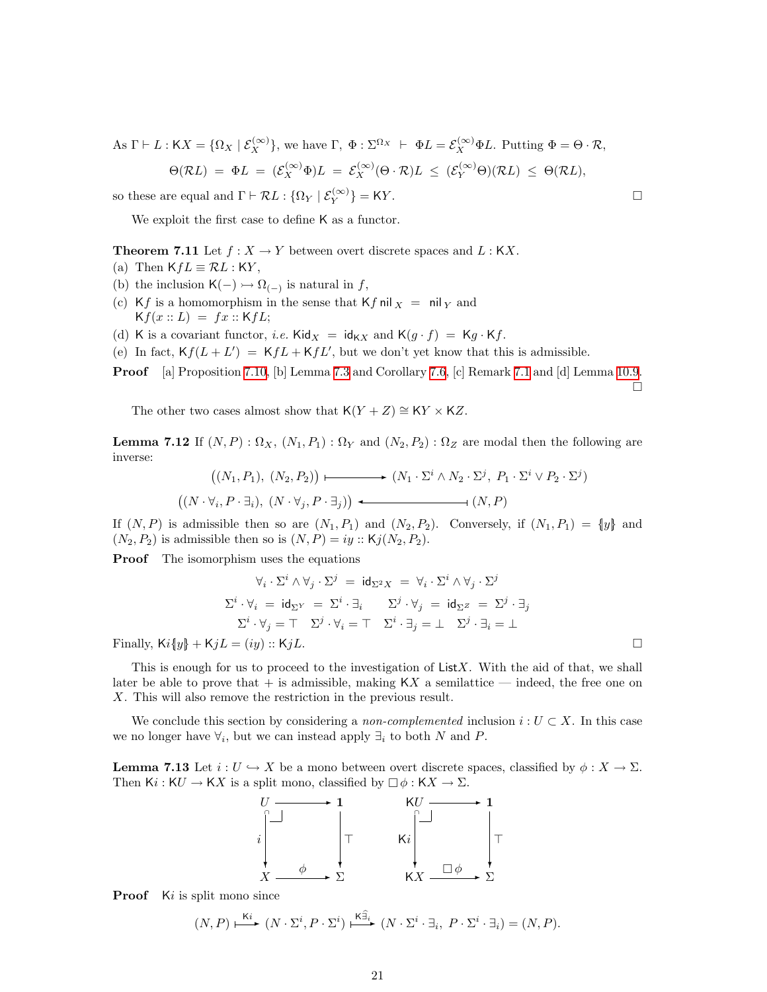As  $\Gamma \vdash L : \mathsf{K}X = \{ \Omega_X \mid \mathcal{E}_X^{(\infty)} \}$ , we have  $\Gamma$ ,  $\Phi : \Sigma^{\Omega_X} \vdash \Phi L = \mathcal{E}_X^{(\infty)} \Phi L$ . Putting  $\Phi = \Theta \cdot \mathcal{R}$ ,  $\Theta(\mathcal{R}L) \;=\; \Phi L \;=\; (\mathcal{E}_X^{(\infty)} \Phi) L \;=\; \mathcal{E}_X^{(\infty)} (\Theta \cdot \mathcal{R}) L \;\leq\; (\mathcal{E}_Y^{(\infty)} \Theta) (\mathcal{R}L) \;\leq\; \Theta(\mathcal{R}L),$ 

so these are equal and  $\Gamma \vdash \mathcal{R}L : \{\Omega_Y \mid \mathcal{E}_Y^{(\infty)}\} = \mathsf{K}Y.$ 

We exploit the first case to define K as a functor.

<span id="page-20-1"></span>**Theorem 7.11** Let  $f: X \to Y$  between overt discrete spaces and  $L: KX$ .

- (a) Then  $KfL \equiv \mathcal{R}L : KY$ ,
- <span id="page-20-2"></span>(b) the inclusion  $\mathsf{K}(-) \rightarrow \Omega_{(-)}$  is natural in f,
- (c) Kf is a homomorphism in the sense that  $Kf$  nil  $_X = \text{nil }_Y$  and  $Kf(x:: L) = fx::KfL;$
- (d) K is a covariant functor, *i.e.* Kid<sub>X</sub> = id<sub>KX</sub> and K( $g \cdot f$ ) = K $g \cdot Kf$ .
- (e) In fact,  $Kf(L+L') = KfL + KfL'$ , but we don't yet know that this is admissible.
- **Proof** [a] Proposition [7.10,](#page-19-0) [b] Lemma [7.3](#page-18-0) and Corollary [7.6](#page-18-1), [c] Remark [7.1](#page-17-2) and [d] Lemma [10.9](#page-29-4).

 $\Box$ 

The other two cases almost show that  $K(Y + Z) \cong KY \times KZ$ .

<span id="page-20-0"></span>**Lemma 7.12** If  $(N, P)$  :  $\Omega_X$ ,  $(N_1, P_1)$  :  $\Omega_Y$  and  $(N_2, P_2)$  :  $\Omega_Z$  are modal then the following are inverse:

$$
((N_1, P_1), (N_2, P_2)) \longmapsto (N_1 \cdot \Sigma^i \wedge N_2 \cdot \Sigma^j, P_1 \cdot \Sigma^i \vee P_2 \cdot \Sigma^j)
$$
  

$$
((N \cdot \forall_i, P \cdot \exists_i), (N \cdot \forall_j, P \cdot \exists_j)) \longleftarrow (N, P)
$$

If  $(N, P)$  is admissible then so are  $(N_1, P_1)$  and  $(N_2, P_2)$ . Conversely, if  $(N_1, P_1) = \{y\}$  and  $(N_2, P_2)$  is admissible then so is  $(N, P) = iy :: Kj(N_2, P_2)$ .

**Proof** The isomorphism uses the equations

$$
\forall_i \cdot \Sigma^i \wedge \forall_j \cdot \Sigma^j = \mathrm{id}_{\Sigma^2 X} = \forall_i \cdot \Sigma^i \wedge \forall_j \cdot \Sigma^j
$$
  

$$
\Sigma^i \cdot \forall_i = \mathrm{id}_{\Sigma^Y} = \Sigma^i \cdot \exists_i \qquad \Sigma^j \cdot \forall_j = \mathrm{id}_{\Sigma^Z} = \Sigma^j \cdot \exists_j
$$
  

$$
\Sigma^i \cdot \forall_j = \top \quad \Sigma^j \cdot \forall_i = \top \quad \Sigma^i \cdot \exists_j = \bot \quad \Sigma^j \cdot \exists_i = \bot
$$

Finally,  $Ki\{y\} + KjL = (iy) :: KjL.$ 

This is enough for us to proceed to the investigation of ListX. With the aid of that, we shall later be able to prove that  $+$  is admissible, making KX a semilattice — indeed, the free one on X. This will also remove the restriction in the previous result.

We conclude this section by considering a non-complemented inclusion  $i : U \subset X$ . In this case we no longer have  $\forall_i$ , but we can instead apply  $\exists_i$  to both N and P.

**Lemma 7.13** Let  $i: U \hookrightarrow X$  be a mono between overt discrete spaces, classified by  $\phi: X \to \Sigma$ . Then Ki : KU  $\rightarrow$  KX is a split mono, classified by  $\Box \phi : KX \rightarrow \Sigma$ .



**Proof**  $Ki$  is split mono since

$$
(N, P) \xrightarrow{\text{K}i} (N \cdot \Sigma^i, P \cdot \Sigma^i) \xrightarrow{\text{K}\widehat{\exists}_i} (N \cdot \Sigma^i \cdot \exists_i, P \cdot \Sigma^i \cdot \exists_i) = (N, P).
$$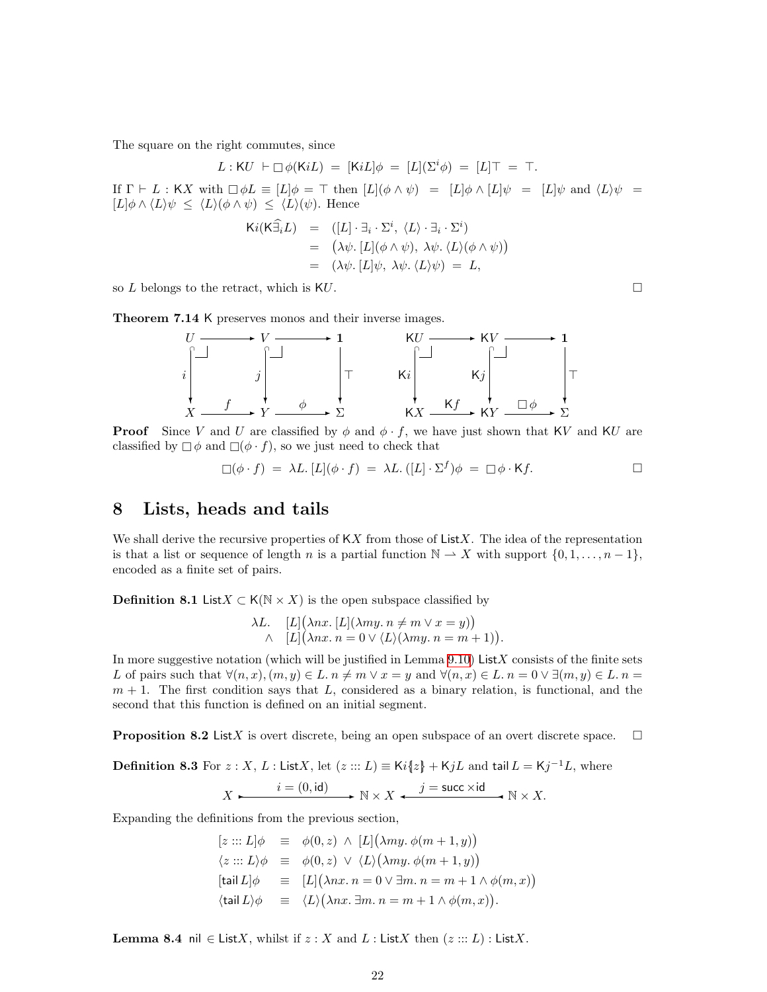<span id="page-21-0"></span>The square on the right commutes, since

$$
L: \mathsf{K}U \ \vdash \Box \phi(\mathsf{K}iL) \ = \ [\mathsf{K}iL]\phi \ = \ [L](\Sigma^i \phi) \ = \ [L]\top \ = \ \top.
$$

If  $\Gamma \vdash L : KX$  with  $\Box \phi L \equiv [L] \phi = \top$  then  $[L](\phi \wedge \psi) = [L] \phi \wedge [L] \psi = [L] \psi$  and  $\langle L \rangle \psi =$  $[L]\phi \wedge \langle L \rangle \psi \leq \langle L \rangle (\phi \wedge \psi) \leq \langle L \rangle(\psi)$ . Hence

$$
Ki(K\widehat{\exists}_{i}L) = ([L] \cdot \exists_{i} \cdot \Sigma^{i}, \langle L \rangle \cdot \exists_{i} \cdot \Sigma^{i})
$$
  
=  $(\lambda \psi, [L](\phi \wedge \psi), \lambda \psi, \langle L \rangle (\phi \wedge \psi))$   
=  $(\lambda \psi, [L] \psi, \lambda \psi, \langle L \rangle \psi) = L,$ 

so L belongs to the retract, which is KU.

Theorem 7.14 K preserves monos and their inverse images.



**Proof** Since V and U are classified by  $\phi$  and  $\phi \cdot f$ , we have just shown that KV and KU are classified by  $\Box \phi$  and  $\Box(\phi \cdot f)$ , so we just need to check that

$$
\Box(\phi \cdot f) = \lambda L \cdot [L](\phi \cdot f) = \lambda L \cdot ([L] \cdot \Sigma^f) \phi = \Box \phi \cdot \mathsf{K} f.
$$

## <span id="page-21-1"></span>8 Lists, heads and tails

We shall derive the recursive properties of  $\mathsf{K}X$  from those of List X. The idea of the representation is that a list or sequence of length n is a partial function  $\mathbb{N} \to X$  with support  $\{0, 1, \ldots, n-1\}$ , encoded as a finite set of pairs.

<span id="page-21-2"></span>**Definition 8.1** List $X \subset K(\mathbb{N} \times X)$  is the open subspace classified by

$$
\lambda L. \quad [L] (\lambda nx. [L] (\lambda my. n \neq m \lor x = y))
$$
  
 
$$
\land \quad [L] (\lambda nx. n = 0 \lor \langle L \rangle (\lambda my. n = m + 1)).
$$

In more suggestive notation (which will be justified in Lemma  $9.10$ ) ListX consists of the finite sets L of pairs such that  $\forall (n, x), (m, y) \in L$ .  $n \neq m \lor x = y$  and  $\forall (n, x) \in L$ .  $n = 0 \lor \exists (m, y) \in L$ .  $n =$  $m + 1$ . The first condition says that L, considered as a binary relation, is functional, and the second that this function is defined on an initial segment.

<span id="page-21-3"></span>**Proposition 8.2** ListX is overt discrete, being an open subspace of an overt discrete space.  $\Box$ 

**Definition 8.3** For  $z : X, L :$  List X, let  $(z ::: L) \equiv Ki\{z\} + KjL$  and tail  $L = Kj^{-1}L$ , where  $i = (0, \text{id})$   $\longrightarrow N \times X \longrightarrow j = \text{succ} \times \text{id}$   $N \times X$ .

$$
X \longleftarrow \xrightarrow{\iota - (\sigma, \mathbf{u})} \mathbb{N} \times X \longleftarrow \xrightarrow{\jmath \text{ - succ } \wedge \mathbf{u}} \mathbb{N} \times
$$

Expanding the definitions from the previous section,

$$
[z ::: L] \phi \equiv \phi(0, z) \land [L] (\lambda my. \phi(m + 1, y))
$$
  
\n
$$
\langle z ::: L \rangle \phi \equiv \phi(0, z) \lor \langle L \rangle (\lambda my. \phi(m + 1, y))
$$
  
\n
$$
[\text{tail } L] \phi \equiv [L] (\lambda nx. n = 0 \lor \exists m. n = m + 1 \land \phi(m, x))
$$
  
\n
$$
\langle \text{tail } L \rangle \phi \equiv \langle L \rangle (\lambda nx. \exists m. n = m + 1 \land \phi(m, x)).
$$

**Lemma 8.4** nil  $\in$  ListX, whilst if  $z : X$  and L : ListX then  $(z ::: L)$  : ListX.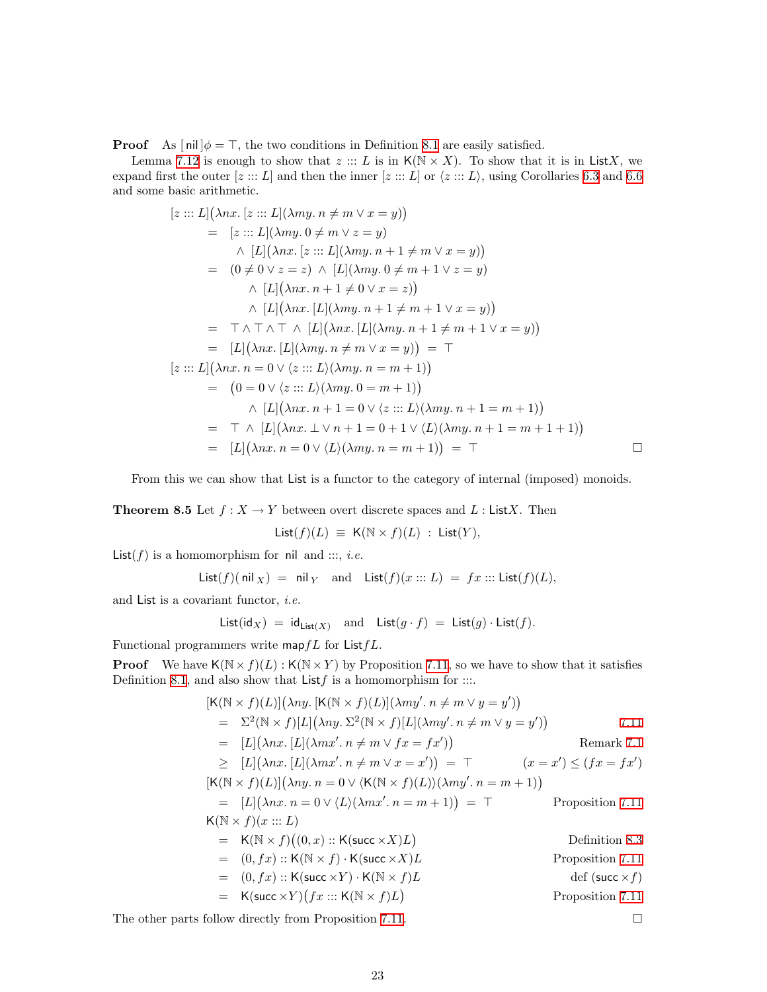**Proof** As  $\lceil \text{nil} \rceil \phi = \top$ , the two conditions in Definition [8.1](#page-21-2) are easily satisfied.

Lemma [7.12](#page-20-0) is enough to show that  $z ::: L$  is in  $K(N \times X)$ . To show that it is in ListX, we expand first the outer  $[z ::: L]$  and then the inner  $[z ::: L]$  or  $\langle z ::: L \rangle$ , using Corollaries [6.3](#page-16-3) and [6.6](#page-17-3) and some basic arithmetic.

$$
[z::: L](\lambda nx. [z::: L](\lambda my. n \neq m \vee x = y))
$$
  
\n
$$
= [z::: L](\lambda my. 0 \neq m \vee z = y)
$$
  
\n
$$
\wedge [L](\lambda nx. [z::: L](\lambda my. n + 1 \neq m \vee x = y))
$$
  
\n
$$
= (0 \neq 0 \vee z = z) \wedge [L](\lambda my. 0 \neq m + 1 \vee z = y)
$$
  
\n
$$
\wedge [L](\lambda nx. n + 1 \neq 0 \vee x = z))
$$
  
\n
$$
\wedge [L](\lambda nx. [L](\lambda my. n + 1 \neq m + 1 \vee x = y))
$$
  
\n
$$
= \top \wedge \top \wedge \top \wedge [L](\lambda nx. [L](\lambda my. n + 1 \neq m + 1 \vee x = y))
$$
  
\n
$$
= [L](\lambda nx. [L](\lambda my. n \neq m \vee x = y)) = \top
$$
  
\n
$$
[z::: L](\lambda nx. n = 0 \vee \langle z ::: L \rangle (\lambda my. n = m + 1))
$$
  
\n
$$
= (0 = 0 \vee \langle z ::: L \rangle (\lambda my. 0 = m + 1))
$$
  
\n
$$
\wedge [L](\lambda nx. n + 1 = 0 \vee \langle z ::: L \rangle (\lambda my. n + 1 = m + 1))
$$
  
\n
$$
= \top \wedge [L](\lambda nx. \perp \vee n + 1 = 0 + 1 \vee \langle L \rangle (\lambda my. n + 1 = m + 1 + 1))
$$
  
\n
$$
= [L](\lambda nx. n = 0 \vee \langle L \rangle (\lambda my. n = m + 1)) = \top \square
$$

From this we can show that List is a functor to the category of internal (imposed) monoids.

**Theorem 8.5** Let  $f : X \to Y$  between overt discrete spaces and L : ListX. Then

$$
List(f)(L) \equiv K(N \times f)(L) : List(Y),
$$

 $List(f)$  is a homomorphism for nil and :::, *i.e.* 

List(f)( nil x) = nil y and List(f)(x ::: L) = fx ::: List(f)(L),

and List is a covariant functor, i.e.

List(idX) = idList(X) and List(g · f) = List(g) · List(f).

Functional programmers write mapf  $L$  for List  $fL$ .

**Proof** We have  $K(N \times f)(L)$ :  $K(N \times Y)$  by Proposition [7.11](#page-20-1), so we have to show that it satisfies Definition [8.1](#page-21-2), and also show that  $List f$  is a homomorphism for  $:::$ 

$$
[K(\mathbb{N} \times f)(L)](\lambda ny. [K(\mathbb{N} \times f)(L)](\lambda my', n \neq m \lor y = y'))
$$
\n
$$
= \Sigma^{2}(\mathbb{N} \times f)[L](\lambda ny. \Sigma^{2}(\mathbb{N} \times f)[L](\lambda my', n \neq m \lor y = y'))
$$
\n
$$
= [L](\lambda nx. [L](\lambda mx', n \neq m \lor fx = fx'))
$$
\n
$$
\geq [L](\lambda nx. [L](\lambda mx', n \neq m \lor x = x')) = \top \qquad (x = x') \leq (fx = fx')
$$
\n
$$
[K(\mathbb{N} \times f)(L)](\lambda ny. n = 0 \lor \langle K(\mathbb{N} \times f)(L) \rangle(\lambda my', n = m + 1))
$$
\n
$$
= [L](\lambda nx. n = 0 \lor \langle L \rangle(\lambda mx', n = m + 1)) = \top
$$
\n
$$
K(\mathbb{N} \times f)(x ::= L)
$$
\n
$$
= K(\mathbb{N} \times f)((0, x) ::= K(\text{succ} \times X)L)
$$
\n
$$
= (0, fx) ::= K(\text{succ} \times Y) \cdot K(\text{succ} \times X)L)
$$
\n
$$
= (0, fx) ::= K(\text{succ} \times Y) \cdot K(\mathbb{N} \times f)L)
$$
\n
$$
= K(\text{succ} \times Y)(fx ::= K(\mathbb{N} \times f)L)
$$
\n
$$
= K(\text{succ} \times Y)(fx ::= K(\mathbb{N} \times f)L)
$$
\n
$$
= K(\text{succ} \times Y)(fx ::= K(\mathbb{N} \times f)L)
$$
\n
$$
= \text{Proposition 7.11}
$$

The other parts follow directly from Proposition [7.11](#page-20-1).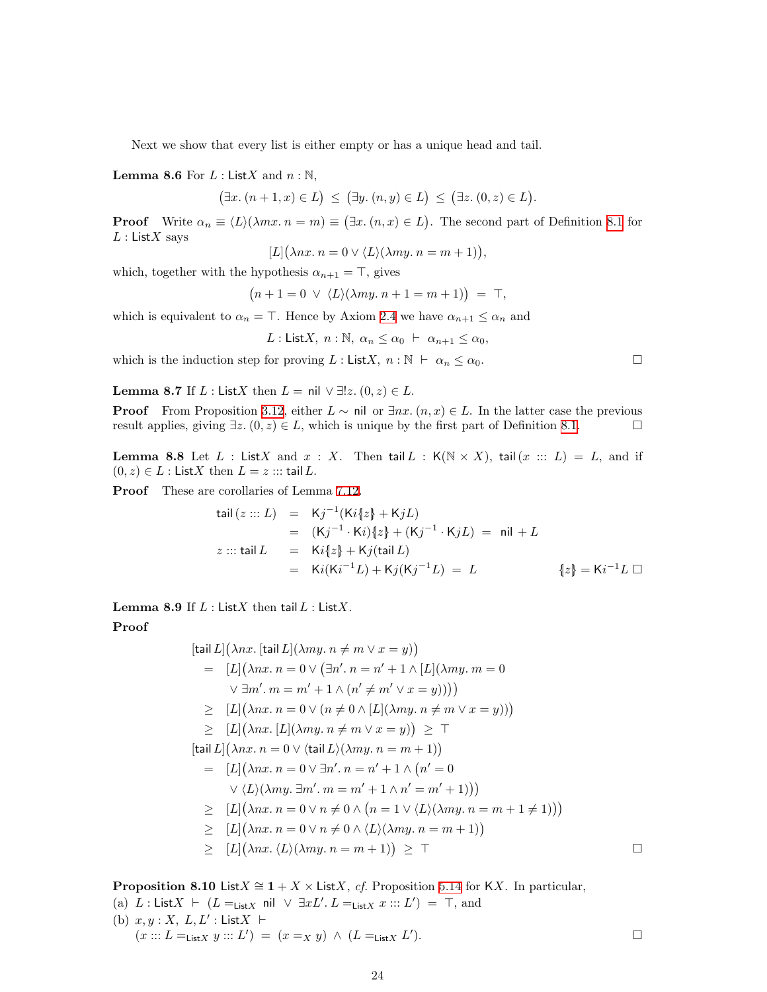Next we show that every list is either empty or has a unique head and tail.

<span id="page-23-0"></span>**Lemma 8.6** For  $L:$  List X and  $n:$  N,

 $(\exists x. (n+1, x) \in L) \leq (\exists y. (n, y) \in L) \leq (\exists z. (0, z) \in L).$ 

**Proof** Write  $\alpha_n \equiv \langle L \rangle (\lambda mx \cdot n = m) \equiv (\exists x \cdot (n, x) \in L)$ . The second part of Definition [8.1](#page-21-2) for  $L:$  List X says

$$
[L](\lambda nx.\, n = 0 \vee \langle L \rangle (\lambda my.\, n = m + 1)),
$$

which, together with the hypothesis  $\alpha_{n+1} = \top$ , gives

$$
(n+1=0 \vee \langle L \rangle(\lambda my. n+1=m+1)) = \top,
$$

which is equivalent to  $\alpha_n = \top$ . Hence by Axiom [2.4](#page-5-2) we have  $\alpha_{n+1} \leq \alpha_n$  and

L: ListX, 
$$
n : \mathbb{N}, \alpha_n \leq \alpha_0 \vdash \alpha_{n+1} \leq \alpha_0
$$
,

<span id="page-23-1"></span>which is the induction step for proving  $L : \text{List}X, n : \mathbb{N} \vdash \alpha_n \leq \alpha_0.$ 

Lemma 8.7 If L : ListX then  $L = \text{nil} \lor \exists ! z \ldotp (0, z) \in L$ .

**Proof** From Proposition [3.12,](#page-10-2) either  $L \sim \text{nil}$  or  $\exists nx \, (n, x) \in L$ . In the latter case the previous result applies, giving  $\exists z \ (0, z) \in L$ , which is unique by the first part of Definition [8.1.](#page-21-2)

**Lemma 8.8** Let L : ListX and  $x : X$ . Then tail L :  $K(N \times X)$ , tail(x ::: L) = L, and if  $(0, z) \in L$ : ListX then  $L = z$  ::: tail L.

Proof These are corollaries of Lemma [7.12.](#page-20-0)

$$
\begin{array}{rcl}\n\text{tail}(z:::L) & = & \mathsf{K}j^{-1}(\mathsf{K}i\{z\} + \mathsf{K}jL) \\
& = & (\mathsf{K}j^{-1} \cdot \mathsf{K}i)\{z\} + (\mathsf{K}j^{-1} \cdot \mathsf{K}jL) = \text{ nil} + L \\
z:::\text{tail } L & = & \mathsf{K}i\{z\} + \mathsf{K}j(\text{tail } L) \\
& = & \mathsf{K}i(\mathsf{K}i^{-1}L) + \mathsf{K}j(\mathsf{K}j^{-1}L) = L\n\end{array}\n\quad\n\begin{array}{rcl}\n\text{all} & = & \mathsf{K}i^{-1}L \quad \text{and} \\
\text{all} & = & \mathsf{K}i^{-1}L \quad \text{and} \\
\text{all} & = & \mathsf{K}i^{-1}L \quad \text{and} \\
\text{all} & = & \mathsf{K}i^{-1}L \quad \text{and} \\
\text{all} & = & \mathsf{K}i^{-1}L \quad \text{and} \\
\text{all} & = & \mathsf{K}i^{-1}L \quad \text{and} \\
\text{all} & = & \mathsf{K}i^{-1}L \quad \text{and} \\
\text{all} & = & \mathsf{K}i^{-1}L \quad \text{and} \\
\text{all} & = & \mathsf{K}i^{-1}L \quad \text{and} \\
\text{all} & = & \mathsf{K}i^{-1}L \quad \text{and} \\
\text{all} & = & \mathsf{K}i^{-1}L \quad \text{and} \\
\text{all} & = & \mathsf{K}i^{-1}L \quad \text{and} \\
\text{all} & = & \mathsf{K}i^{-1}L \quad \text{and} \\
\text{all} & = & \mathsf{K}i^{-1}L \quad \text{and} \\
\text{all} & = & \mathsf{K}i^{-1}L \quad \text{and} \\
\text{all} & = & \mathsf{K}i^{-1}L \quad \text{and} \\
\text{all} & = & \mathsf{K}i^{-1}L \quad \text{and} \\
\text{all
$$

Lemma 8.9 If  $L$  : List $X$  then tail  $L$  : List $X$ .

### Proof

$$
[\text{tail } L](\lambda nx. [\text{tail } L](\lambda my. n \neq m \lor x = y))
$$
\n
$$
= [L](\lambda nx. n = 0 \lor (\exists n'. n = n' + 1 \land [L](\lambda my. m = 0 \lor \exists m'. m = m' + 1 \land (n' \neq m' \lor x = y))))
$$
\n
$$
\geq [L](\lambda nx. n = 0 \lor (n \neq 0 \land [L](\lambda my. n \neq m \lor x = y)))
$$
\n
$$
\geq [L](\lambda nx. [L](\lambda my. n \neq m \lor x = y)) \geq \top
$$
\n
$$
[\text{tail } L](\lambda nx. n = 0 \lor \langle \text{tail } L)(\lambda my. n = m + 1))
$$
\n
$$
= [L](\lambda nx. n = 0 \lor \exists n'. n = n' + 1 \land (n' = 0 \lor \langle L)(\lambda my. \exists m'. m = m' + 1 \land n' = m' + 1)))
$$
\n
$$
\geq [L](\lambda nx. n = 0 \lor n \neq 0 \land (n = 1 \lor \langle L)(\lambda my. n = m + 1 \neq 1)))
$$
\n
$$
\geq [L](\lambda nx. n = 0 \lor n \neq 0 \land \langle L)(\lambda my. n = m + 1))
$$
\n
$$
\geq [L](\lambda nx. \langle L)(\lambda my. n = m + 1)) \geq \top
$$

<span id="page-23-4"></span><span id="page-23-3"></span><span id="page-23-2"></span>**Proposition 8.10** ListX  $\cong$  1 + X × ListX, *cf.* Proposition [5.14](#page-16-4) for KX. In particular, (a) L : List  $X \vdash (L =_{List X} \text{nil } \vee \exists x L'. L =_{List X} x ::: L') = \top$ , and (b)  $x, y : X, L, L' : ListX \vdash$  $(x ::: L =_{List X} y ::: L') = (x =_X y) \land (L =_{List X} L')$  $\Box$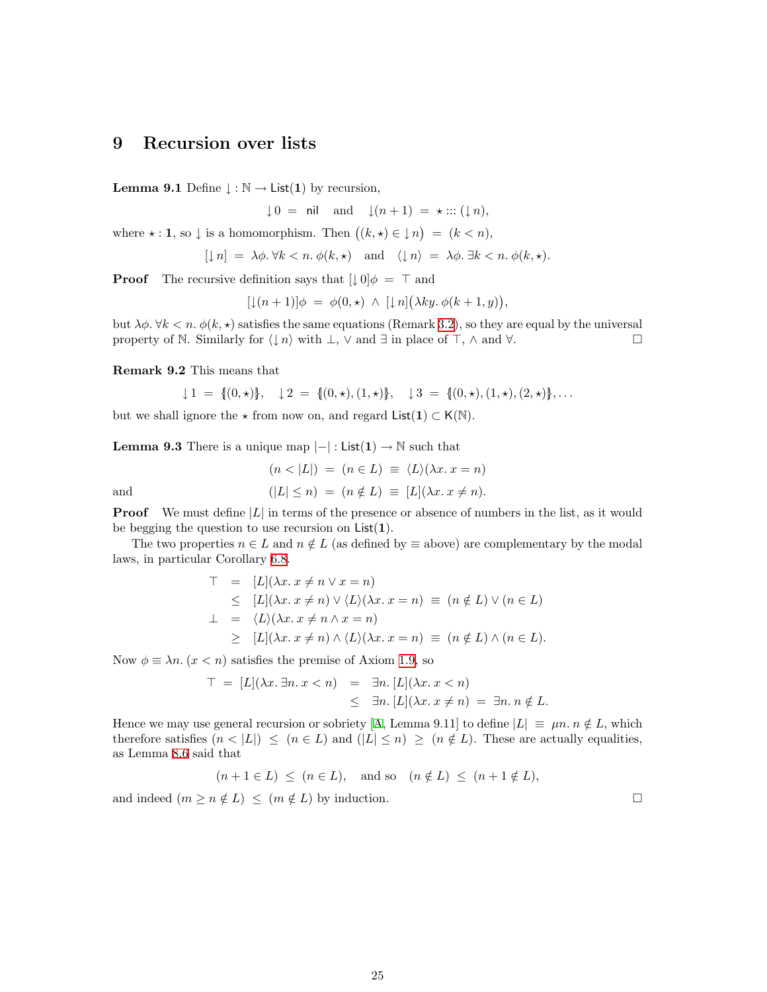## <span id="page-24-1"></span><span id="page-24-0"></span>9 Recursion over lists

<span id="page-24-2"></span>**Lemma 9.1** Define  $\downarrow : \mathbb{N} \to \text{List}(1)$  by recursion,

 $\downarrow 0 = \text{nil} \quad \text{and} \quad \downarrow (n+1) = \star ::: (\downarrow n),$ 

where  $\star : \mathbf{1},$  so  $\downarrow$  is a homomorphism. Then  $((k, \star) \in \downarrow n) = (k < n),$ 

$$
[\mathop\downarrow n] \ = \ \lambda \phi. \ \forall k < n. \ \phi(k, \star) \quad \text{and} \quad \langle \mathop\downarrow n \rangle \ = \ \lambda \phi. \ \exists k < n. \ \phi(k, \star).
$$

**Proof** The recursive definition says that  $[\downarrow 0]\phi = \top$  and

 $[\downarrow(n+1)]\phi = \phi(0,\star) \wedge [\downarrow n](\lambda ky. \phi(k+1,y)),$ 

but  $\lambda \phi$ .  $\forall k < n$ .  $\phi(k, \star)$  satisfies the same equations (Remark [3.2\)](#page-8-0), so they are equal by the universal property of N. Similarly for  $\langle \downarrow n \rangle$  with  $\perp$ ,  $\vee$  and  $\exists$  in place of  $\top$ ,  $\wedge$  and  $\forall$ .

Remark 9.2 This means that

$$
\downarrow 1 = \{(0, \star)\}, \quad \downarrow 2 = \{(0, \star), (1, \star)\}, \quad \downarrow 3 = \{(0, \star), (1, \star), (2, \star)\}, \ldots
$$

<span id="page-24-3"></span>but we shall ignore the  $\star$  from now on, and regard List(1)  $\subset K(N)$ .

**Lemma 9.3** There is a unique map  $|-|$ : List $(1) \rightarrow \mathbb{N}$  such that

$$
(n < |L|) = (n \in L) \equiv \langle L \rangle (\lambda x. x = n)
$$
  
and  

$$
(|L| \le n) = (n \notin L) \equiv [L](\lambda x. x \ne n).
$$

**Proof** We must define  $|L|$  in terms of the presence or absence of numbers in the list, as it would be begging the question to use recursion on  $List(1)$ .

The two properties  $n \in L$  and  $n \notin L$  (as defined by  $\equiv$  above) are complementary by the modal laws, in particular Corollary [6.8](#page-17-4).

$$
T = [L](\lambda x. x \neq n \lor x = n)
$$
  
\n
$$
\leq [L](\lambda x. x \neq n) \lor \langle L \rangle (\lambda x. x = n) \equiv (n \notin L) \lor (n \in L)
$$
  
\n
$$
\perp = \langle L \rangle (\lambda x. x \neq n \land x = n)
$$
  
\n
$$
\geq [L](\lambda x. x \neq n) \land \langle L \rangle (\lambda x. x = n) \equiv (n \notin L) \land (n \in L).
$$

Now  $\phi \equiv \lambda n$ .  $(x < n)$  satisfies the premise of Axiom [1.9](#page-2-1), so

$$
T = [L](\lambda x. \exists n. x < n) = \exists n. [L](\lambda x. x < n) \\
\leq \exists n. [L](\lambda x. x \neq n) = \exists n. n \notin L.
$$

Hence we may use general recursion or sobriety [\[A,](#page-33-11) Lemma 9.11] to define  $|L| \equiv \mu n \cdot n \notin L$ , which therefore satisfies  $(n < |L|) \le (n \in L)$  and  $(|L| \le n) \ge (n \notin L)$ . These are actually equalities, as Lemma [8.6](#page-23-0) said that

$$
(n+1 \in L) \le (n \in L)
$$
, and so  $(n \notin L) \le (n+1 \notin L)$ ,

and indeed  $(m \ge n \notin L) \le (m \notin L)$  by induction.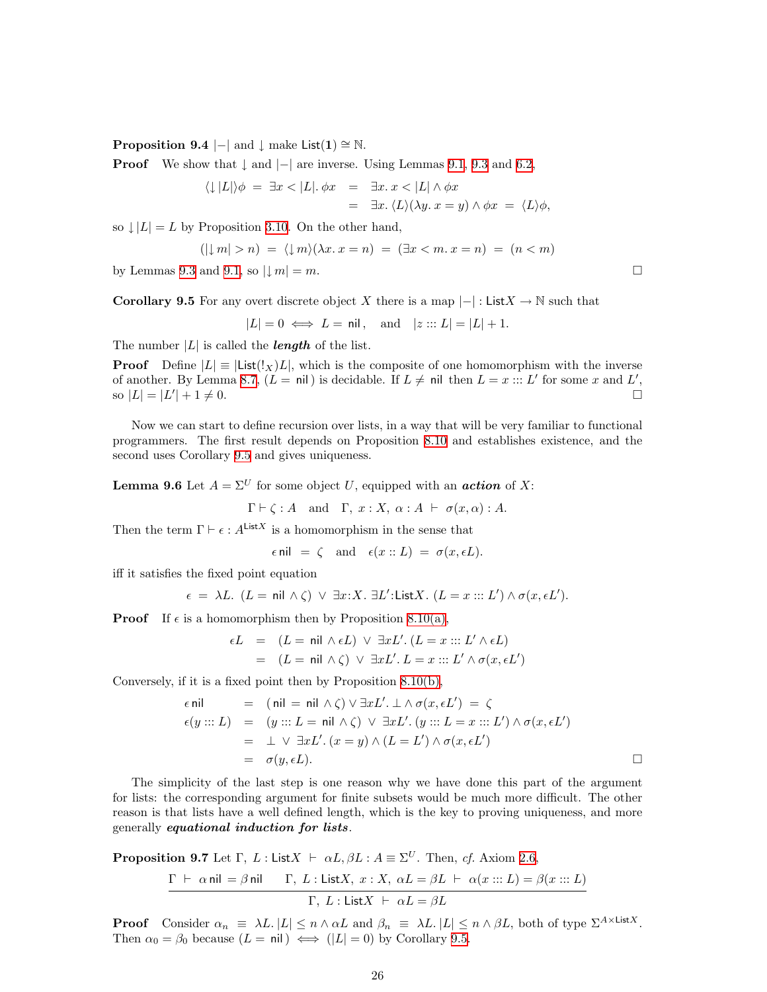**Proposition 9.4**  $|-|$  and  $\downarrow$  make List $(1) \cong \mathbb{N}$ .

**Proof** We show that  $\downarrow$  and  $\vert - \vert$  are inverse. Using Lemmas [9.1,](#page-24-2) [9.3](#page-24-3) and [6.2,](#page-16-5)

$$
\langle \downarrow |L| \rangle \phi = \exists x < |L|. \phi x = \exists x. x < |L| \land \phi x
$$
  
= 
$$
\exists x. \langle L \rangle (\lambda y. x = y) \land \phi x = \langle L \rangle \phi,
$$

so  $\downarrow |L| = L$  by Proposition [3.10.](#page-10-0) On the other hand,

$$
(|\downarrow m| > n) = \langle \downarrow m \rangle (\lambda x. x = n) = (\exists x < m. x = n) = (n < m)
$$

<span id="page-25-1"></span>by Lemmas [9.3](#page-24-3) and [9.1](#page-24-2), so  $|m| = m$ .

**Corollary 9.5** For any overt discrete object X there is a map  $|-|:$  List  $X \to \mathbb{N}$  such that

$$
|L| = 0 \iff L = \text{nil}, \quad \text{and} \quad |z :: L| = |L| + 1.
$$

The number  $|L|$  is called the **length** of the list.

**Proof** Define  $|L| \equiv |\text{List}(!_X)L|$ , which is the composite of one homomorphism with the inverse of another. By Lemma [8.7,](#page-23-1)  $(L = \text{nil})$  is decidable. If  $L \neq \text{nil}$  then  $L = x :: L'$  for some x and L', so  $|L| = |L'$  $| + 1 \neq 0.$ 

Now we can start to define recursion over lists, in a way that will be very familiar to functional programmers. The first result depends on Proposition [8.10](#page-23-2) and establishes existence, and the second uses Corollary [9.5](#page-25-1) and gives uniqueness.

**Lemma 9.6** Let  $A = \Sigma^U$  for some object U, equipped with an **action** of X:

 $\Gamma \vdash \zeta : A$  and  $\Gamma, x : X, \alpha : A \vdash \sigma(x, \alpha) : A$ .

Then the term  $\Gamma \vdash \epsilon : A^{\mathsf{List}X}$  is a homomorphism in the sense that

$$
\epsilon
$$
 nil =  $\zeta$  and  $\epsilon(x::L) = \sigma(x, \epsilon L)$ .

iff it satisfies the fixed point equation

$$
\epsilon = \lambda L. \ (L = \text{nil } \wedge \zeta) \ \lor \ \exists x: X. \ \exists L': \text{List} X. \ (L = x :: L') \wedge \sigma(x, \epsilon L').
$$

**Proof** If  $\epsilon$  is a homomorphism then by Proposition [8.10\(a\),](#page-23-3)

$$
\epsilon L = (L = \text{nil } \wedge \epsilon L) \vee \exists x L'. (L = x ::: L' \wedge \epsilon L)
$$
  
= 
$$
(L = \text{nil } \wedge \zeta) \vee \exists x L'. L = x ::: L' \wedge \sigma(x, \epsilon L')
$$

Conversely, if it is a fixed point then by Proposition [8.10\(b\)](#page-23-4),

$$
\epsilon \text{ nil} = (\text{nil} = \text{nil} \land \zeta) \lor \exists x L'. \perp \land \sigma(x, \epsilon L') = \zeta
$$
  
\n
$$
\epsilon(y ::: L) = (y ::: L = \text{nil} \land \zeta) \lor \exists x L'. (y ::: L = x ::: L') \land \sigma(x, \epsilon L')
$$
  
\n
$$
= \perp \lor \exists x L'. (x = y) \land (L = L') \land \sigma(x, \epsilon L')
$$
  
\n
$$
= \sigma(y, \epsilon L).
$$

The simplicity of the last step is one reason why we have done this part of the argument for lists: the corresponding argument for finite subsets would be much more difficult. The other reason is that lists have a well defined length, which is the key to proving uniqueness, and more generally equational induction for lists.

<span id="page-25-0"></span>**Proposition 9.7** Let 
$$
\Gamma
$$
,  $L$ : List $X \vdash \alpha L$ ,  $\beta L : A \equiv \Sigma^U$ . Then, cf. Axiom 2.6,  
\n
$$
\frac{\Gamma \vdash \alpha \text{ nil} = \beta \text{ nil}}{\Gamma, L : \text{List}X, x : X, \alpha L = \beta L \vdash \alpha(x ::: L) = \beta(x ::: L)}
$$
\n
$$
\Gamma, L : \text{List}X \vdash \alpha L = \beta L
$$

**Proof** Consider  $\alpha_n \equiv \lambda L$ .  $|L| \leq n \wedge \alpha L$  and  $\beta_n \equiv \lambda L$ .  $|L| \leq n \wedge \beta L$ , both of type  $\Sigma^{A \times \text{List} X}$ . Then  $\alpha_0 = \beta_0$  because  $(L = \text{nil}) \iff (|L| = 0)$  by Corollary [9.5](#page-25-1).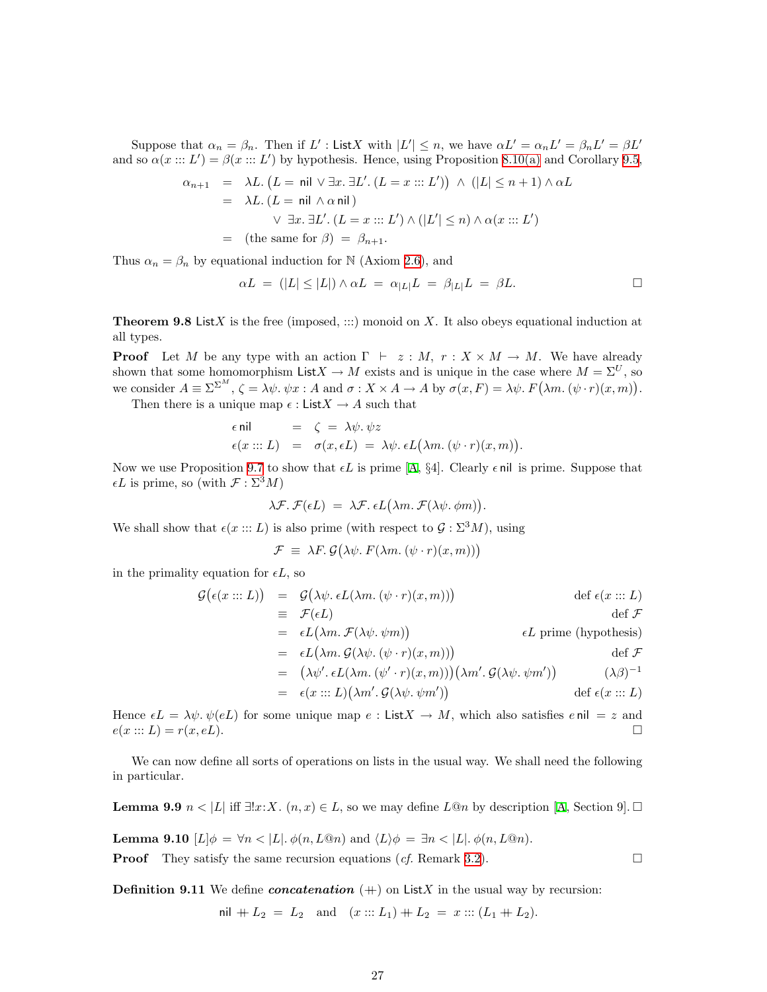Suppose that  $\alpha_n = \beta_n$ . Then if L': ListX with  $|L'| \leq n$ , we have  $\alpha L' = \alpha_n L' = \beta_n L' = \beta L'$ and so  $\alpha(x::: L') = \beta(x::: L')$  by hypothesis. Hence, using Proposition [8.10\(a\)](#page-23-3) and Corollary [9.5](#page-25-1),

$$
\alpha_{n+1} = \lambda L. (L = \text{nil} \lor \exists x. \exists L'. (L = x :: L')) \land (|L| \le n+1) \land \alpha L
$$
  
\n
$$
= \lambda L. (L = \text{nil} \land \alpha \text{nil})
$$
  
\n
$$
\lor \exists x. \exists L'. (L = x :: L') \land (|L'| \le n) \land \alpha(x :: L')
$$
  
\n
$$
= (\text{the same for } \beta) = \beta_{n+1}.
$$

Thus  $\alpha_n = \beta_n$  by equational induction for N (Axiom [2.6\)](#page-5-1), and

$$
\alpha L = (|L| \le |L|) \wedge \alpha L = \alpha_{|L|} L = \beta_{|L|} L = \beta L.
$$

**Theorem 9.8** ListX is the free (imposed,  $:::$ ) monoid on X. It also obeys equational induction at all types.

**Proof** Let M be any type with an action  $\Gamma \vdash z : M, r : X \times M \rightarrow M$ . We have already shown that some homomorphism List  $X \to M$  exists and is unique in the case where  $M = \Sigma^U$ , so we consider  $A \equiv \Sigma^{\Sigma^M}$ ,  $\zeta = \lambda \psi$ .  $\psi x : A$  and  $\sigma : X \times A \to A$  by  $\sigma(x, F) = \lambda \psi$ .  $F(\lambda m. (\psi \cdot r)(x, m))$ .

Then there is a unique map  $\epsilon: \mathsf{List} X \to A$  such that

$$
\epsilon \text{nil} = \zeta = \lambda \psi. \psi z \epsilon(x ::: L) = \sigma(x, \epsilon L) = \lambda \psi. \epsilon L(\lambda m. (\psi \cdot r)(x, m)).
$$

Now we use Proposition [9.7](#page-25-0) to show that  $\epsilon L$  is prime [\[A,](#page-33-11) §4]. Clearly  $\epsilon$  nil is prime. Suppose that  $\epsilon L$  is prime, so (with  $\mathcal{F} : \Sigma^3 M$ )

$$
\lambda \mathcal{F}.\ \mathcal{F}(\epsilon L) \ = \ \lambda \mathcal{F}.\ \epsilon L(\lambda m.\ \mathcal{F}(\lambda \psi.\ \phi m)).
$$

We shall show that  $\epsilon(x ::: L)$  is also prime (with respect to  $\mathcal{G} : \Sigma^3 M$ ), using

$$
\mathcal{F} \equiv \lambda F. \mathcal{G}(\lambda \psi. F(\lambda m. (\psi \cdot r)(x, m)))
$$

in the primality equation for  $\epsilon L$ , so

$$
G(\epsilon(x:::L)) = G(\lambda \psi. \epsilon L(\lambda m. (\psi \cdot r)(x, m))) \qquad \text{def } \epsilon(x:::L)
$$
  
\n
$$
= \mathcal{F}(\epsilon L) \qquad \text{def } \mathcal{F}
$$
  
\n
$$
= \epsilon L(\lambda m. \mathcal{F}(\lambda \psi. \psi m)) \qquad \text{def } \mathcal{F}
$$
  
\n
$$
= \epsilon L(\lambda m. \mathcal{G}(\lambda \psi. (\psi \cdot r)(x, m))) \qquad \text{def } \mathcal{F}
$$
  
\n
$$
= (\lambda \psi'. \epsilon L(\lambda m. (\psi' \cdot r)(x, m))) (\lambda m'. \mathcal{G}(\lambda \psi. \psi m')) \qquad (\lambda \beta)^{-1}
$$
  
\n
$$
= \epsilon(x:::L)(\lambda m'. \mathcal{G}(\lambda \psi. \psi m')) \qquad \text{def } \epsilon(x:::L)
$$

Hence  $\epsilon L = \lambda \psi$ .  $\psi(eL)$  for some unique map  $e : ListX \to M$ , which also satisfies e nil  $= z$  and  $e(x ::= L) = r(x, eL).$ 

We can now define all sorts of operations on lists in the usual way. We shall need the following in particular.

<span id="page-26-0"></span>**Lemma9.9**  $n < |L|$  iff  $\exists!x:X$ .  $(n,x) \in L$ , so we may define  $L@n$  by description [[A](#page-33-11), Section 9].  $\Box$ 

**Lemma 9.10**  $[L]\phi = \forall n \lt |L|$ .  $\phi(n, L@n)$  and  $\langle L \rangle \phi = \exists n \lt |L|$ .  $\phi(n, L@n)$ .

**Proof** They satisfy the same recursion equations (*cf.* Remark [3.2\)](#page-8-0).

**Definition 9.11** We define *concatenation*  $(+)$  on ListX in the usual way by recursion:

$$
\text{nil } + L_2 = L_2 \quad \text{and} \quad (x :: L_1) + L_2 = x :: (L_1 + L_2).
$$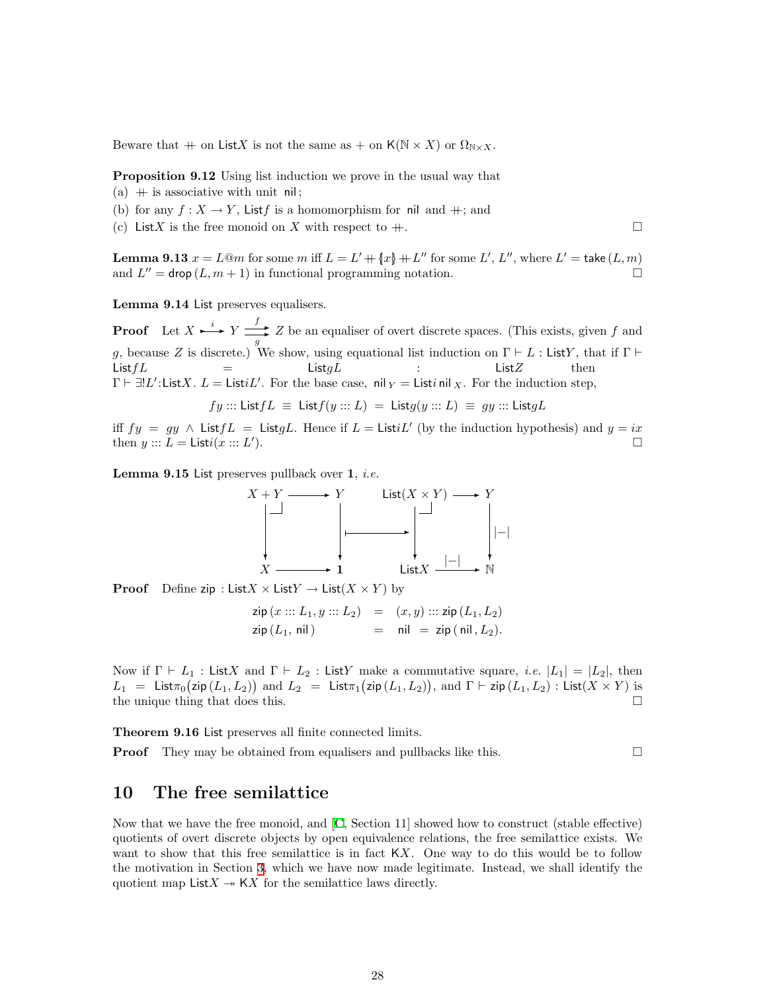<span id="page-27-0"></span>Beware that  $+$  on ListX is not the same as  $+$  on  $K(\mathbb{N} \times X)$  or  $\Omega_{\mathbb{N} \times X}$ .

Proposition 9.12 Using list induction we prove in the usual way that

- (a)  $+$  is associative with unit nil;
- <span id="page-27-3"></span>(b) for any  $f: X \to Y$ , List is a homomorphism for nil and  $\#$ ; and
- <span id="page-27-4"></span><span id="page-27-2"></span>(c) List X is the free monoid on X with respect to  $+$ .

**Lemma 9.13**  $x = L@m$  for some  $m$  iff  $L = L' + \{x\} + L''$  for some  $L', L''$ , where  $L' = \text{take}(L, m)$ and  $L'' = \text{drop}(L, m + 1)$  in functional programming notation.

Lemma 9.14 List preserves equalisers.

**Proof** Let  $X \xrightarrow{i} Y \xrightarrow{f} Y$  $\frac{f}{g}$  Z be an equaliser of overt discrete spaces. (This exists, given f and g, because Z is discrete.) We show, using equational list induction on  $\Gamma \vdash L$  : ListY, that if  $\Gamma \vdash$  $List fL = List gL$  : List  $Z$  then  $\Gamma \vdash \exists !L' :$ ListX.  $L =$  Listi $L'$ . For the base case, nil  $_Y =$  Listi nil  $_X$ . For the induction step,

$$
fy ::= ListfL \equiv Listf(y ::= L) = Listg(y ::= L) \equiv gy ::= ListgL
$$

iff  $fy = gy \wedge ListfL = ListgL$ . Hence if  $L = ListiL'$  (by the induction hypothesis) and  $y = ix$ then  $y :: L = \mathsf{List} i(x :: L'')$ ).

**Lemma 9.15** List preserves pullback over  $1$ , *i.e.* 



**Proof** Define zip : List  $X \times$  List  $Y \rightarrow$  List  $(X \times Y)$  by

$$
zip (x ::: L_1, y ::: L_2) = (x, y) ::: zip (L_1, L_2)
$$
  
\n $zip (L_1, nil) = nil = zip (nil, L_2).$ 

Now if  $\Gamma \vdash L_1$ : ListX and  $\Gamma \vdash L_2$ : ListY make a commutative square, *i.e.*  $|L_1| = |L_2|$ , then  $L_1 = \textsf{List}_{\pi_0}(\textsf{zip}\,(L_1, L_2))$  and  $L_2 = \textsf{List}_{\pi_1}(\textsf{zip}\,(L_1, L_2)),$  and  $\Gamma \vdash \textsf{zip}\,(L_1, L_2)$ : List $(X \times Y)$  is the unique thing that does this.  $\Box$ 

Theorem 9.16 List preserves all finite connected limits.

**Proof** They may be obtained from equalisers and pullbacks like this.  $\square$ 

### <span id="page-27-1"></span>10 The free semilattice

Now that we have the free monoid, and [\[C](#page-33-4), Section 11] showed how to construct (stable effective) quotients of overt discrete objects by open equivalence relations, the free semilattice exists. We want to show that this free semilattice is in fact  $KX$ . One way to do this would be to follow the motivation in Section [3,](#page-7-1) which we have now made legitimate. Instead, we shall identify the quotient map List  $X \rightarrow K X$  for the semilattice laws directly.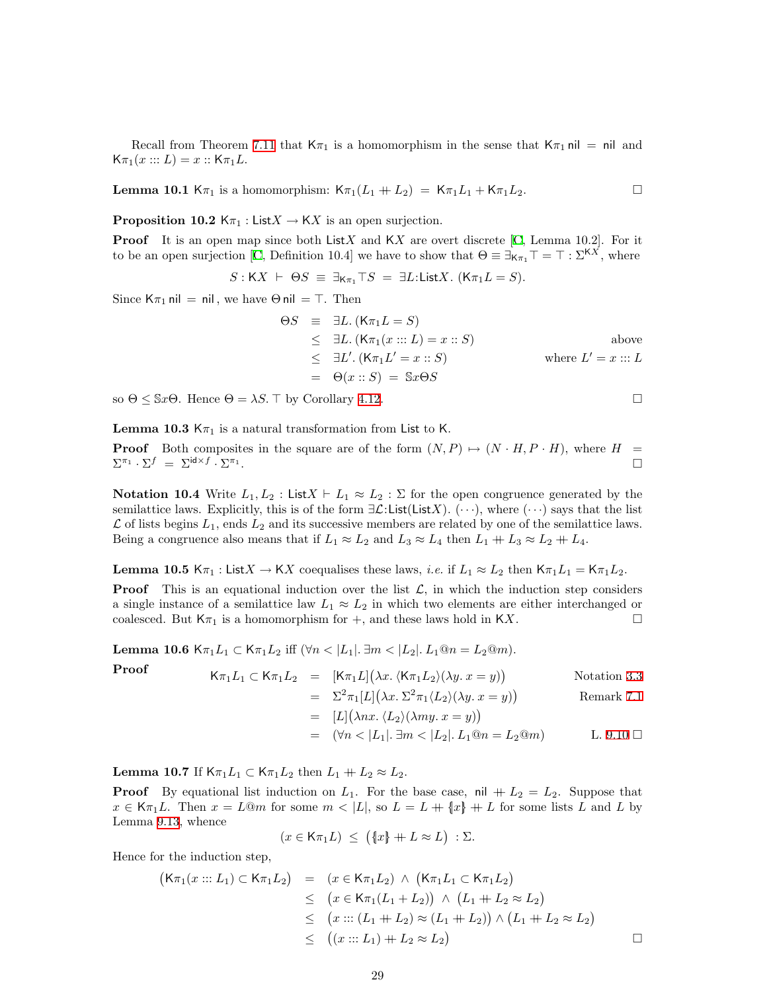Recall from Theorem [7.11](#page-20-1) that  $K_{\pi_1}$  is a homomorphism in the sense that  $K_{\pi_1}$  nil = nil and  $K\pi_1(x ::: L) = x :: K\pi_1L$ .

<span id="page-28-1"></span><span id="page-28-0"></span>**Lemma 10.1** K $\pi_1$  is a homomorphism: K $\pi_1(L_1 + L_2) = \mathsf{K} \pi_1 L_1 + \mathsf{K} \pi_1 L_2$ .

**Proposition 10.2**  $K_{\pi_1}$ : List $X \to KX$  is an open surjection.

**Proof**It is an open map since both ListX and  $\mathsf{K}X$  are overt discrete [[C](#page-33-4), Lemma 10.2]. For it to be an open surjection [\[C](#page-33-4), Definition 10.4] we have to show that  $\Theta \equiv \exists_{K_{\pi_1}} T = T : \Sigma^{KX}$ , where

$$
S: \mathsf{K} X + \Theta S \equiv \exists_{\mathsf{K} \pi_1} \top S = \exists L: \mathsf{List} X. \; (\mathsf{K} \pi_1 L = S).
$$

Since  $K_{\pi_1}$  nil = nil, we have  $\Theta$  nil =  $\top$ . Then

$$
\Theta S = \exists L. (K\pi_1 L = S)
$$
  
\n
$$
\leq \exists L. (K\pi_1(x ::: L) = x :: S)
$$
  
\n
$$
\leq \exists L'. (K\pi_1 L' = x :: S)
$$
  
\n
$$
= \Theta(x :: S) = \$x \Theta S
$$
 where  $L' = x ::: L$ 

<span id="page-28-2"></span>so  $\Theta \leq$  Sx $\Theta$ . Hence  $\Theta = \lambda S$ . T by Corollary [4.12.](#page-13-1)

**Lemma 10.3** K $\pi_1$  is a natural transformation from List to K.

**Proof** Both composites in the square are of the form  $(N, P) \rightarrow (N \cdot H, P \cdot H)$ , where H =  $\Sigma^{\pi_1} \cdot \Sigma^f = \Sigma^{\textsf{id} \times f} \cdot \Sigma^{\pi_1}$ .

**Notation 10.4** Write  $L_1, L_2$ : List $X \vdash L_1 \approx L_2 : \Sigma$  for the open congruence generated by the semilattice laws. Explicitly, this is of the form  $\exists \mathcal{L}:$  List(ListX). ( $\cdots$ ), where  $(\cdots)$  says that the list  $\mathcal L$  of lists begins  $L_1$ , ends  $L_2$  and its successive members are related by one of the semilattice laws. Being a congruence also means that if  $L_1 \approx L_2$  and  $L_3 \approx L_4$  then  $L_1 + L_3 \approx L_2 + L_4$ .

**Lemma 10.5** K $\pi_1$ : List $X \to KX$  coequalises these laws, *i.e.* if  $L_1 \approx L_2$  then K $\pi_1 L_1 = K \pi_1 L_2$ .

**Proof** This is an equational induction over the list  $\mathcal{L}$ , in which the induction step considers a single instance of a semilattice law  $L_1 \approx L_2$  in which two elements are either interchanged or coalesced. But  $K_{\pi_1}$  is a homomorphism for  $+$ , and these laws hold in  $KX$ .

Lemma 10.6 Kπ<sub>1</sub>L<sub>1</sub> ⊂ Kπ<sub>1</sub>L<sub>2</sub> iff  $(∀n < |L_1|$ . ∃m <  $|L_2|$ . L<sub>1</sub>*Qn* = L<sub>2</sub>*Qm*).

**Proof** 
$$
\mathsf{K}\pi_1 L_1 \subset \mathsf{K}\pi_1 L_2 = [\mathsf{K}\pi_1 L](\lambda x. \langle \mathsf{K}\pi_1 L_2 \rangle (\lambda y. x = y))
$$
 Notation 3.3

= 
$$
\Sigma^2 \pi_1[L](\lambda x. \Sigma^2 \pi_1 \langle L_2 \rangle (\lambda y. x = y))
$$
 Remark 7.1

$$
= [L] (\lambda nx. \langle L_2 \rangle(\lambda my. x = y))
$$

= 
$$
(\forall n < |L_1|, \exists m < |L_2|, L_1@n = L_2@m)
$$
 L. 9.10  $\Box$ 

**Lemma 10.7** If  $K_{\pi_1}L_1 \subset K_{\pi_1}L_2$  then  $L_1 + L_2 \approx L_2$ .

**Proof** By equational list induction on  $L_1$ . For the base case, nil  $+ L_2 = L_2$ . Suppose that  $x \in K_{\pi_1}L$ . Then  $x = L \mathbb{Q}m$  for some  $m < |L|$ , so  $L = L + \{x\} + L$  for some lists L and L by Lemma [9.13](#page-27-2), whence

$$
(x \in \mathsf{K}\pi_1 L) \leq (\{x\} + L \approx L) : \Sigma.
$$

Hence for the induction step,

$$
(\mathsf{K}\pi_1(x:::L_1) \subset \mathsf{K}\pi_1L_2) = (x \in \mathsf{K}\pi_1L_2) \land (\mathsf{K}\pi_1L_1 \subset \mathsf{K}\pi_1L_2)
$$
  
\n
$$
\leq (x \in \mathsf{K}\pi_1(L_1 + L_2)) \land (L_1 + L_2 \approx L_2)
$$
  
\n
$$
\leq (x::: (L_1 + L_2) \approx (L_1 + L_2)) \land (L_1 + L_2 \approx L_2)
$$
  
\n
$$
\leq ((x::: L_1) + L_2 \approx L_2)
$$

$$
\overline{}
$$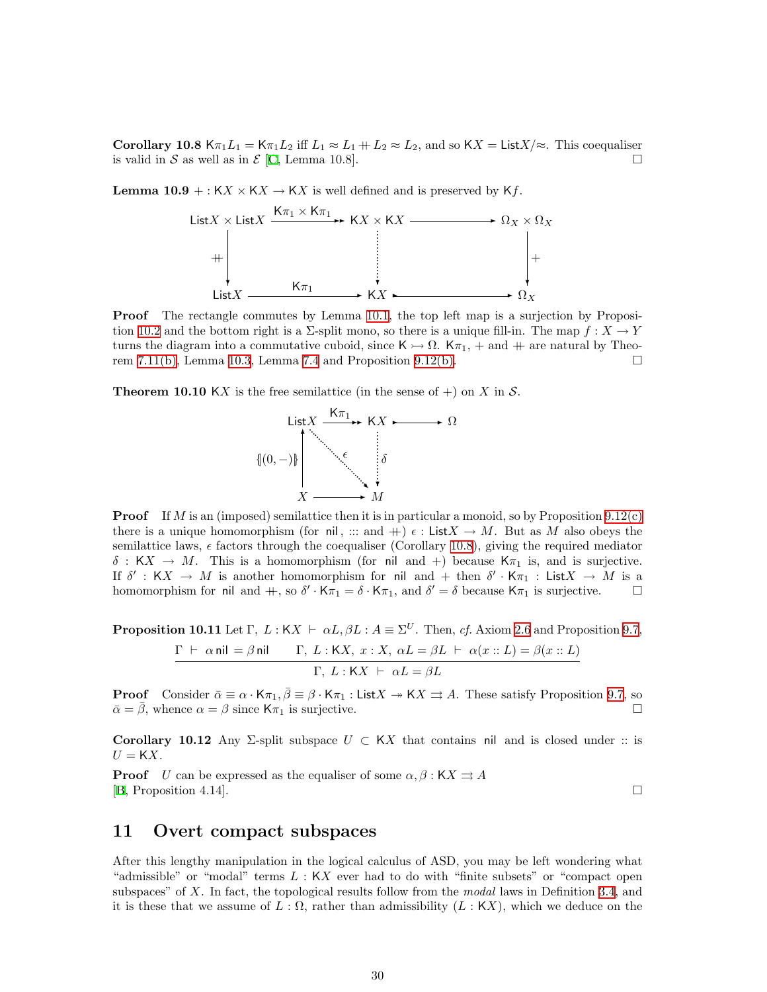<span id="page-29-5"></span><span id="page-29-0"></span>Corollary 10.8 K $\pi_1 L_1 = K \pi_1 L_2$  iff  $L_1 \approx L_1 + L_2 \approx L_2$ , and so KX = List X/ $\approx$ . This coequaliser is valid in S as well as in  $\mathcal E$  [\[C,](#page-33-4) Lemma 10.8].

<span id="page-29-4"></span>**Lemma 10.9** + :  $KX \times KX \rightarrow KX$  is well defined and is preserved by  $Kf$ .



**Proof** The rectangle commutes by Lemma [10.1](#page-28-0), the top left map is a surjection by Proposi-tion [10.2](#page-28-1) and the bottom right is a  $\Sigma$ -split mono, so there is a unique fill-in. The map  $f: X \to Y$ turns the diagram into a commutative cuboid, since  $\mathsf{K} \rightarrow \Omega$ .  $\mathsf{K} \pi_1$ , + and ++ are natural by Theorem [7.11\(b\),](#page-20-2) Lemma [10.3](#page-28-2), Lemma [7.4](#page-18-4) and Proposition [9.12\(b\)](#page-27-3).

**Theorem 10.10** KX is the free semilattice (in the sense of  $+)$  on X in S.



**Proof** If M is an (imposed) semilattice then it is in particular a monoid, so by Proposition  $9.12(c)$ there is a unique homomorphism (for nil, ::: and  $+) \epsilon$ : List $X \to M$ . But as M also obeys the semilattice laws,  $\epsilon$  factors through the coequaliser (Corollary [10.8\)](#page-29-5), giving the required mediator  $\delta : KX \to M$ . This is a homomorphism (for nil and +) because  $K\pi_1$  is, and is surjective. If  $\delta' : KX \to M$  is another homomorphism for nil and  $+$  then  $\delta' \cdot K_{\pi_1} : ListX \to M$  is a homomorphism for nil and  $+$ , so  $\delta' \cdot \overline{\mathsf{K}} \pi_1 = \delta \cdot \overline{\mathsf{K}} \pi_1$ , and  $\delta' = \delta$  because  $\overline{\mathsf{K}} \pi_1$  is surjective.

<span id="page-29-2"></span>**Proposition 10.11** Let  $\Gamma$ ,  $L : KX \vdash \alpha L, \beta L : A \equiv \Sigma^U$ . Then, cf. Axiom [2.6](#page-5-1) and Proposition [9.7](#page-25-0),

$$
\frac{\Gamma \ \vdash \ \alpha \ \text{nil} \ = \beta \ \text{nil}}{\Gamma,\ L : \mathsf{K} X,\ x : X,\ \alpha L = \beta L \ \vdash \ \alpha(x::L) = \beta(x::L)}{\Gamma,\ L : \mathsf{K} X \ \vdash \ \alpha L = \beta L}
$$

**Proof** Consider  $\bar{\alpha} \equiv \alpha \cdot K\pi_1$ ,  $\bar{\beta} \equiv \beta \cdot K\pi_1$  : List  $X \to KX \Rightarrow A$ . These satisfy Proposition [9.7,](#page-25-0) so  $\bar{\alpha} = \bar{\beta}$ , whence  $\alpha = \beta$  since  $K_{\pi_1}$  is surjective.

<span id="page-29-3"></span>Corollary 10.12 Any Σ-split subspace  $U \subset KX$  that contains nil and is closed under :: is  $U = KX$ .

**Proof** U can be expressed as the equaliser of some  $\alpha, \beta : KX \rightrightarrows A$  $[B, Proposition 4.14].$  $[B, Proposition 4.14].$  $[B, Proposition 4.14].$ 

### <span id="page-29-1"></span>11 Overt compact subspaces

After this lengthy manipulation in the logical calculus of ASD, you may be left wondering what "admissible" or "modal" terms  $L : KX$  ever had to do with "finite subsets" or "compact open subspaces" of X. In fact, the topological results follow from the *modal* laws in Definition [3.4](#page-8-2), and it is these that we assume of  $L : \Omega$ , rather than admissibility  $(L : K X)$ , which we deduce on the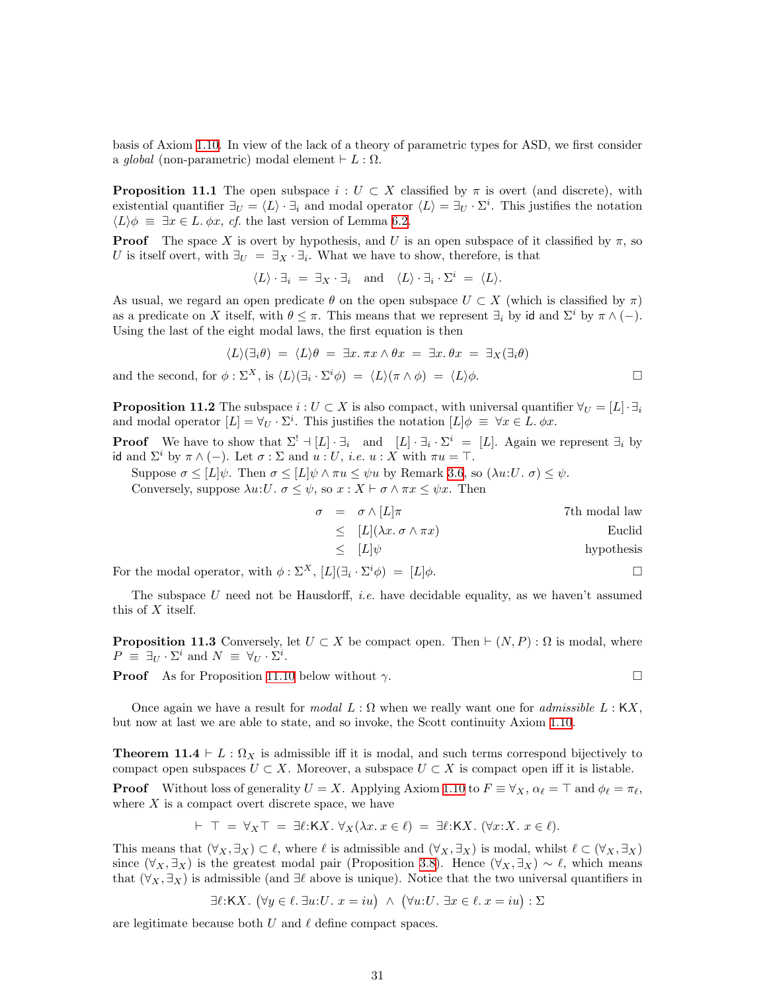basis of Axiom [1.10.](#page-3-1) In view of the lack of a theory of parametric types for ASD, we first consider a global (non-parametric) modal element  $\vdash L : \Omega$ .

**Proposition 11.1** The open subspace  $i: U \subset X$  classified by  $\pi$  is overt (and discrete), with existential quantifier  $\exists_U = \langle L \rangle \cdot \exists_i$  and modal operator  $\langle L \rangle = \exists_U \cdot \Sigma^i$ . This justifies the notation  $\langle L \rangle \phi \equiv \exists x \in L$ .  $\phi x$ , cf. the last version of Lemma [6.2.](#page-16-5)

**Proof** The space X is overt by hypothesis, and U is an open subspace of it classified by  $\pi$ , so U is itself overt, with  $\exists_U = \exists_X \cdot \exists_i$ . What we have to show, therefore, is that

 $\langle L \rangle \cdot \exists_i = \exists_X \cdot \exists_i \text{ and } \langle L \rangle \cdot \exists_i \cdot \Sigma^i = \langle L \rangle.$ 

As usual, we regard an open predicate  $\theta$  on the open subspace  $U \subset X$  (which is classified by  $\pi$ ) as a predicate on X itself, with  $\theta \leq \pi$ . This means that we represent  $\exists_i$  by id and  $\Sigma^i$  by  $\pi \wedge (-)$ . Using the last of the eight modal laws, the first equation is then

$$
\langle L \rangle (\exists_i \theta) = \langle L \rangle \theta = \exists x. \pi x \wedge \theta x = \exists x. \theta x = \exists_X (\exists_i \theta)
$$

and the second, for  $\phi : \Sigma^X$ , is  $\langle L \rangle (\exists_i \cdot \Sigma^i \phi) = \langle L \rangle (\pi \wedge \phi) = \langle L \rangle \phi$ .

**Proposition 11.2** The subspace  $i: U \subset X$  is also compact, with universal quantifier  $\forall U = [L] \cdot \exists_i$ and modal operator  $[L] = \forall_U \cdot \Sigma^i$ . This justifies the notation  $[L] \phi \equiv \forall x \in L$ .  $\phi x$ .

**Proof** We have to show that  $\Sigma^! \dashv [L] \cdot \exists_i$  and  $[L] \cdot \exists_i \cdot \Sigma^i = [L]$ . Again we represent  $\exists_i$  by id and  $\Sigma^i$  by  $\pi \wedge (-)$ . Let  $\sigma : \Sigma$  and  $u : U$ , *i.e.*  $u : X$  with  $\pi u = \top$ .

Suppose  $\sigma \leq [L]\psi$ . Then  $\sigma \leq [L]\psi \wedge \pi u \leq \psi u$  by Remark [3.6](#page-9-0), so  $(\lambda u:U, \sigma) \leq \psi$ .

Conversely, suppose  $\lambda u: U$ .  $\sigma \leq \psi$ , so  $x: X \vdash \sigma \wedge \pi x \leq \psi x$ . Then

$$
\sigma = \sigma \wedge [L]\pi
$$
  
\n
$$
\leq [L](\lambda x. \sigma \wedge \pi x)
$$
  
\n
$$
\leq [L]\psi
$$
  
\n
$$
\leq [L]\psi
$$
  
\n
$$
\qquad \qquad \text{Euclid}
$$
  
\n
$$
\qquad \qquad \text{hydrothesis}
$$

For the modal operator, with  $\phi : \Sigma^X$ ,  $[L](\exists_i \cdot \Sigma^i \phi) = [L]\phi$ .

The subspace U need not be Hausdorff, *i.e.* have decidable equality, as we haven't assumed this of  $X$  itself.

**Proposition 11.3** Conversely, let  $U \subset X$  be compact open. Then  $\vdash (N, P) : \Omega$  is modal, where  $P \equiv \exists_U \cdot \Sigma^i \text{ and } N \equiv \forall_U \cdot \Sigma^i.$ 

**Proof** As for Proposition [11.10](#page-32-0) below without  $\gamma$ .

Once again we have a result for modal  $L : \Omega$  when we really want one for admissible  $L : \mathsf{K}X$ , but now at last we are able to state, and so invoke, the Scott continuity Axiom [1.10.](#page-3-1)

**Theorem 11.4**  $\vdash$  L :  $\Omega_X$  is admissible iff it is modal, and such terms correspond bijectively to compact open subspaces  $U \subset X$ . Moreover, a subspace  $U \subset X$  is compact open iff it is listable.

**Proof** Without loss of generality  $U = X$ . Applying Axiom [1.10](#page-3-1) to  $F \equiv \forall_X$ ,  $\alpha_\ell = \top$  and  $\phi_\ell = \pi_\ell$ , where  $X$  is a compact overt discrete space, we have

$$
\vdash \top = \forall_X \top = \exists \ell : \mathsf{K} X. \ \forall_X (\lambda x. \ x \in \ell) = \exists \ell : \mathsf{K} X. \ (\forall x : X. \ x \in \ell).
$$

This means that  $(\forall_X, \exists_X) \subset \ell$ , where  $\ell$  is admissible and  $(\forall_X, \exists_X)$  is modal, whilst  $\ell \subset (\forall_X, \exists_X)$ since  $(\forall_X, \exists_X)$  is the greatest modal pair (Proposition [3.8\)](#page-9-1). Hence  $(\forall_X, \exists_X) \sim \ell$ , which means that  $(\forall_X, \exists_X)$  is admissible (and  $\exists \ell$  above is unique). Notice that the two universal quantifiers in

 $\exists \ell: \mathsf{K} X. \ (\forall y \in \ell. \ \exists u: U. \ x = iu) \ \wedge \ (\forall u: U. \ \exists x \in \ell. \ x = iu) : \Sigma$ 

are legitimate because both  $U$  and  $\ell$  define compact spaces.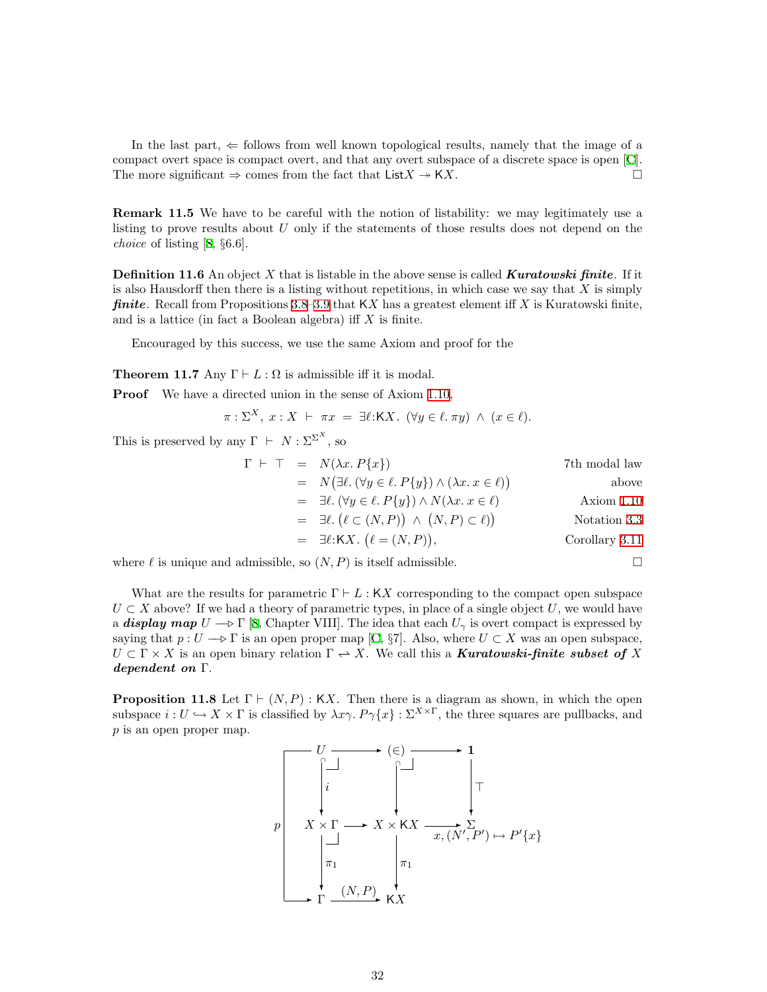In the last part,  $\Leftarrow$  follows from well known topological results, namely that the image of a compact overt space is compact overt, and that any overt subspace of a discrete space is open [\[C](#page-33-4)]. The more significant  $\Rightarrow$  comes from the fact that List  $X \rightarrow K X$ .

Remark 11.5 We have to be careful with the notion of listability: we may legitimately use a listing to prove results about  $U$  only if the statements of those results does not depend on the choice of listing[[8,](#page-33-9) §6.6].

**Definition 11.6** An object X that is listable in the above sense is called **Kuratowski finite**. If it is also Hausdorff then there is a listing without repetitions, in which case we say that  $X$  is simply **finite.** Recall from Propositions [3.8–](#page-9-1)[3.9](#page-10-3) that  $\mathsf{K}X$  has a greatest element iff X is Kuratowski finite, and is a lattice (in fact a Boolean algebra) if  $X$  is finite.

Encouraged by this success, we use the same Axiom and proof for the

<span id="page-31-0"></span>**Theorem 11.7** Any  $\Gamma \vdash L : \Omega$  is admissible iff it is modal.

Proof We have a directed union in the sense of Axiom [1.10](#page-3-1),

$$
\pi: \Sigma^X, x: X \vdash \pi x = \exists \ell: \mathsf{K} X. \ (\forall y \in \ell. \ \pi y) \ \land \ (x \in \ell).
$$

This is preserved by any  $\Gamma \vdash N : \Sigma^{\Sigma^X}$ , so

$$
\Gamma \vdash \top = N(\lambda x. P\{x\})
$$
\n
$$
= N(\exists \ell. (\forall y \in \ell. P\{y\}) \land (\lambda x. x \in \ell))
$$
\n
$$
= \exists \ell. (\forall y \in \ell. P\{y\}) \land N(\lambda x. x \in \ell)
$$
\n
$$
= \exists \ell. (\ell \subset (N, P)) \land (N, P) \subset \ell)
$$
\n
$$
= \exists \ell. \mathcal{K} \mathbf{X}. (\ell = (N, P)),
$$
\nCorollary 3.11

where  $\ell$  is unique and admissible, so  $(N, P)$  is itself admissible.

What are the results for parametric  $\Gamma \vdash L : \mathsf{K}X$  corresponding to the compact open subspace  $U \subset X$  above? If we had a theory of parametric types, in place of a single object U, we would have a **display map**  $U \to \Gamma$  [\[8](#page-33-9), Chapter VIII]. The idea that each  $U_{\gamma}$  is overt compact is expressed by saying that  $p: U \longrightarrow \Gamma$  is an open proper map [\[C,](#page-33-4) §7]. Also, where  $U \subset X$  was an open subspace,  $U \subset \Gamma \times X$  is an open binary relation  $\Gamma \to X$ . We call this a **Kuratowski-finite subset of** X dependent on Γ.

**Proposition 11.8** Let  $\Gamma \vdash (N, P) : KX$ . Then there is a diagram as shown, in which the open subspace  $i: U \hookrightarrow X \times \Gamma$  is classified by  $\lambda x \gamma$ .  $P \gamma \{x\} : \Sigma^{X \times \Gamma}$ , the three squares are pullbacks, and  $p$  is an open proper map.

<sup>U</sup> ✲ (∈) ✲ <sup>1</sup> X × Γ i ❄ ∩ ✲ <sup>X</sup> <sup>×</sup> <sup>K</sup><sup>X</sup> ❄ ∩ x,(N<sup>0</sup> , P<sup>0</sup> ) 7→ P <sup>0</sup>{x} ✲ <sup>Σ</sup> > ❄ p ✲ <sup>Γ</sup> π1 ❄ (N, P✲) KX π1 ❄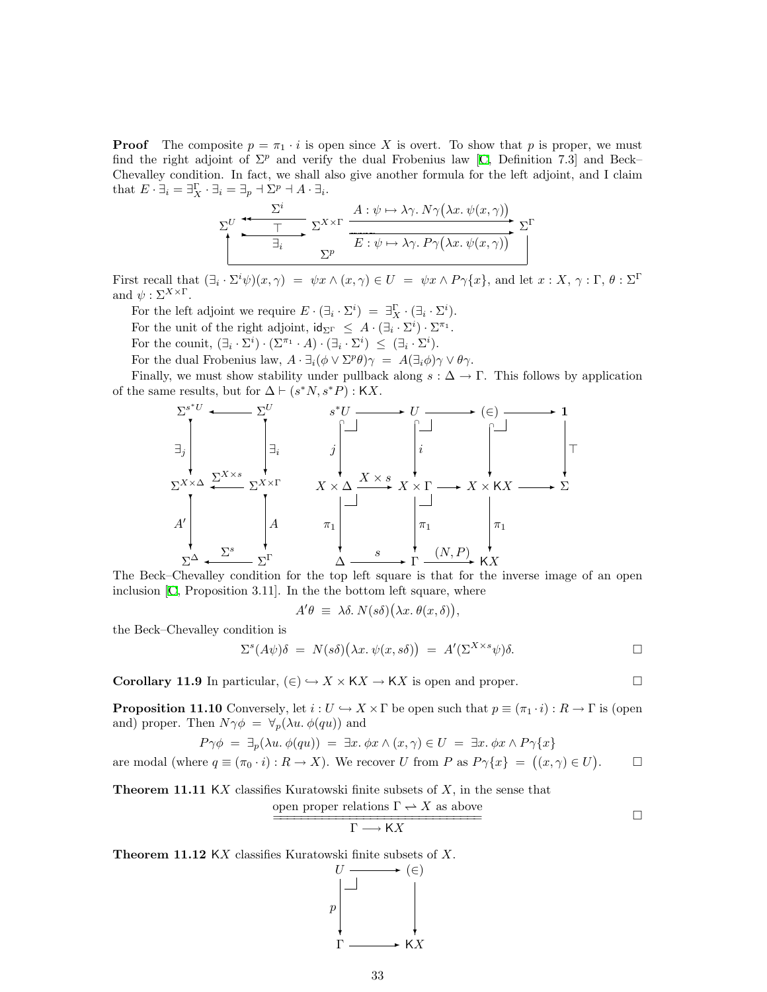**Proof** The composite  $p = \pi_1 \cdot i$  is open since X is overt. To show that p is proper, we must findthe right adjoint of  $\Sigma^p$  and verify the dual Frobenius law [[C,](#page-33-4) Definition 7.3] and Beck– Chevalley condition. In fact, we shall also give another formula for the left adjoint, and I claim that  $E \cdot \exists_i = \exists_i^{\Gamma} \cdot \exists_i = \exists_p \neg \Sigma^p \neg A \cdot \exists_i$ .

$$
\sum_{i}^{U} \underbrace{\xrightarrow{T}}_{\exists_{i}} \sum_{\Sigma^{P}}^{X \times \Gamma} \underbrace{\xrightarrow{A : \psi \mapsto \lambda \gamma. N \gamma (\lambda x. \psi(x, \gamma))}}_{E : \psi \mapsto \lambda \gamma. P \gamma (\lambda x. \psi(x, \gamma))} \Sigma^{\Gamma}
$$

First recall that  $(\exists_i \cdot \Sigma^i \psi)(x, \gamma) = \psi x \wedge (x, \gamma) \in U = \psi x \wedge P \gamma \{x\}$ , and let  $x : X, \gamma : \Gamma, \theta : \Sigma^{\Gamma}$ and  $\psi : \Sigma^{X \times \Gamma}$ .

For the left adjoint we require  $E \cdot (\exists_i \cdot \Sigma^i) = \exists_X^{\Gamma} \cdot (\exists_i \cdot \Sigma^i)$ .

For the unit of the right adjoint,  $\mathsf{id}_{\Sigma}$   $\subseteq A \cdot (\exists_i \cdot \Sigma^i) \cdot \Sigma^{\pi_1}$ .

For the counit,  $(\exists_i \cdot \Sigma^i) \cdot (\Sigma^{\pi_1} \cdot A) \cdot (\exists_i \cdot \Sigma^i) \leq (\exists_i \cdot \Sigma^i)$ .

For the dual Frobenius law,  $A \cdot \exists_i (\phi \vee \Sigma^p \theta) \gamma = A(\exists_i \phi) \gamma \vee \theta \gamma$ .

Finally, we must show stability under pullback along  $s : \Delta \to \Gamma$ . This follows by application of the same results, but for  $\Delta \vdash (s^*N, s^*P) : \mathsf{K} X$ .



The Beck–Chevalley condition for the top left square is that for the inverse image of an open inclusion [\[C,](#page-33-4) Proposition 3.11]. In the the bottom left square, where

$$
A'\theta \equiv \lambda \delta. N(s\delta)(\lambda x. \theta(x,\delta)),
$$

the Beck–Chevalley condition is

$$
\Sigma^{s}(A\psi)\delta = N(s\delta)(\lambda x.\ \psi(x,s\delta)) = A'(\Sigma^{X\times s}\psi)\delta.
$$

<span id="page-32-0"></span>**Corollary 11.9** In particular,  $(\in) \hookrightarrow X \times KX \to KX$  is open and proper.

**Proposition 11.10** Conversely, let  $i : U \hookrightarrow X \times \Gamma$  be open such that  $p \equiv (\pi_1 \cdot i) : R \to \Gamma$  is (open and) proper. Then  $N\gamma\phi = \forall_p(\lambda u.\phi(qu))$  and

$$
P\gamma\phi = \exists_p(\lambda u.\ \phi(qu)) = \exists x.\ \phi x \land (x,\gamma) \in U = \exists x.\ \phi x \land P\gamma\{x\}
$$

are modal (where  $q \equiv (\pi_0 \cdot i) : R \to X$ ). We recover U from P as  $P \gamma \{x\} = ((x, \gamma) \in U)$  $\Box$ 

**Theorem 11.11 KX** classifies Kuratowski finite subsets of  $X$ , in the sense that

$$
\frac{\text{open proper relations } \Gamma \to X \text{ as above}}{\Gamma \longrightarrow KX} \qquad \qquad \Box
$$

**Theorem 11.12** KX classifies Kuratowski finite subsets of X.<br> $U \longrightarrow (\in)$